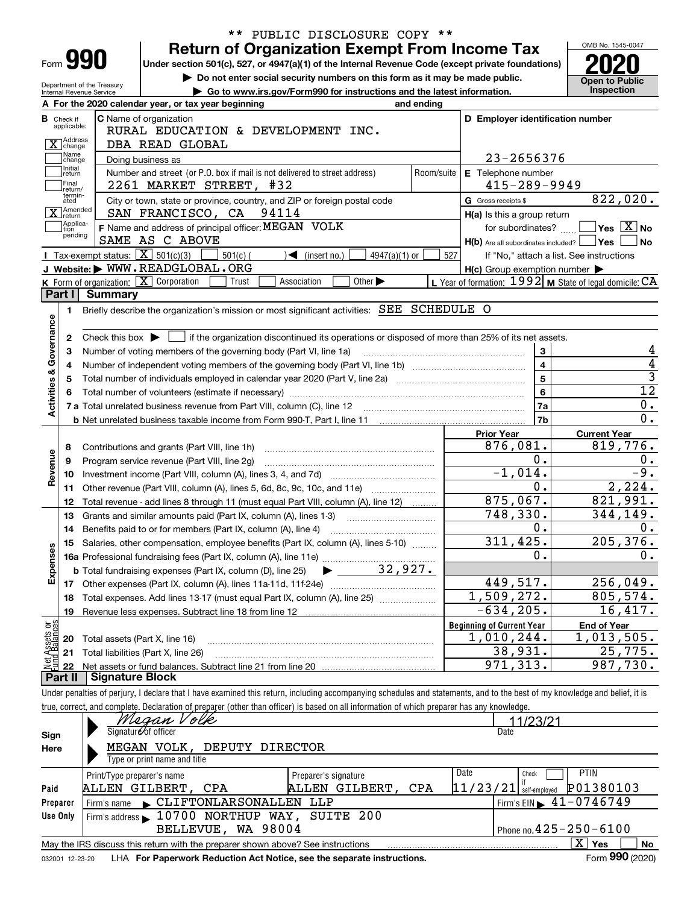|                                                                                     | IUDILU DIDUNUUND COI<br><b>Return of Organization Exempt From Income Tax</b>                                                                                               |                                                             | OMB No. 1545-0047                        |
|-------------------------------------------------------------------------------------|----------------------------------------------------------------------------------------------------------------------------------------------------------------------------|-------------------------------------------------------------|------------------------------------------|
|                                                                                     | Form <b>YYU</b><br>Under section 501(c), 527, or 4947(a)(1) of the Internal Revenue Code (except private foundations)                                                      |                                                             |                                          |
|                                                                                     | Do not enter social security numbers on this form as it may be made public.<br>Department of the Treasury                                                                  |                                                             | <b>Open to Public</b>                    |
| Internal Revenue Service                                                            | Go to www.irs.gov/Form990 for instructions and the latest information.                                                                                                     |                                                             | <b>Inspection</b>                        |
|                                                                                     | A For the 2020 calendar year, or tax year beginning<br>and ending                                                                                                          |                                                             |                                          |
| <b>B</b> Check if<br>applicable:                                                    | <b>C</b> Name of organization<br>RURAL EDUCATION & DEVELOPMENT INC.                                                                                                        | D Employer identification number                            |                                          |
| X change                                                                            | <b>DBA READ GLOBAL</b>                                                                                                                                                     |                                                             |                                          |
| Name                                                                                |                                                                                                                                                                            | 23-2656376                                                  |                                          |
| change<br>Initial                                                                   | Doing business as                                                                                                                                                          |                                                             |                                          |
| return<br> Final                                                                    | Number and street (or P.O. box if mail is not delivered to street address)<br>Room/suite                                                                                   | E Telephone number                                          |                                          |
| return/<br>termin-                                                                  | 2261 MARKET STREET, #32                                                                                                                                                    | $415 - 289 - 9949$                                          |                                          |
| ated                                                                                | City or town, state or province, country, and ZIP or foreign postal code                                                                                                   | G Gross receipts \$                                         | 822,020.                                 |
| X Amended<br>Applica-                                                               | SAN FRANCISCO, CA 94114                                                                                                                                                    | H(a) Is this a group return                                 |                                          |
| tion<br>pending                                                                     | F Name and address of principal officer: MEGAN VOLK                                                                                                                        | for subordinates?                                           | $\sqrt{}$ Yes $\sqrt{}$ X $\sqrt{}$ No   |
|                                                                                     | SAME AS C ABOVE                                                                                                                                                            | H(b) Are all subordinates included?   Yes                   | ∣No                                      |
|                                                                                     | Tax-exempt status: $\boxed{\mathbf{X}}$ 501(c)(3)<br>$\sqrt{\bullet}$ (insert no.)<br>4947(a)(1) or<br>$501(c)$ (                                                          | 527                                                         | If "No," attach a list. See instructions |
|                                                                                     | J Website: WWW.READGLOBAL.ORG                                                                                                                                              | H(c) Group exemption number                                 |                                          |
|                                                                                     | K Form of organization: X Corporation<br>Other $\blacktriangleright$<br>Trust<br>Association                                                                               | L Year of formation: $1992$ M State of legal domicile: $CA$ |                                          |
| Part I                                                                              | <b>Summary</b>                                                                                                                                                             |                                                             |                                          |
| 1.                                                                                  | Briefly describe the organization's mission or most significant activities: SEE SCHEDULE O                                                                                 |                                                             |                                          |
|                                                                                     |                                                                                                                                                                            |                                                             |                                          |
| 2                                                                                   | Check this box $\blacktriangleright$ $\blacksquare$ if the organization discontinued its operations or disposed of more than 25% of its net assets.                        |                                                             |                                          |
| Activities & Governance<br>з                                                        | Number of voting members of the governing body (Part VI, line 1a)                                                                                                          | 3                                                           |                                          |
| 4                                                                                   |                                                                                                                                                                            | $\overline{\mathbf{4}}$                                     |                                          |
| 5                                                                                   |                                                                                                                                                                            | 5                                                           |                                          |
| 6                                                                                   | Total number of volunteers (estimate if necessary)                                                                                                                         | 6                                                           | $\overline{12}$                          |
|                                                                                     |                                                                                                                                                                            | 7a                                                          | $\mathbf 0$ .                            |
|                                                                                     |                                                                                                                                                                            | 7b                                                          | $\overline{0}$ .                         |
|                                                                                     |                                                                                                                                                                            | <b>Prior Year</b>                                           | <b>Current Year</b>                      |
| 8                                                                                   | Contributions and grants (Part VIII, line 1h)                                                                                                                              | 876,081.                                                    | 819,776.                                 |
| 9                                                                                   | Program service revenue (Part VIII, line 2g)                                                                                                                               | $0$ .                                                       | 0.                                       |
| Revenue<br>10                                                                       |                                                                                                                                                                            | $-1,014.$                                                   | $-9.$                                    |
| 11                                                                                  | Other revenue (Part VIII, column (A), lines 5, 6d, 8c, 9c, 10c, and 11e)                                                                                                   | 0.                                                          | 2,224.                                   |
| 12                                                                                  | Total revenue - add lines 8 through 11 (must equal Part VIII, column (A), line 12)                                                                                         | 875,067.                                                    | 821,991.                                 |
| 13                                                                                  | Grants and similar amounts paid (Part IX, column (A), lines 1-3)                                                                                                           | 748, 330.                                                   | 344,149.                                 |
| 14                                                                                  | Benefits paid to or for members (Part IX, column (A), line 4)                                                                                                              | $0$ .                                                       | 0.                                       |
| w                                                                                   | 15 Salaries, other compensation, employee benefits (Part IX, column (A), lines 5-10)                                                                                       | 311,425.                                                    | 205, 376.                                |
| Expense                                                                             | 16a Professional fundraising fees (Part IX, column (A), line 11e)                                                                                                          | 0.                                                          | 0.                                       |
|                                                                                     | 32,927.<br><b>b</b> Total fundraising expenses (Part IX, column (D), line 25)                                                                                              |                                                             |                                          |
| 17                                                                                  |                                                                                                                                                                            | 449,517.                                                    | 256,049.                                 |
| 18                                                                                  |                                                                                                                                                                            | 1,509,272.                                                  | 805, 574.                                |
| 19                                                                                  |                                                                                                                                                                            | $-634, 205.$                                                | 16,417.                                  |
|                                                                                     |                                                                                                                                                                            |                                                             |                                          |
|                                                                                     |                                                                                                                                                                            | <b>Beginning of Current Year</b>                            | <b>End of Year</b>                       |
| 20                                                                                  | Total assets (Part X, line 16)                                                                                                                                             | 1,010,244.                                                  |                                          |
| 21                                                                                  | Total liabilities (Part X, line 26)                                                                                                                                        | 38,931.                                                     |                                          |
| 22                                                                                  |                                                                                                                                                                            | 971, 313.                                                   |                                          |
|                                                                                     | <b>Signature Block</b>                                                                                                                                                     |                                                             |                                          |
|                                                                                     | Under penalties of perjury, I declare that I have examined this return, including accompanying schedules and statements, and to the best of my knowledge and belief, it is |                                                             |                                          |
|                                                                                     | true, correct, and complete. Declaration of preparer (other than officer) is based on all information of which preparer has any knowledge.                                 |                                                             |                                          |
|                                                                                     | Megan Volk                                                                                                                                                                 | 11/23/21                                                    |                                          |
|                                                                                     | Signature of officer                                                                                                                                                       | Date                                                        |                                          |
|                                                                                     | MEGAN VOLK, DEPUTY DIRECTOR                                                                                                                                                |                                                             |                                          |
|                                                                                     | Type or print name and title                                                                                                                                               |                                                             |                                          |
|                                                                                     | Print/Type preparer's name<br>Preparer's signature                                                                                                                         | <b>Date</b><br>Check                                        | PTIN                                     |
|                                                                                     | ALLEN GILBERT, CPA<br>ALLEN GILBERT, CPA                                                                                                                                   | $11/23/21$ self-employed                                    | P01380103                                |
|                                                                                     | Firm's name CLIFTONLARSONALLEN LLP                                                                                                                                         |                                                             | Firm's EIN 141-0746749                   |
|                                                                                     | Firm's address 10700 NORTHUP WAY, SUITE 200                                                                                                                                |                                                             | 1,013,505.<br>25,775.<br>987,730.        |
|                                                                                     | BELLEVUE, WA 98004                                                                                                                                                         |                                                             | Phone no. 425 - 250 - 6100               |
| : Assets or<br>dBalances<br>Part II<br>Sign<br>Here<br>Paid<br>Preparer<br>Use Only | May the IRS discuss this return with the preparer shown above? See instructions                                                                                            |                                                             | $\overline{X}$ Yes<br>No                 |

\*\* PUBLIC DISCLOSURE COPY \*\*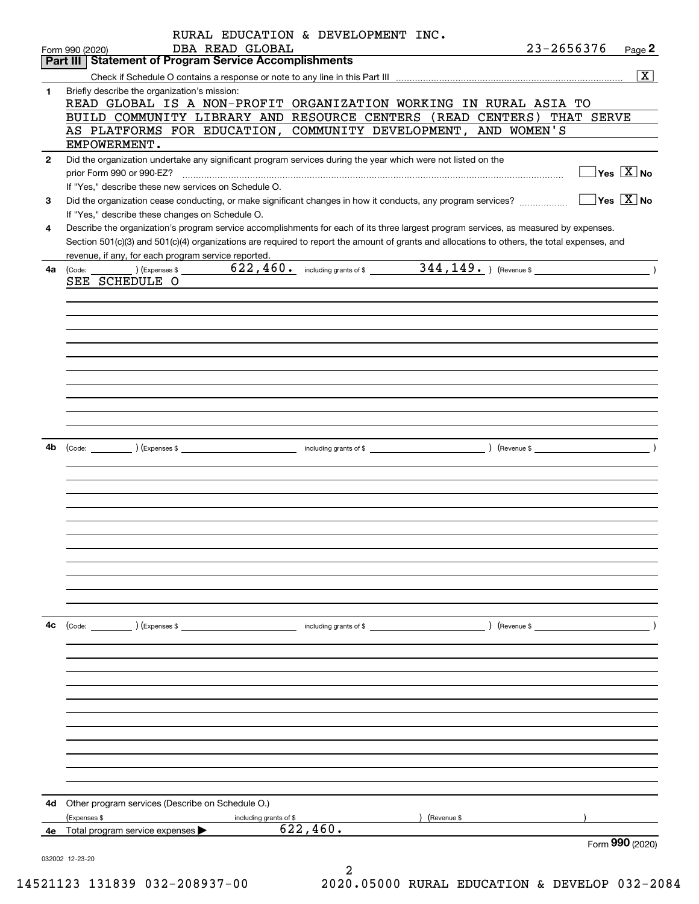|              | RURAL EDUCATION & DEVELOPMENT INC.                                                                                                           |           |               |                      |                                                 |
|--------------|----------------------------------------------------------------------------------------------------------------------------------------------|-----------|---------------|----------------------|-------------------------------------------------|
|              | DBA READ GLOBAL<br>Form 990 (2020)                                                                                                           |           |               | $23 - 2656376$       | Page 2                                          |
|              | <b>Part III Statement of Program Service Accomplishments</b>                                                                                 |           |               |                      |                                                 |
|              |                                                                                                                                              |           |               |                      | $\vert X \vert$                                 |
| 1            | Briefly describe the organization's mission:<br>READ GLOBAL IS A NON-PROFIT ORGANIZATION WORKING IN RURAL ASIA TO                            |           |               |                      |                                                 |
|              | BUILD COMMUNITY LIBRARY AND RESOURCE CENTERS (READ CENTERS) THAT SERVE                                                                       |           |               |                      |                                                 |
|              | AS PLATFORMS FOR EDUCATION, COMMUNITY DEVELOPMENT, AND WOMEN'S                                                                               |           |               |                      |                                                 |
|              | EMPOWERMENT.                                                                                                                                 |           |               |                      |                                                 |
| $\mathbf{2}$ | Did the organization undertake any significant program services during the year which were not listed on the                                 |           |               |                      |                                                 |
|              | prior Form 990 or 990-EZ?                                                                                                                    |           |               |                      | $\boxed{\phantom{1}}$ Yes $\boxed{\text{X}}$ No |
|              | If "Yes," describe these new services on Schedule O.                                                                                         |           |               |                      |                                                 |
| 3            | Did the organization cease conducting, or make significant changes in how it conducts, any program services?                                 |           |               | $\Box$ Yes $\Box$ No |                                                 |
|              | If "Yes," describe these changes on Schedule O.                                                                                              |           |               |                      |                                                 |
| 4            | Describe the organization's program service accomplishments for each of its three largest program services, as measured by expenses.         |           |               |                      |                                                 |
|              | Section 501(c)(3) and 501(c)(4) organizations are required to report the amount of grants and allocations to others, the total expenses, and |           |               |                      |                                                 |
|              | revenue, if any, for each program service reported.                                                                                          |           |               |                      |                                                 |
| 4a           | (Code:                                                                                                                                       |           |               |                      |                                                 |
|              | SEE SCHEDULE O                                                                                                                               |           |               |                      |                                                 |
|              |                                                                                                                                              |           |               |                      |                                                 |
|              |                                                                                                                                              |           |               |                      |                                                 |
|              |                                                                                                                                              |           |               |                      |                                                 |
|              |                                                                                                                                              |           |               |                      |                                                 |
|              |                                                                                                                                              |           |               |                      |                                                 |
|              |                                                                                                                                              |           |               |                      |                                                 |
|              |                                                                                                                                              |           |               |                      |                                                 |
|              |                                                                                                                                              |           |               |                      |                                                 |
|              |                                                                                                                                              |           |               |                      |                                                 |
|              |                                                                                                                                              |           |               |                      |                                                 |
| 4b           |                                                                                                                                              |           |               |                      |                                                 |
|              |                                                                                                                                              |           |               |                      |                                                 |
|              |                                                                                                                                              |           |               |                      |                                                 |
|              |                                                                                                                                              |           |               |                      |                                                 |
|              |                                                                                                                                              |           |               |                      |                                                 |
|              |                                                                                                                                              |           |               |                      |                                                 |
|              |                                                                                                                                              |           |               |                      |                                                 |
|              |                                                                                                                                              |           |               |                      |                                                 |
|              |                                                                                                                                              |           |               |                      |                                                 |
|              |                                                                                                                                              |           |               |                      |                                                 |
|              |                                                                                                                                              |           |               |                      |                                                 |
|              |                                                                                                                                              |           |               |                      |                                                 |
|              |                                                                                                                                              |           |               |                      |                                                 |
| 4с           |                                                                                                                                              |           |               | $($ Revenue \$ $)$   |                                                 |
|              |                                                                                                                                              |           |               |                      |                                                 |
|              |                                                                                                                                              |           |               |                      |                                                 |
|              |                                                                                                                                              |           |               |                      |                                                 |
|              |                                                                                                                                              |           |               |                      |                                                 |
|              |                                                                                                                                              |           |               |                      |                                                 |
|              |                                                                                                                                              |           |               |                      |                                                 |
|              |                                                                                                                                              |           |               |                      |                                                 |
|              |                                                                                                                                              |           |               |                      |                                                 |
|              |                                                                                                                                              |           |               |                      |                                                 |
|              |                                                                                                                                              |           |               |                      |                                                 |
|              |                                                                                                                                              |           |               |                      |                                                 |
|              | 4d Other program services (Describe on Schedule O.)                                                                                          |           |               |                      |                                                 |
|              | (Expenses \$<br>including grants of \$                                                                                                       |           | ) (Revenue \$ |                      |                                                 |
| 4е           | Total program service expenses                                                                                                               | 622, 460. |               |                      |                                                 |
|              |                                                                                                                                              |           |               |                      | Form 990 (2020)                                 |
|              | 032002 12-23-20                                                                                                                              |           |               |                      |                                                 |
|              |                                                                                                                                              |           |               |                      |                                                 |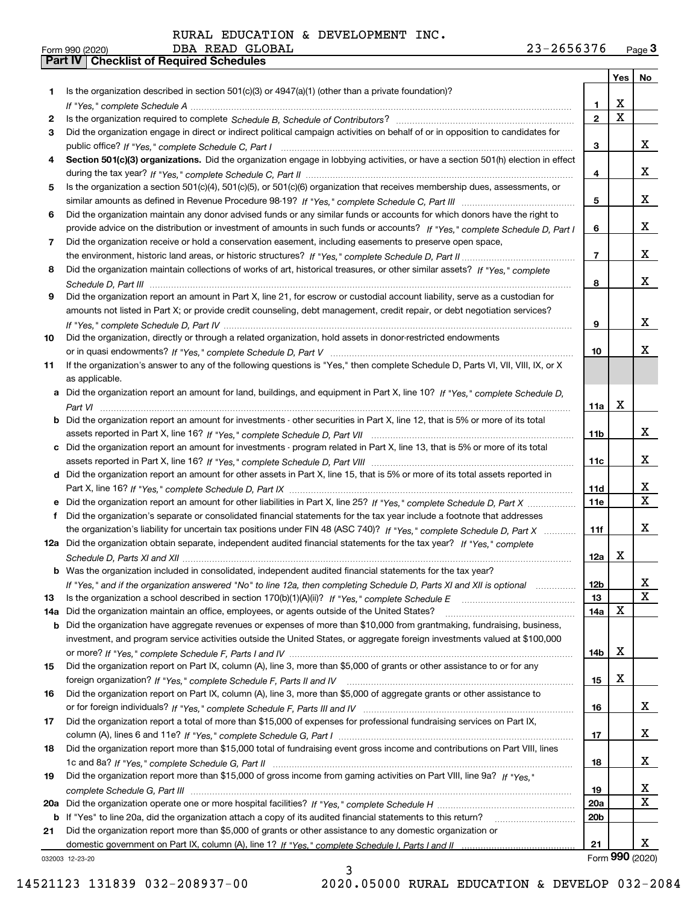|       |                                                                                                                                                                                                                                                   |                               | Yes         | No              |
|-------|---------------------------------------------------------------------------------------------------------------------------------------------------------------------------------------------------------------------------------------------------|-------------------------------|-------------|-----------------|
| 1     | Is the organization described in section $501(c)(3)$ or $4947(a)(1)$ (other than a private foundation)?                                                                                                                                           |                               |             |                 |
|       |                                                                                                                                                                                                                                                   | 1.                            | X           |                 |
| 2     |                                                                                                                                                                                                                                                   | $\overline{2}$                | $\mathbf X$ |                 |
| 3     | Did the organization engage in direct or indirect political campaign activities on behalf of or in opposition to candidates for                                                                                                                   |                               |             |                 |
|       |                                                                                                                                                                                                                                                   | 3                             |             | x               |
| 4     | Section 501(c)(3) organizations. Did the organization engage in lobbying activities, or have a section 501(h) election in effect                                                                                                                  |                               |             |                 |
|       |                                                                                                                                                                                                                                                   | 4                             |             | x               |
| 5     | Is the organization a section 501(c)(4), 501(c)(5), or 501(c)(6) organization that receives membership dues, assessments, or                                                                                                                      |                               |             | x               |
|       |                                                                                                                                                                                                                                                   | 5                             |             |                 |
| 6     | Did the organization maintain any donor advised funds or any similar funds or accounts for which donors have the right to                                                                                                                         | 6                             |             | x               |
| 7     | provide advice on the distribution or investment of amounts in such funds or accounts? If "Yes," complete Schedule D, Part I<br>Did the organization receive or hold a conservation easement, including easements to preserve open space,         |                               |             |                 |
|       |                                                                                                                                                                                                                                                   | $\overline{7}$                |             | x               |
| 8     | Did the organization maintain collections of works of art, historical treasures, or other similar assets? If "Yes," complete                                                                                                                      |                               |             |                 |
|       |                                                                                                                                                                                                                                                   | 8                             |             | x               |
| 9     | Did the organization report an amount in Part X, line 21, for escrow or custodial account liability, serve as a custodian for                                                                                                                     |                               |             |                 |
|       | amounts not listed in Part X; or provide credit counseling, debt management, credit repair, or debt negotiation services?                                                                                                                         |                               |             |                 |
|       |                                                                                                                                                                                                                                                   | 9                             |             | x               |
| 10    | Did the organization, directly or through a related organization, hold assets in donor-restricted endowments                                                                                                                                      |                               |             |                 |
|       |                                                                                                                                                                                                                                                   | 10                            |             | x               |
| 11    | If the organization's answer to any of the following questions is "Yes," then complete Schedule D, Parts VI, VII, VIII, IX, or X                                                                                                                  |                               |             |                 |
|       | as applicable.                                                                                                                                                                                                                                    |                               |             |                 |
|       | a Did the organization report an amount for land, buildings, and equipment in Part X, line 10? If "Yes," complete Schedule D.                                                                                                                     |                               |             |                 |
|       |                                                                                                                                                                                                                                                   | 11a                           | X           |                 |
|       | <b>b</b> Did the organization report an amount for investments - other securities in Part X, line 12, that is 5% or more of its total                                                                                                             |                               |             |                 |
|       |                                                                                                                                                                                                                                                   | 11 <sub>b</sub>               |             | x               |
|       | c Did the organization report an amount for investments - program related in Part X, line 13, that is 5% or more of its total                                                                                                                     |                               |             |                 |
|       |                                                                                                                                                                                                                                                   | 11c                           |             | x               |
|       | d Did the organization report an amount for other assets in Part X, line 15, that is 5% or more of its total assets reported in                                                                                                                   |                               |             |                 |
|       |                                                                                                                                                                                                                                                   | 11d                           |             | x<br>X          |
|       |                                                                                                                                                                                                                                                   | <b>11e</b>                    |             |                 |
| f     | Did the organization's separate or consolidated financial statements for the tax year include a footnote that addresses                                                                                                                           |                               |             | x               |
|       | the organization's liability for uncertain tax positions under FIN 48 (ASC 740)? If "Yes," complete Schedule D, Part X<br>12a Did the organization obtain separate, independent audited financial statements for the tax year? If "Yes," complete | 11f                           |             |                 |
|       |                                                                                                                                                                                                                                                   | 12a                           | х           |                 |
|       | <b>b</b> Was the organization included in consolidated, independent audited financial statements for the tax year?                                                                                                                                |                               |             |                 |
|       | If "Yes," and if the organization answered "No" to line 12a, then completing Schedule D, Parts XI and XII is optional <i>maniman</i> .                                                                                                            | 12b                           |             | ᅀ               |
| 13    |                                                                                                                                                                                                                                                   | 13                            |             | X               |
| 14a l | Did the organization maintain an office, employees, or agents outside of the United States?                                                                                                                                                       | 14a                           | X           |                 |
|       | <b>b</b> Did the organization have aggregate revenues or expenses of more than \$10,000 from grantmaking, fundraising, business,                                                                                                                  |                               |             |                 |
|       | investment, and program service activities outside the United States, or aggregate foreign investments valued at \$100,000                                                                                                                        |                               |             |                 |
|       |                                                                                                                                                                                                                                                   | 14b                           | х           |                 |
| 15    | Did the organization report on Part IX, column (A), line 3, more than \$5,000 of grants or other assistance to or for any                                                                                                                         |                               |             |                 |
|       |                                                                                                                                                                                                                                                   | 15                            | х           |                 |
| 16    | Did the organization report on Part IX, column (A), line 3, more than \$5,000 of aggregate grants or other assistance to                                                                                                                          |                               |             |                 |
|       |                                                                                                                                                                                                                                                   | 16                            |             | x               |
| 17    | Did the organization report a total of more than \$15,000 of expenses for professional fundraising services on Part IX,                                                                                                                           |                               |             |                 |
|       |                                                                                                                                                                                                                                                   | 17                            |             | x               |
| 18    | Did the organization report more than \$15,000 total of fundraising event gross income and contributions on Part VIII, lines                                                                                                                      |                               |             |                 |
|       |                                                                                                                                                                                                                                                   | 18                            |             | x               |
| 19    | Did the organization report more than \$15,000 of gross income from gaming activities on Part VIII, line 9a? If "Yes."                                                                                                                            |                               |             |                 |
|       |                                                                                                                                                                                                                                                   | 19                            |             | x<br>X          |
|       |                                                                                                                                                                                                                                                   | <b>20a</b><br>20 <sub>b</sub> |             |                 |
| 21    | b If "Yes" to line 20a, did the organization attach a copy of its audited financial statements to this return?<br>Did the organization report more than \$5,000 of grants or other assistance to any domestic organization or                     |                               |             |                 |
|       |                                                                                                                                                                                                                                                   | 21                            |             | x               |
|       | 032003 12-23-20                                                                                                                                                                                                                                   |                               |             | Form 990 (2020) |

032003 12-23-20

14521123 131839 032-208937-00 2020.05000 RURAL EDUCATION & DEVELOP 032-2084

3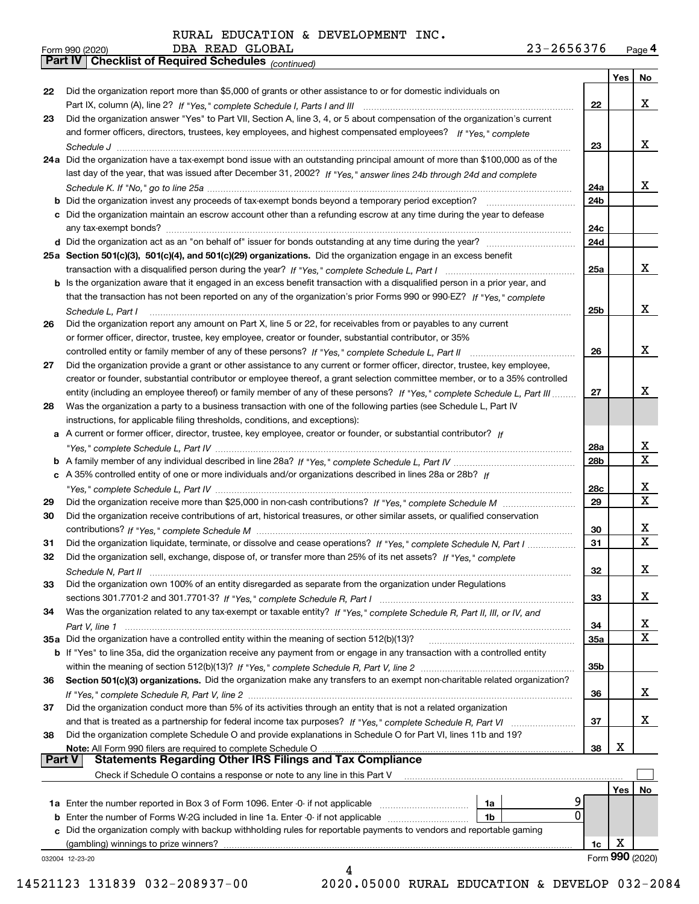|               | 23-2656376<br>DBA READ GLOBAL<br>Form 990 (2020)                                                                              |            |     | Page 4           |
|---------------|-------------------------------------------------------------------------------------------------------------------------------|------------|-----|------------------|
|               | Part IV   Checklist of Required Schedules (continued)                                                                         |            |     |                  |
|               |                                                                                                                               |            | Yes | No               |
| 22            | Did the organization report more than \$5,000 of grants or other assistance to or for domestic individuals on                 |            |     |                  |
|               |                                                                                                                               | 22         |     | х                |
| 23            | Did the organization answer "Yes" to Part VII, Section A, line 3, 4, or 5 about compensation of the organization's current    |            |     |                  |
|               | and former officers, directors, trustees, key employees, and highest compensated employees? If "Yes." complete                |            |     |                  |
|               |                                                                                                                               | 23         |     | X                |
|               | 24a Did the organization have a tax-exempt bond issue with an outstanding principal amount of more than \$100,000 as of the   |            |     |                  |
|               | last day of the year, that was issued after December 31, 2002? If "Yes," answer lines 24b through 24d and complete            |            |     |                  |
|               |                                                                                                                               | 24a        |     | x                |
|               | <b>b</b> Did the organization invest any proceeds of tax-exempt bonds beyond a temporary period exception? <i>mmmmmmmmmmm</i> | 24b        |     |                  |
|               | c Did the organization maintain an escrow account other than a refunding escrow at any time during the year to defease        |            |     |                  |
|               |                                                                                                                               | 24c        |     |                  |
|               |                                                                                                                               | 24d        |     |                  |
|               | 25a Section 501(c)(3), 501(c)(4), and 501(c)(29) organizations. Did the organization engage in an excess benefit              |            |     |                  |
|               |                                                                                                                               | 25a        |     | x                |
|               | b Is the organization aware that it engaged in an excess benefit transaction with a disqualified person in a prior year, and  |            |     |                  |
|               | that the transaction has not been reported on any of the organization's prior Forms 990 or 990-EZ? If "Yes," complete         |            |     |                  |
|               | Schedule L, Part I                                                                                                            | 25b        |     | x                |
| 26            | Did the organization report any amount on Part X, line 5 or 22, for receivables from or payables to any current               |            |     |                  |
|               | or former officer, director, trustee, key employee, creator or founder, substantial contributor, or 35%                       |            |     |                  |
|               | controlled entity or family member of any of these persons? If "Yes," complete Schedule L, Part II                            | 26         |     | x                |
| 27            | Did the organization provide a grant or other assistance to any current or former officer, director, trustee, key employee,   |            |     |                  |
|               | creator or founder, substantial contributor or employee thereof, a grant selection committee member, or to a 35% controlled   |            |     |                  |
|               | entity (including an employee thereof) or family member of any of these persons? If "Yes," complete Schedule L, Part III      | 27         |     | х                |
|               |                                                                                                                               |            |     |                  |
| 28            | Was the organization a party to a business transaction with one of the following parties (see Schedule L, Part IV             |            |     |                  |
|               | instructions, for applicable filing thresholds, conditions, and exceptions):                                                  |            |     |                  |
| а             | A current or former officer, director, trustee, key employee, creator or founder, or substantial contributor? If              |            |     | x                |
|               |                                                                                                                               | 28a        |     | $\mathbf x$      |
|               |                                                                                                                               | 28b        |     |                  |
|               | c A 35% controlled entity of one or more individuals and/or organizations described in lines 28a or 28b? If                   |            |     |                  |
|               |                                                                                                                               | 28c        |     | x<br>$\mathbf X$ |
| 29            |                                                                                                                               | 29         |     |                  |
| 30            | Did the organization receive contributions of art, historical treasures, or other similar assets, or qualified conservation   |            |     |                  |
|               |                                                                                                                               | 30         |     | x<br>X           |
| 31            | Did the organization liquidate, terminate, or dissolve and cease operations? If "Yes," complete Schedule N, Part I            | 31         |     |                  |
| 32            | Did the organization sell, exchange, dispose of, or transfer more than 25% of its net assets? If "Yes," complete              |            |     |                  |
|               |                                                                                                                               | 32         |     | x                |
| 33            | Did the organization own 100% of an entity disregarded as separate from the organization under Regulations                    |            |     |                  |
|               |                                                                                                                               | 33         |     | X.               |
| 34            | Was the organization related to any tax-exempt or taxable entity? If "Yes," complete Schedule R, Part II, III, or IV, and     |            |     |                  |
|               |                                                                                                                               | 34         |     | х                |
|               | 35a Did the organization have a controlled entity within the meaning of section 512(b)(13)?                                   | <b>35a</b> |     | $\mathbf x$      |
|               | b If "Yes" to line 35a, did the organization receive any payment from or engage in any transaction with a controlled entity   |            |     |                  |
|               |                                                                                                                               | 35b        |     |                  |
| 36            | Section 501(c)(3) organizations. Did the organization make any transfers to an exempt non-charitable related organization?    |            |     |                  |
|               |                                                                                                                               | 36         |     | x                |
| 37            | Did the organization conduct more than 5% of its activities through an entity that is not a related organization              |            |     |                  |
|               |                                                                                                                               | 37         |     | х                |
| 38            | Did the organization complete Schedule O and provide explanations in Schedule O for Part VI, lines 11b and 19?                |            |     |                  |
|               | Note: All Form 990 filers are required to complete Schedule O                                                                 | 38         | х   |                  |
| <b>Part V</b> | <b>Statements Regarding Other IRS Filings and Tax Compliance</b>                                                              |            |     |                  |
|               | Check if Schedule O contains a response or note to any line in this Part V                                                    |            |     |                  |
|               |                                                                                                                               |            | Yes | No               |
|               | 9<br>1a                                                                                                                       |            |     |                  |
| b             | 0<br>1 <sub>b</sub><br>Enter the number of Forms W-2G included in line 1a. Enter -0- if not applicable                        |            |     |                  |
| c.            | Did the organization comply with backup withholding rules for reportable payments to vendors and reportable gaming            |            |     |                  |
|               |                                                                                                                               | 1c         | х   |                  |

032004 12-23-20

14521123 131839 032-208937-00 2020.05000 RURAL EDUCATION & DEVELOP 032-2084

Form (2020) **990**

4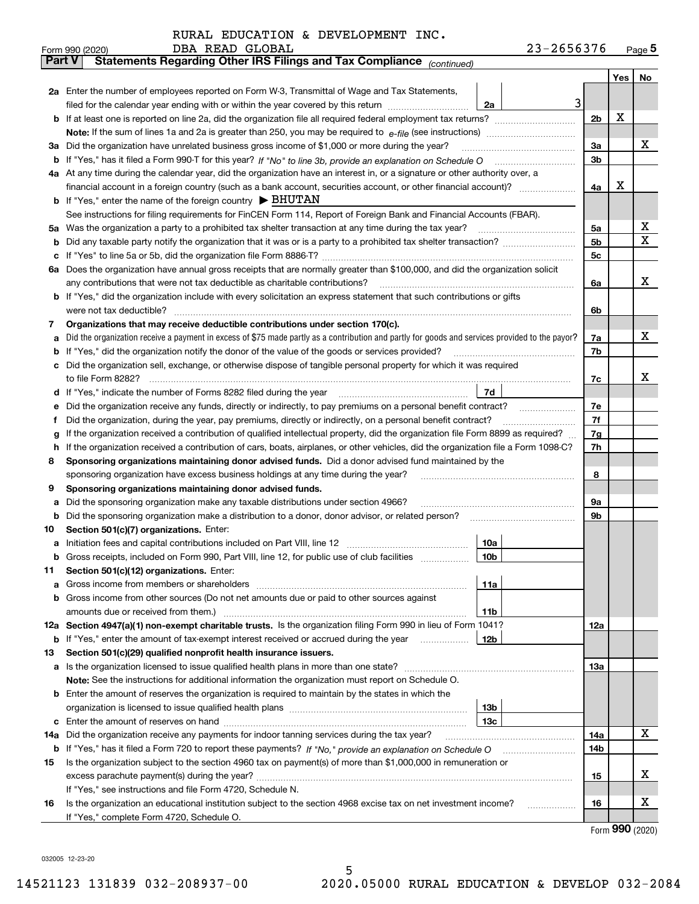|  | RURAL EDUCATION & DEVELOPMENT INC. |
|--|------------------------------------|

|               | 23-2656376<br>DBA READ GLOBAL<br>Form 990 (2020)                                                                                                                                                                                |                |     | Page $5$ |  |  |  |  |  |  |  |
|---------------|---------------------------------------------------------------------------------------------------------------------------------------------------------------------------------------------------------------------------------|----------------|-----|----------|--|--|--|--|--|--|--|
| <b>Part V</b> | Statements Regarding Other IRS Filings and Tax Compliance (continued)                                                                                                                                                           |                |     |          |  |  |  |  |  |  |  |
|               |                                                                                                                                                                                                                                 |                | Yes | No       |  |  |  |  |  |  |  |
|               | 2a Enter the number of employees reported on Form W-3, Transmittal of Wage and Tax Statements,                                                                                                                                  |                |     |          |  |  |  |  |  |  |  |
|               | filed for the calendar year ending with or within the year covered by this return<br>2a                                                                                                                                         | 3              | Х   |          |  |  |  |  |  |  |  |
|               |                                                                                                                                                                                                                                 |                |     |          |  |  |  |  |  |  |  |
|               |                                                                                                                                                                                                                                 |                |     |          |  |  |  |  |  |  |  |
|               | 3a Did the organization have unrelated business gross income of \$1,000 or more during the year?                                                                                                                                | 3a             |     | х        |  |  |  |  |  |  |  |
|               |                                                                                                                                                                                                                                 | 3b             |     |          |  |  |  |  |  |  |  |
|               | 4a At any time during the calendar year, did the organization have an interest in, or a signature or other authority over, a                                                                                                    |                |     |          |  |  |  |  |  |  |  |
|               |                                                                                                                                                                                                                                 | 4a             | х   |          |  |  |  |  |  |  |  |
|               | <b>b</b> If "Yes," enter the name of the foreign country $\triangleright$ BHUTAN                                                                                                                                                |                |     |          |  |  |  |  |  |  |  |
|               | See instructions for filing requirements for FinCEN Form 114, Report of Foreign Bank and Financial Accounts (FBAR).                                                                                                             |                |     |          |  |  |  |  |  |  |  |
| 5a            | Was the organization a party to a prohibited tax shelter transaction at any time during the tax year?                                                                                                                           | 5а             |     | X        |  |  |  |  |  |  |  |
| b             |                                                                                                                                                                                                                                 | 5 <sub>b</sub> |     | X        |  |  |  |  |  |  |  |
| с             |                                                                                                                                                                                                                                 | 5c             |     |          |  |  |  |  |  |  |  |
|               | 6a Does the organization have annual gross receipts that are normally greater than \$100,000, and did the organization solicit                                                                                                  |                |     |          |  |  |  |  |  |  |  |
|               | any contributions that were not tax deductible as charitable contributions?                                                                                                                                                     | 6a             |     | x        |  |  |  |  |  |  |  |
|               | b If "Yes," did the organization include with every solicitation an express statement that such contributions or gifts                                                                                                          |                |     |          |  |  |  |  |  |  |  |
|               | were not tax deductible?                                                                                                                                                                                                        | 6b             |     |          |  |  |  |  |  |  |  |
| 7             | Organizations that may receive deductible contributions under section 170(c).                                                                                                                                                   |                |     |          |  |  |  |  |  |  |  |
| a             | Did the organization receive a payment in excess of \$75 made partly as a contribution and partly for goods and services provided to the payor?                                                                                 | 7a             |     | х        |  |  |  |  |  |  |  |
| b             | If "Yes," did the organization notify the donor of the value of the goods or services provided?                                                                                                                                 | 7b             |     |          |  |  |  |  |  |  |  |
|               | Did the organization sell, exchange, or otherwise dispose of tangible personal property for which it was required                                                                                                               |                |     | x        |  |  |  |  |  |  |  |
|               | 7d                                                                                                                                                                                                                              | 7c             |     |          |  |  |  |  |  |  |  |
| d             |                                                                                                                                                                                                                                 | 7e             |     |          |  |  |  |  |  |  |  |
| е<br>f        | Did the organization receive any funds, directly or indirectly, to pay premiums on a personal benefit contract?<br>Did the organization, during the year, pay premiums, directly or indirectly, on a personal benefit contract? | 7f             |     |          |  |  |  |  |  |  |  |
| g             | If the organization received a contribution of qualified intellectual property, did the organization file Form 8899 as required?                                                                                                | 7g             |     |          |  |  |  |  |  |  |  |
| h.            | If the organization received a contribution of cars, boats, airplanes, or other vehicles, did the organization file a Form 1098-C?                                                                                              | 7h             |     |          |  |  |  |  |  |  |  |
| 8             | Sponsoring organizations maintaining donor advised funds. Did a donor advised fund maintained by the                                                                                                                            |                |     |          |  |  |  |  |  |  |  |
|               | sponsoring organization have excess business holdings at any time during the year?                                                                                                                                              | 8              |     |          |  |  |  |  |  |  |  |
| 9             | Sponsoring organizations maintaining donor advised funds.                                                                                                                                                                       |                |     |          |  |  |  |  |  |  |  |
| a             | Did the sponsoring organization make any taxable distributions under section 4966?                                                                                                                                              | 9а             |     |          |  |  |  |  |  |  |  |
| b             | Did the sponsoring organization make a distribution to a donor, donor advisor, or related person?                                                                                                                               | 9b             |     |          |  |  |  |  |  |  |  |
| 10            | Section 501(c)(7) organizations. Enter:                                                                                                                                                                                         |                |     |          |  |  |  |  |  |  |  |
|               | 10a                                                                                                                                                                                                                             |                |     |          |  |  |  |  |  |  |  |
|               | 10b <br>Gross receipts, included on Form 990, Part VIII, line 12, for public use of club facilities                                                                                                                             |                |     |          |  |  |  |  |  |  |  |
| 11            | Section 501(c)(12) organizations. Enter:                                                                                                                                                                                        |                |     |          |  |  |  |  |  |  |  |
| a             | Gross income from members or shareholders<br>11a                                                                                                                                                                                |                |     |          |  |  |  |  |  |  |  |
|               | b Gross income from other sources (Do not net amounts due or paid to other sources against                                                                                                                                      |                |     |          |  |  |  |  |  |  |  |
|               | 11b                                                                                                                                                                                                                             |                |     |          |  |  |  |  |  |  |  |
|               | 12a Section 4947(a)(1) non-exempt charitable trusts. Is the organization filing Form 990 in lieu of Form 1041?                                                                                                                  | 12a            |     |          |  |  |  |  |  |  |  |
|               | 12 <sub>b</sub><br><b>b</b> If "Yes," enter the amount of tax-exempt interest received or accrued during the year <i>manument</i>                                                                                               |                |     |          |  |  |  |  |  |  |  |
| 13            | Section 501(c)(29) qualified nonprofit health insurance issuers.                                                                                                                                                                |                |     |          |  |  |  |  |  |  |  |
|               | <b>a</b> Is the organization licensed to issue qualified health plans in more than one state?                                                                                                                                   | <b>13a</b>     |     |          |  |  |  |  |  |  |  |
|               | Note: See the instructions for additional information the organization must report on Schedule O.                                                                                                                               |                |     |          |  |  |  |  |  |  |  |
|               | <b>b</b> Enter the amount of reserves the organization is required to maintain by the states in which the                                                                                                                       |                |     |          |  |  |  |  |  |  |  |
|               | 13 <sub>b</sub>                                                                                                                                                                                                                 |                |     |          |  |  |  |  |  |  |  |
|               | 13c                                                                                                                                                                                                                             |                |     |          |  |  |  |  |  |  |  |
| 14a           | Did the organization receive any payments for indoor tanning services during the tax year?                                                                                                                                      | 14a            |     | х        |  |  |  |  |  |  |  |
|               | <b>b</b> If "Yes," has it filed a Form 720 to report these payments? If "No," provide an explanation on Schedule O                                                                                                              | 14b            |     |          |  |  |  |  |  |  |  |
| 15            | Is the organization subject to the section 4960 tax on payment(s) of more than \$1,000,000 in remuneration or                                                                                                                   |                |     |          |  |  |  |  |  |  |  |
|               |                                                                                                                                                                                                                                 | 15             |     | х        |  |  |  |  |  |  |  |
|               | If "Yes," see instructions and file Form 4720, Schedule N.                                                                                                                                                                      |                |     |          |  |  |  |  |  |  |  |
| 16            | Is the organization an educational institution subject to the section 4968 excise tax on net investment income?                                                                                                                 | 16             |     | X        |  |  |  |  |  |  |  |
|               | If "Yes," complete Form 4720, Schedule O.                                                                                                                                                                                       |                |     |          |  |  |  |  |  |  |  |

5

Form (2020) **990**

032005 12-23-20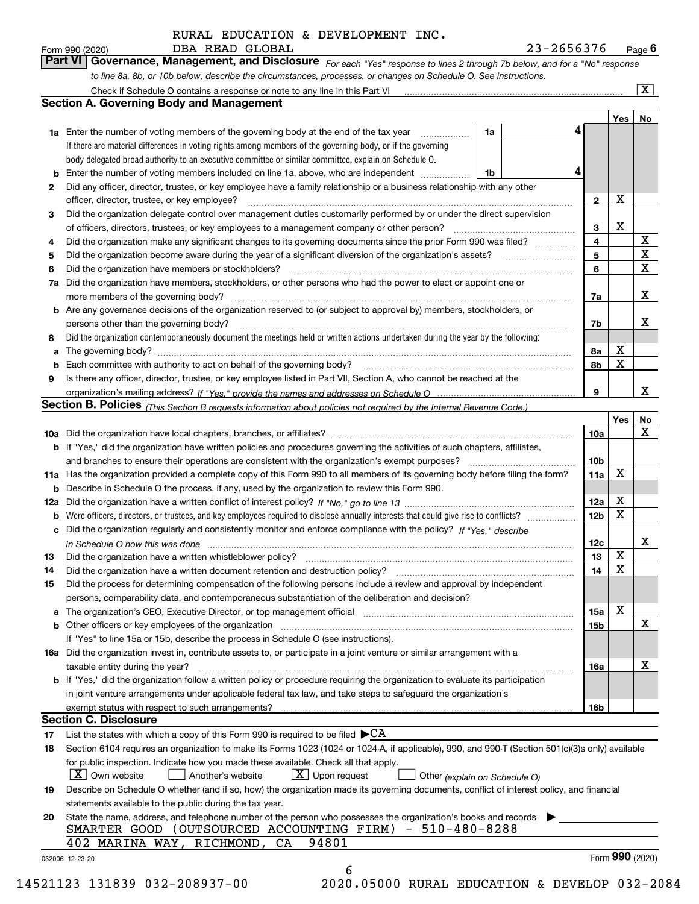### DBA READ GLOBAL RURAL EDUCATION & DEVELOPMENT INC.

| Form 990 (2020)                                                                                                  |                                                                             |  | DBA READ GLOBAL | $23 - 2656376$                                                                                                                     | Page $6$ |  |  |  |  |
|------------------------------------------------------------------------------------------------------------------|-----------------------------------------------------------------------------|--|-----------------|------------------------------------------------------------------------------------------------------------------------------------|----------|--|--|--|--|
|                                                                                                                  |                                                                             |  |                 | <b>Part VI Governance, Management, and Disclosure</b> For each "Yes" response to lines 2 through 7b below, and for a "No" response |          |  |  |  |  |
| to line 8a, 8b, or 10b below, describe the circumstances, processes, or changes on Schedule O. See instructions. |                                                                             |  |                 |                                                                                                                                    |          |  |  |  |  |
|                                                                                                                  | Check if Schedule O contains a response or note to any line in this Part VI |  |                 |                                                                                                                                    |          |  |  |  |  |

|    |                                                                                                                                                                                                                                |    |   |                 | Yes             | No          |
|----|--------------------------------------------------------------------------------------------------------------------------------------------------------------------------------------------------------------------------------|----|---|-----------------|-----------------|-------------|
|    | <b>1a</b> Enter the number of voting members of the governing body at the end of the tax year                                                                                                                                  | 1a | 4 |                 |                 |             |
|    | If there are material differences in voting rights among members of the governing body, or if the governing<br>body delegated broad authority to an executive committee or similar committee, explain on Schedule O.           |    |   |                 |                 |             |
| b  | Enter the number of voting members included on line 1a, above, who are independent <i>managerery</i>                                                                                                                           | 1b |   |                 |                 |             |
| 2  | Did any officer, director, trustee, or key employee have a family relationship or a business relationship with any other<br>officer, director, trustee, or key employee?                                                       |    |   | $\mathbf{2}$    | X               |             |
| з  | Did the organization delegate control over management duties customarily performed by or under the direct supervision                                                                                                          |    |   |                 |                 |             |
|    | of officers, directors, trustees, or key employees to a management company or other person?                                                                                                                                    |    |   | 3               | X               |             |
| 4  | Did the organization make any significant changes to its governing documents since the prior Form 990 was filed?                                                                                                               |    |   | 4               |                 | $\mathbf X$ |
| 5  |                                                                                                                                                                                                                                |    |   | 5               |                 | $\mathbf X$ |
| 6  | Did the organization have members or stockholders?                                                                                                                                                                             |    |   | 6               |                 | X           |
| 7a | Did the organization have members, stockholders, or other persons who had the power to elect or appoint one or                                                                                                                 |    |   |                 |                 |             |
|    | more members of the governing body?                                                                                                                                                                                            |    |   | 7a              |                 | х           |
|    | <b>b</b> Are any governance decisions of the organization reserved to (or subject to approval by) members, stockholders, or                                                                                                    |    |   |                 |                 |             |
|    | persons other than the governing body?                                                                                                                                                                                         |    |   | 7b              |                 | х           |
| 8  | Did the organization contemporaneously document the meetings held or written actions undertaken during the year by the following:                                                                                              |    |   |                 |                 |             |
| a  |                                                                                                                                                                                                                                |    |   | 8a              | х               |             |
| b  | Each committee with authority to act on behalf of the governing body?                                                                                                                                                          |    |   | 8b              | X               |             |
| 9  | Is there any officer, director, trustee, or key employee listed in Part VII, Section A, who cannot be reached at the                                                                                                           |    |   |                 |                 |             |
|    |                                                                                                                                                                                                                                |    |   | 9               |                 | x           |
|    | Section B. Policies <i>(This Section B requests information about policies not required by the Internal Revenue Code.)</i>                                                                                                     |    |   |                 |                 |             |
|    |                                                                                                                                                                                                                                |    |   |                 | Yes             | No          |
|    |                                                                                                                                                                                                                                |    |   | 10a             |                 | X           |
|    | <b>b</b> If "Yes," did the organization have written policies and procedures governing the activities of such chapters, affiliates,                                                                                            |    |   |                 |                 |             |
|    | and branches to ensure their operations are consistent with the organization's exempt purposes?                                                                                                                                |    |   | 10b             |                 |             |
|    | 11a Has the organization provided a complete copy of this Form 990 to all members of its governing body before filing the form?                                                                                                |    |   | 11a             | X               |             |
|    | <b>b</b> Describe in Schedule O the process, if any, used by the organization to review this Form 990.                                                                                                                         |    |   |                 |                 |             |
|    |                                                                                                                                                                                                                                |    |   | 12a             | X               |             |
|    | <b>b</b> Were officers, directors, or trustees, and key employees required to disclose annually interests that could give rise to conflicts?                                                                                   |    |   | 12 <sub>b</sub> | X               |             |
| c  | Did the organization regularly and consistently monitor and enforce compliance with the policy? If "Yes." describe                                                                                                             |    |   |                 |                 |             |
|    | in Schedule O how this was done measured and the control of the control of the state of the control of the control of the control of the control of the control of the control of the control of the control of the control of |    |   | 12c             |                 | х           |
| 13 | Did the organization have a written whistleblower policy?                                                                                                                                                                      |    |   | 13              | X               |             |
| 14 | Did the organization have a written document retention and destruction policy?                                                                                                                                                 |    |   | 14              | X               |             |
| 15 | Did the process for determining compensation of the following persons include a review and approval by independent                                                                                                             |    |   |                 |                 |             |
|    | persons, comparability data, and contemporaneous substantiation of the deliberation and decision?                                                                                                                              |    |   |                 |                 |             |
|    | The organization's CEO, Executive Director, or top management official [111] [11] manument content of the organization's CEO, Executive Director, or top management official [11] manument content of the original content of  |    |   | 15a             | X               |             |
|    | <b>b</b> Other officers or key employees of the organization                                                                                                                                                                   |    |   | 15 <sub>b</sub> |                 | $\mathbf X$ |
|    | If "Yes" to line 15a or 15b, describe the process in Schedule O (see instructions).                                                                                                                                            |    |   |                 |                 |             |
|    | 16a Did the organization invest in, contribute assets to, or participate in a joint venture or similar arrangement with a                                                                                                      |    |   |                 |                 |             |
|    | taxable entity during the year?                                                                                                                                                                                                |    |   | 16a             |                 | х           |
|    | b If "Yes," did the organization follow a written policy or procedure requiring the organization to evaluate its participation                                                                                                 |    |   |                 |                 |             |
|    | in joint venture arrangements under applicable federal tax law, and take steps to safeguard the organization's                                                                                                                 |    |   |                 |                 |             |
|    | exempt status with respect to such arrangements?                                                                                                                                                                               |    |   | 16b             |                 |             |
|    | <b>Section C. Disclosure</b>                                                                                                                                                                                                   |    |   |                 |                 |             |
| 17 | List the states with which a copy of this Form 990 is required to be filed $\blacktriangleright$ CA                                                                                                                            |    |   |                 |                 |             |
| 18 | Section 6104 requires an organization to make its Forms 1023 (1024 or 1024-A, if applicable), 990, and 990-T (Section 501(c)(3)s only) available                                                                               |    |   |                 |                 |             |
|    | for public inspection. Indicate how you made these available. Check all that apply.                                                                                                                                            |    |   |                 |                 |             |
|    | $X$ Own website<br>$X$ Upon request<br>Another's website<br>Other (explain on Schedule O)                                                                                                                                      |    |   |                 |                 |             |
| 19 | Describe on Schedule O whether (and if so, how) the organization made its governing documents, conflict of interest policy, and financial                                                                                      |    |   |                 |                 |             |
|    | statements available to the public during the tax year.                                                                                                                                                                        |    |   |                 |                 |             |
|    | State the name, address, and telephone number of the person who possesses the organization's books and records<br>SMARTER GOOD (OUTSOURCED ACCOUNTING FIRM) - 510-480-8288                                                     |    |   |                 |                 |             |
| 20 | 402 MARINA WAY, RICHMOND, CA<br>94801                                                                                                                                                                                          |    |   |                 | Form 990 (2020) |             |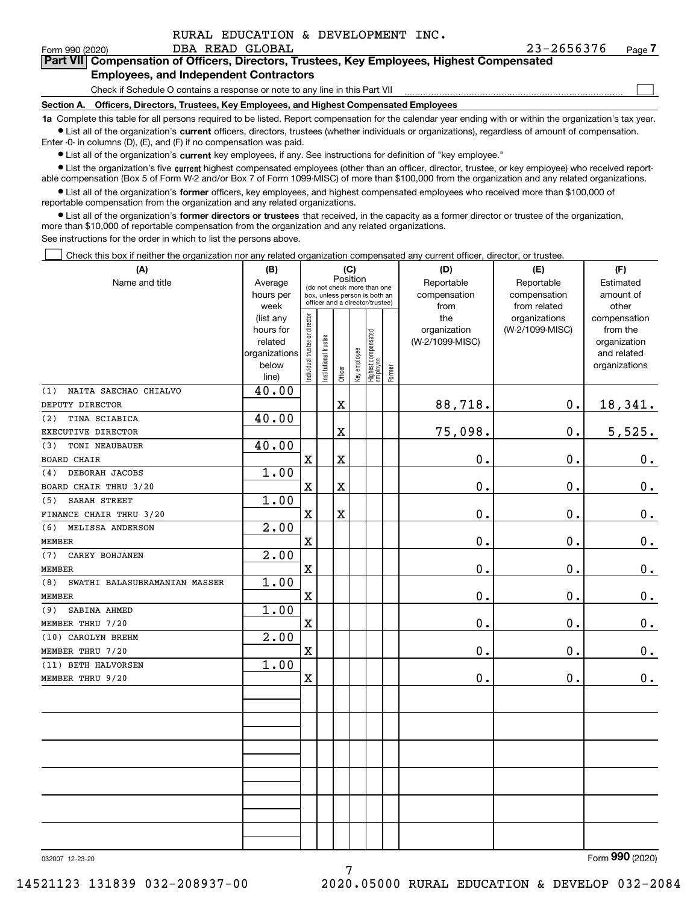| RURAL EDUCATION & DEVELOPMENT INC. |  |  |  |  |  |
|------------------------------------|--|--|--|--|--|
|------------------------------------|--|--|--|--|--|

Form 990 (2020) Page DBA READ GLOBAL 23-2656376

 $\mathcal{L}^{\text{max}}$ 

| orm 990 (2020) <sup>.</sup> |                                               | DBA READ GLOBAL | 23-2656376                                                                                 | Page $\prime$ |
|-----------------------------|-----------------------------------------------|-----------------|--------------------------------------------------------------------------------------------|---------------|
|                             |                                               |                 | Part VII Compensation of Officers, Directors, Trustees, Key Employees, Highest Compensated |               |
|                             | <b>Employees, and Independent Contractors</b> |                 |                                                                                            |               |

Check if Schedule O contains a response or note to any line in this Part VII

**Section A. Officers, Directors, Trustees, Key Employees, and Highest Compensated Employees**

**1a**  Complete this table for all persons required to be listed. Report compensation for the calendar year ending with or within the organization's tax year. **•** List all of the organization's current officers, directors, trustees (whether individuals or organizations), regardless of amount of compensation.

Enter -0- in columns (D), (E), and (F) if no compensation was paid.

 $\bullet$  List all of the organization's  $\,$ current key employees, if any. See instructions for definition of "key employee."

**•** List the organization's five current highest compensated employees (other than an officer, director, trustee, or key employee) who received reportable compensation (Box 5 of Form W-2 and/or Box 7 of Form 1099-MISC) of more than \$100,000 from the organization and any related organizations.

**•** List all of the organization's former officers, key employees, and highest compensated employees who received more than \$100,000 of reportable compensation from the organization and any related organizations.

**former directors or trustees**  ¥ List all of the organization's that received, in the capacity as a former director or trustee of the organization, more than \$10,000 of reportable compensation from the organization and any related organizations.

See instructions for the order in which to list the persons above.

Check this box if neither the organization nor any related organization compensated any current officer, director, or trustee.  $\mathcal{L}^{\text{max}}$ 

| (A)                                  | (B)            |                                         |                      | (C)                     |              |                                                                  |        | (D)             | (E)             | (F)           |
|--------------------------------------|----------------|-----------------------------------------|----------------------|-------------------------|--------------|------------------------------------------------------------------|--------|-----------------|-----------------|---------------|
| Name and title                       | Average        | Position<br>(do not check more than one |                      |                         |              |                                                                  |        | Reportable      | Reportable      | Estimated     |
|                                      | hours per      |                                         |                      |                         |              | box, unless person is both an<br>officer and a director/trustee) |        | compensation    | compensation    | amount of     |
|                                      | week           |                                         |                      |                         |              |                                                                  |        | from            | from related    | other         |
|                                      | (list any      |                                         |                      |                         |              |                                                                  |        | the             | organizations   | compensation  |
|                                      | hours for      |                                         |                      |                         |              |                                                                  |        | organization    | (W-2/1099-MISC) | from the      |
|                                      | related        |                                         |                      |                         |              |                                                                  |        | (W-2/1099-MISC) |                 | organization  |
|                                      | organizations  |                                         |                      |                         |              |                                                                  |        |                 |                 | and related   |
|                                      | below<br>line) | ndividual trustee or director           | nstitutional trustee | Officer                 | Key employee | Highest compensated<br>  employee                                | Former |                 |                 | organizations |
| NAITA SAECHAO CHIALVO<br>(1)         | 40.00          |                                         |                      |                         |              |                                                                  |        |                 |                 |               |
| DEPUTY DIRECTOR                      |                |                                         |                      | X                       |              |                                                                  |        | 88,718.         | 0.              | 18,341.       |
| TINA SCIABICA<br>(2)                 | 40.00          |                                         |                      |                         |              |                                                                  |        |                 |                 |               |
| EXECUTIVE DIRECTOR                   |                |                                         |                      | X                       |              |                                                                  |        | 75,098.         | 0.              | 5,525.        |
| TONI NEAUBAUER<br>(3)                | 40.00          |                                         |                      |                         |              |                                                                  |        |                 |                 |               |
| <b>BOARD CHAIR</b>                   |                | $\mathbf x$                             |                      | $\overline{\textbf{X}}$ |              |                                                                  |        | $\mathbf 0$ .   | 0.              | $0 \cdot$     |
| DEBORAH JACOBS<br>(4)                | 1.00           |                                         |                      |                         |              |                                                                  |        |                 |                 |               |
| BOARD CHAIR THRU 3/20                |                | $\mathbf X$                             |                      | X                       |              |                                                                  |        | 0.              | 0.              | $\mathbf 0$ . |
| SARAH STREET<br>(5)                  | 1.00           |                                         |                      |                         |              |                                                                  |        |                 |                 |               |
| FINANCE CHAIR THRU 3/20              |                | $\mathbf X$                             |                      | $\mathbf X$             |              |                                                                  |        | 0.              | 0.              | $\mathbf 0$ . |
| (6)<br>MELISSA ANDERSON              | 2.00           |                                         |                      |                         |              |                                                                  |        |                 |                 |               |
| <b>MEMBER</b>                        |                | $\mathbf X$                             |                      |                         |              |                                                                  |        | 0.              | 0.              | $\mathbf 0$ . |
| CAREY BOHJANEN<br>(7)                | 2.00           |                                         |                      |                         |              |                                                                  |        |                 |                 |               |
| <b>MEMBER</b>                        |                | $\mathbf x$                             |                      |                         |              |                                                                  |        | 0.              | 0.              | $0_{.}$       |
| (8)<br>SWATHI BALASUBRAMANIAN MASSER | 1.00           |                                         |                      |                         |              |                                                                  |        |                 |                 |               |
| <b>MEMBER</b>                        |                | $\mathbf X$                             |                      |                         |              |                                                                  |        | 0.              | 0.              | 0.            |
| SABINA AHMED<br>(9)                  | 1.00           |                                         |                      |                         |              |                                                                  |        |                 |                 |               |
| MEMBER THRU 7/20                     |                | $\mathbf x$                             |                      |                         |              |                                                                  |        | 0.              | 0.              | 0.            |
| (10) CAROLYN BREHM                   | 2.00           |                                         |                      |                         |              |                                                                  |        |                 |                 |               |
| MEMBER THRU 7/20                     |                | $\mathbf X$                             |                      |                         |              |                                                                  |        | 0.              | 0.              | 0.            |
| (11) BETH HALVORSEN                  | 1.00           |                                         |                      |                         |              |                                                                  |        |                 |                 |               |
| MEMBER THRU 9/20                     |                | $\mathbf x$                             |                      |                         |              |                                                                  |        | 0.              | 0.              | 0.            |
|                                      |                |                                         |                      |                         |              |                                                                  |        |                 |                 |               |
|                                      |                |                                         |                      |                         |              |                                                                  |        |                 |                 |               |
|                                      |                |                                         |                      |                         |              |                                                                  |        |                 |                 |               |
|                                      |                |                                         |                      |                         |              |                                                                  |        |                 |                 |               |
|                                      |                |                                         |                      |                         |              |                                                                  |        |                 |                 |               |
|                                      |                |                                         |                      |                         |              |                                                                  |        |                 |                 |               |
|                                      |                |                                         |                      |                         |              |                                                                  |        |                 |                 |               |
|                                      |                |                                         |                      |                         |              |                                                                  |        |                 |                 |               |
|                                      |                |                                         |                      |                         |              |                                                                  |        |                 |                 |               |
|                                      |                |                                         |                      |                         |              |                                                                  |        |                 |                 |               |

7

032007 12-23-20

Form (2020) **990**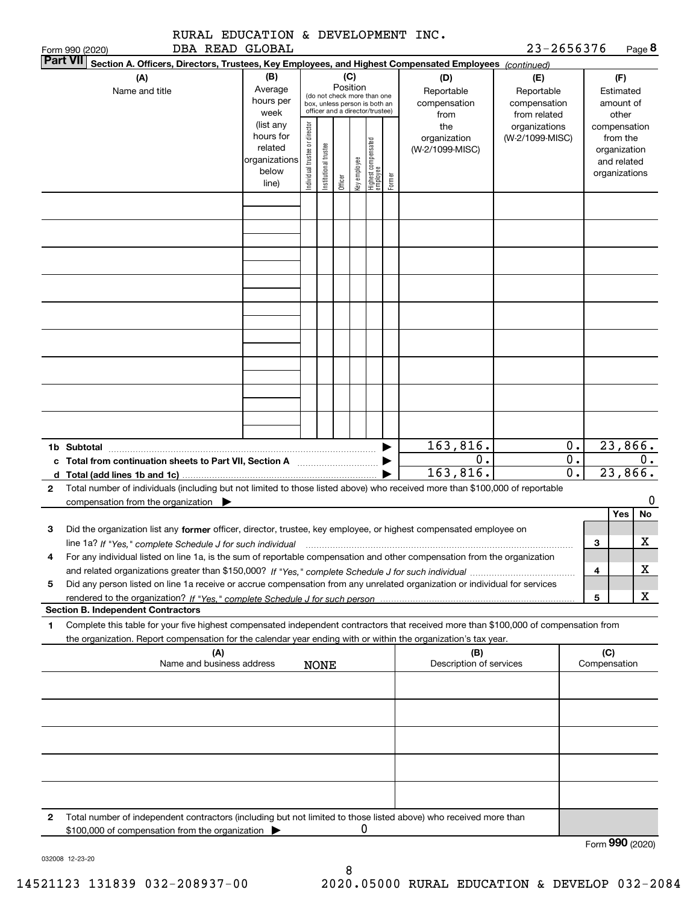|  |                 | RURAL EDUCATION & DEVELOPMENT INC. |  |
|--|-----------------|------------------------------------|--|
|  | DD3 BR3D GLOD3T |                                    |  |

| 23-2656376 | Page 8 |
|------------|--------|
|------------|--------|

|              | Form 990 (2020) | DBA READ GLOBAL                                                                                                                                                                                                                                                      |                                                                      |                                |                      |         |                 |                                                                                                 | 23-2656376 |                                           |                                                   | Page 8                               |                          |                                                                          |
|--------------|-----------------|----------------------------------------------------------------------------------------------------------------------------------------------------------------------------------------------------------------------------------------------------------------------|----------------------------------------------------------------------|--------------------------------|----------------------|---------|-----------------|-------------------------------------------------------------------------------------------------|------------|-------------------------------------------|---------------------------------------------------|--------------------------------------|--------------------------|--------------------------------------------------------------------------|
|              | <b>Part VII</b> | Section A. Officers, Directors, Trustees, Key Employees, and Highest Compensated Employees (continued)                                                                                                                                                               |                                                                      |                                |                      |         |                 |                                                                                                 |            |                                           |                                                   |                                      |                          |                                                                          |
|              |                 | (A)<br>Name and title                                                                                                                                                                                                                                                | (B)<br>Average<br>hours per<br>week                                  |                                |                      |         | (C)<br>Position | (do not check more than one<br>box, unless person is both an<br>officer and a director/trustee) |            | (D)<br>Reportable<br>compensation<br>from | (E)<br>Reportable<br>compensation<br>from related |                                      |                          | (F)<br>Estimated<br>amount of<br>other                                   |
|              |                 |                                                                                                                                                                                                                                                                      | (list any<br>hours for<br>related<br>organizations<br>below<br>line) | Individual trustee or director | nstitutional trustee | Officer | Key employee    | Highest compensated<br> employee                                                                | Former     | the<br>organization<br>(W-2/1099-MISC)    | organizations<br>(W-2/1099-MISC)                  |                                      |                          | compensation<br>from the<br>organization<br>and related<br>organizations |
|              |                 |                                                                                                                                                                                                                                                                      |                                                                      |                                |                      |         |                 |                                                                                                 |            |                                           |                                                   |                                      |                          |                                                                          |
|              |                 |                                                                                                                                                                                                                                                                      |                                                                      |                                |                      |         |                 |                                                                                                 |            |                                           |                                                   |                                      |                          |                                                                          |
|              |                 |                                                                                                                                                                                                                                                                      |                                                                      |                                |                      |         |                 |                                                                                                 |            |                                           |                                                   |                                      |                          |                                                                          |
|              |                 |                                                                                                                                                                                                                                                                      |                                                                      |                                |                      |         |                 |                                                                                                 |            |                                           |                                                   |                                      |                          |                                                                          |
|              |                 |                                                                                                                                                                                                                                                                      |                                                                      |                                |                      |         |                 |                                                                                                 |            |                                           |                                                   |                                      |                          |                                                                          |
|              |                 |                                                                                                                                                                                                                                                                      |                                                                      |                                |                      |         |                 |                                                                                                 |            |                                           |                                                   |                                      |                          |                                                                          |
|              |                 |                                                                                                                                                                                                                                                                      |                                                                      |                                |                      |         |                 |                                                                                                 |            | 163,816.                                  |                                                   | $0$ .                                |                          |                                                                          |
|              | 1b Subtotal     | c Total from continuation sheets to Part VII, Section A <b>manual</b> Total from continuation sheets                                                                                                                                                                 |                                                                      |                                |                      |         |                 |                                                                                                 |            | 0.<br>163,816.                            |                                                   | $\overline{0}$ .<br>$\overline{0}$ . | 23,866.<br>0.<br>23,866. |                                                                          |
| $\mathbf{2}$ |                 | Total number of individuals (including but not limited to those listed above) who received more than \$100,000 of reportable<br>compensation from the organization $\blacktriangleright$                                                                             |                                                                      |                                |                      |         |                 |                                                                                                 |            |                                           |                                                   |                                      |                          | 0<br>Yes<br>No                                                           |
| 3            |                 | Did the organization list any former officer, director, trustee, key employee, or highest compensated employee on<br>line 1a? If "Yes," complete Schedule J for such individual manufactured contained and the 1a? If "Yes," complete Schedule J for such individual |                                                                      |                                |                      |         |                 |                                                                                                 |            |                                           |                                                   |                                      | 3                        | х                                                                        |
|              |                 | For any individual listed on line 1a, is the sum of reportable compensation and other compensation from the organization                                                                                                                                             |                                                                      |                                |                      |         |                 |                                                                                                 |            |                                           |                                                   |                                      | 4                        | х                                                                        |
| 5            |                 | Did any person listed on line 1a receive or accrue compensation from any unrelated organization or individual for services<br><b>Section B. Independent Contractors</b>                                                                                              |                                                                      |                                |                      |         |                 |                                                                                                 |            |                                           |                                                   |                                      | 5                        | x                                                                        |
| 1.           |                 | Complete this table for your five highest compensated independent contractors that received more than \$100,000 of compensation from<br>the organization. Report compensation for the calendar year ending with or within the organization's tax year.               |                                                                      |                                |                      |         |                 |                                                                                                 |            |                                           |                                                   |                                      |                          |                                                                          |
|              |                 | (A)<br>Name and business address                                                                                                                                                                                                                                     |                                                                      |                                | <b>NONE</b>          |         |                 |                                                                                                 |            | (B)<br>Description of services            |                                                   |                                      | (C)<br>Compensation      |                                                                          |
|              |                 |                                                                                                                                                                                                                                                                      |                                                                      |                                |                      |         |                 |                                                                                                 |            |                                           |                                                   |                                      |                          |                                                                          |
|              |                 |                                                                                                                                                                                                                                                                      |                                                                      |                                |                      |         |                 |                                                                                                 |            |                                           |                                                   |                                      |                          |                                                                          |
|              |                 |                                                                                                                                                                                                                                                                      |                                                                      |                                |                      |         |                 |                                                                                                 |            |                                           |                                                   |                                      |                          |                                                                          |
|              |                 |                                                                                                                                                                                                                                                                      |                                                                      |                                |                      |         |                 |                                                                                                 |            |                                           |                                                   |                                      |                          |                                                                          |
| 2            |                 | Total number of independent contractors (including but not limited to those listed above) who received more than<br>\$100,000 of compensation from the organization                                                                                                  |                                                                      |                                |                      |         |                 | 0                                                                                               |            |                                           |                                                   |                                      |                          |                                                                          |

Form (2020) **990**

032008 12-23-20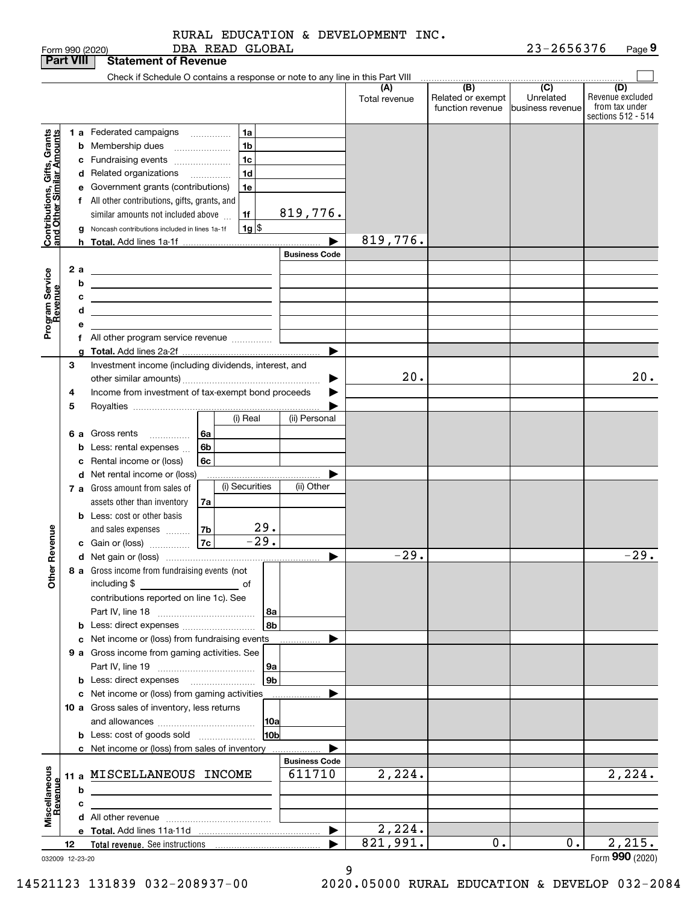Form 990 (2020) DBA READ GLOBAL 2 3~2 b b 5 / b Page **9** DBA READ GLOBAL 23-2656376

| <b>Part VIII</b>                                          |    |     | <b>Statement of Revenue</b>                                                                                            |                      |                      |                                              |                                                 |                                                                 |
|-----------------------------------------------------------|----|-----|------------------------------------------------------------------------------------------------------------------------|----------------------|----------------------|----------------------------------------------|-------------------------------------------------|-----------------------------------------------------------------|
|                                                           |    |     | Check if Schedule O contains a response or note to any line in this Part VIII                                          |                      |                      |                                              |                                                 |                                                                 |
|                                                           |    |     |                                                                                                                        |                      | (A)<br>Total revenue | (B)<br>Related or exempt<br>function revenue | $\overline{C}$<br>Unrelated<br>business revenue | (D)<br>Revenue excluded<br>from tax under<br>sections 512 - 514 |
|                                                           |    |     | 1 a Federated campaigns<br>1a                                                                                          |                      |                      |                                              |                                                 |                                                                 |
| Contributions, Gifts, Grants<br>and Other Similar Amounts |    |     | <b>b</b> Membership dues<br>1b                                                                                         |                      |                      |                                              |                                                 |                                                                 |
|                                                           |    |     | $\ldots \ldots \ldots \ldots \ldots$<br>c Fundraising events<br>1c                                                     |                      |                      |                                              |                                                 |                                                                 |
|                                                           |    |     | d Related organizations<br>1d                                                                                          |                      |                      |                                              |                                                 |                                                                 |
|                                                           |    |     | 1e                                                                                                                     |                      |                      |                                              |                                                 |                                                                 |
|                                                           |    |     | e Government grants (contributions)<br>f All other contributions, gifts, grants, and                                   |                      |                      |                                              |                                                 |                                                                 |
|                                                           |    |     |                                                                                                                        | 819,776.             |                      |                                              |                                                 |                                                                 |
|                                                           |    |     | similar amounts not included above<br>1f                                                                               |                      |                      |                                              |                                                 |                                                                 |
|                                                           |    |     | $1g$ \$<br>g Noncash contributions included in lines 1a-1f                                                             |                      | 819,776.             |                                              |                                                 |                                                                 |
|                                                           |    |     |                                                                                                                        | <b>Business Code</b> |                      |                                              |                                                 |                                                                 |
|                                                           |    |     |                                                                                                                        |                      |                      |                                              |                                                 |                                                                 |
|                                                           |    | 2 a | <u> 1989 - Johann Barn, mars ann an t-Amhain Aonaich an t-Aonaich an t-Aonaich an t-Aonaich an t-Aonaich an t-Aon</u>  |                      |                      |                                              |                                                 |                                                                 |
|                                                           |    | b   | <u> 1989 - Johann Stein, mars et al. 1989 - Anna ann an t-Anna ann an t-Anna ann an t-Anna ann an t-Anna ann an t-</u> |                      |                      |                                              |                                                 |                                                                 |
|                                                           |    | с   | <u> 2008 - John Stein, Amerikaansk politiker (</u>                                                                     |                      |                      |                                              |                                                 |                                                                 |
|                                                           |    | d   | <u> 1989 - Johann Barn, amerikansk politiker (</u>                                                                     |                      |                      |                                              |                                                 |                                                                 |
| Program Service<br>Revenue                                |    | е   |                                                                                                                        |                      |                      |                                              |                                                 |                                                                 |
|                                                           |    |     | f All other program service revenue                                                                                    |                      |                      |                                              |                                                 |                                                                 |
|                                                           |    |     |                                                                                                                        | ▶                    |                      |                                              |                                                 |                                                                 |
|                                                           | З  |     | Investment income (including dividends, interest, and                                                                  |                      |                      |                                              |                                                 |                                                                 |
|                                                           |    |     |                                                                                                                        |                      | 20.                  |                                              |                                                 | 20.                                                             |
|                                                           | 4  |     | Income from investment of tax-exempt bond proceeds                                                                     |                      |                      |                                              |                                                 |                                                                 |
|                                                           | 5  |     |                                                                                                                        |                      |                      |                                              |                                                 |                                                                 |
|                                                           |    |     | (i) Real                                                                                                               | (ii) Personal        |                      |                                              |                                                 |                                                                 |
|                                                           |    | 6а  | Gross rents<br>6a<br>.                                                                                                 |                      |                      |                                              |                                                 |                                                                 |
|                                                           |    | b   | Less: rental expenses<br>6b                                                                                            |                      |                      |                                              |                                                 |                                                                 |
|                                                           |    | c   | Rental income or (loss)<br>6c                                                                                          |                      |                      |                                              |                                                 |                                                                 |
|                                                           |    |     | d Net rental income or (loss)                                                                                          |                      |                      |                                              |                                                 |                                                                 |
|                                                           |    |     | (i) Securities<br>7 a Gross amount from sales of                                                                       | (ii) Other           |                      |                                              |                                                 |                                                                 |
|                                                           |    |     | assets other than inventory<br>7a                                                                                      |                      |                      |                                              |                                                 |                                                                 |
|                                                           |    |     | <b>b</b> Less: cost or other basis                                                                                     |                      |                      |                                              |                                                 |                                                                 |
|                                                           |    |     | 29.<br>7b<br>and sales expenses                                                                                        |                      |                      |                                              |                                                 |                                                                 |
| Revenue                                                   |    |     | $-29.$<br>7c<br>c Gain or (loss)                                                                                       |                      |                      |                                              |                                                 |                                                                 |
|                                                           |    |     |                                                                                                                        | ▶                    | $-29.$               |                                              |                                                 | $-29.$                                                          |
| 늤                                                         |    |     | 8 a Gross income from fundraising events (not                                                                          |                      |                      |                                              |                                                 |                                                                 |
| Othe                                                      |    |     | including \$                                                                                                           |                      |                      |                                              |                                                 |                                                                 |
|                                                           |    |     | contributions reported on line 1c). See                                                                                |                      |                      |                                              |                                                 |                                                                 |
|                                                           |    |     | 8a                                                                                                                     |                      |                      |                                              |                                                 |                                                                 |
|                                                           |    |     | 8b<br><b>b</b> Less: direct expenses                                                                                   |                      |                      |                                              |                                                 |                                                                 |
|                                                           |    |     | c Net income or (loss) from fundraising events                                                                         |                      |                      |                                              |                                                 |                                                                 |
|                                                           |    |     | 9 a Gross income from gaming activities. See                                                                           |                      |                      |                                              |                                                 |                                                                 |
|                                                           |    |     | 9a                                                                                                                     |                      |                      |                                              |                                                 |                                                                 |
|                                                           |    |     | 9 <sub>b</sub><br><b>b</b> Less: direct expenses <b>manually</b>                                                       |                      |                      |                                              |                                                 |                                                                 |
|                                                           |    |     | c Net income or (loss) from gaming activities                                                                          | .                    |                      |                                              |                                                 |                                                                 |
|                                                           |    |     | 10 a Gross sales of inventory, less returns                                                                            |                      |                      |                                              |                                                 |                                                                 |
|                                                           |    |     | 10a                                                                                                                    |                      |                      |                                              |                                                 |                                                                 |
|                                                           |    |     | 10bl<br><b>b</b> Less: cost of goods sold                                                                              |                      |                      |                                              |                                                 |                                                                 |
|                                                           |    |     | c Net income or (loss) from sales of inventory                                                                         |                      |                      |                                              |                                                 |                                                                 |
|                                                           |    |     |                                                                                                                        | <b>Business Code</b> |                      |                                              |                                                 |                                                                 |
|                                                           |    |     | 11 a MISCELLANEOUS INCOME                                                                                              | 611710               | 2, 224.              |                                              |                                                 | 2,224.                                                          |
|                                                           |    | b   | <u> 1999 - Johann Barbara, martxa eta idazlea (h. 1989).</u>                                                           |                      |                      |                                              |                                                 |                                                                 |
|                                                           |    | с   |                                                                                                                        |                      |                      |                                              |                                                 |                                                                 |
| Miscellaneous<br>Revenue                                  |    |     |                                                                                                                        |                      |                      |                                              |                                                 |                                                                 |
|                                                           |    |     |                                                                                                                        | ▶                    | 2,224.               |                                              |                                                 |                                                                 |
|                                                           | 12 |     |                                                                                                                        |                      | 821,991.             | 0.                                           | 0.                                              | $\overline{2,215.}$                                             |
| 032009 12-23-20                                           |    |     |                                                                                                                        |                      |                      |                                              |                                                 | Form 990 (2020)                                                 |

9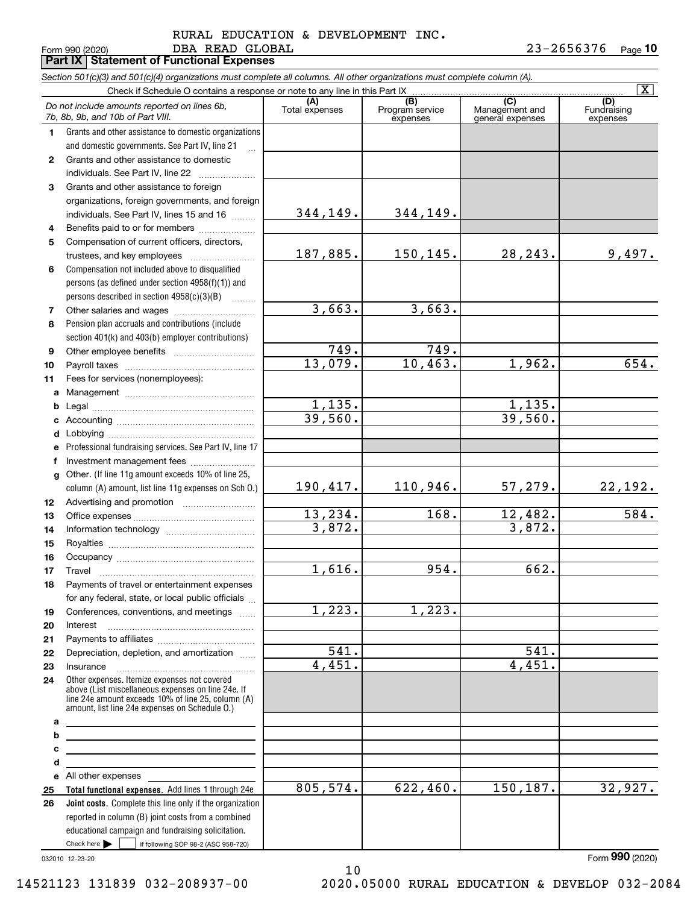### Form 990 (2020) Page DBA READ GLOBAL 23-2656376 RURAL EDUCATION & DEVELOPMENT INC.

**10 Part IX Statement of Functional Expenses**

|              | Section 501(c)(3) and 501(c)(4) organizations must complete all columns. All other organizations must complete column (A).                                 |                   |                             |                                    | $\overline{\mathbf{X}}$ |
|--------------|------------------------------------------------------------------------------------------------------------------------------------------------------------|-------------------|-----------------------------|------------------------------------|-------------------------|
|              | Check if Schedule O contains a response or note to any line in this Part IX                                                                                | (A)               | (B)                         | (C)                                | (D)                     |
|              | Do not include amounts reported on lines 6b,<br>7b, 8b, 9b, and 10b of Part VIII.                                                                          | Total expenses    | Program service<br>expenses | Management and<br>general expenses | Fundraising<br>expenses |
| 1.           | Grants and other assistance to domestic organizations                                                                                                      |                   |                             |                                    |                         |
|              | and domestic governments. See Part IV, line 21<br>$\ddotsc$                                                                                                |                   |                             |                                    |                         |
| $\mathbf{2}$ | Grants and other assistance to domestic                                                                                                                    |                   |                             |                                    |                         |
|              | individuals. See Part IV, line 22                                                                                                                          |                   |                             |                                    |                         |
| 3            | Grants and other assistance to foreign                                                                                                                     |                   |                             |                                    |                         |
|              | organizations, foreign governments, and foreign                                                                                                            |                   |                             |                                    |                         |
|              | individuals. See Part IV, lines 15 and 16                                                                                                                  | 344,149.          | 344,149.                    |                                    |                         |
| 4            | Benefits paid to or for members                                                                                                                            |                   |                             |                                    |                         |
| 5            | Compensation of current officers, directors,                                                                                                               |                   |                             |                                    |                         |
|              | trustees, and key employees                                                                                                                                | 187,885.          | 150,145.                    | 28, 243.                           | 9,497.                  |
| 6            | Compensation not included above to disqualified                                                                                                            |                   |                             |                                    |                         |
|              | persons (as defined under section 4958(f)(1)) and                                                                                                          |                   |                             |                                    |                         |
|              | persons described in section $4958(c)(3)(B)$<br>1.1.1.1.1.1.1                                                                                              |                   |                             |                                    |                         |
| 7            |                                                                                                                                                            | 3,663.            | 3,663.                      |                                    |                         |
| 8            | Pension plan accruals and contributions (include                                                                                                           |                   |                             |                                    |                         |
|              | section 401(k) and 403(b) employer contributions)                                                                                                          |                   |                             |                                    |                         |
| 9            |                                                                                                                                                            | 749.              | 749.                        |                                    |                         |
| 10           |                                                                                                                                                            | 13,079.           | 10,463.                     | 1,962.                             | 654.                    |
| 11           | Fees for services (nonemployees):                                                                                                                          |                   |                             |                                    |                         |
|              |                                                                                                                                                            |                   |                             |                                    |                         |
| b            |                                                                                                                                                            | 1,135.<br>39,560. |                             | 1,135.                             |                         |
| c            |                                                                                                                                                            |                   |                             | 39,560.                            |                         |
| d            |                                                                                                                                                            |                   |                             |                                    |                         |
| е            | Professional fundraising services. See Part IV, line 17                                                                                                    |                   |                             |                                    |                         |
| f            | Investment management fees                                                                                                                                 |                   |                             |                                    |                         |
| g            | Other. (If line 11g amount exceeds 10% of line 25,                                                                                                         |                   |                             |                                    |                         |
|              | column (A) amount, list line 11g expenses on Sch 0.)                                                                                                       | 190,417.          | 110,946.                    | 57,279.                            | <u>22,192.</u>          |
| 12           |                                                                                                                                                            |                   | 168.                        |                                    | 584.                    |
| 13           |                                                                                                                                                            | 13,234.<br>3,872. |                             | 12,482.<br>3,872.                  |                         |
| 14           |                                                                                                                                                            |                   |                             |                                    |                         |
| 15           |                                                                                                                                                            |                   |                             |                                    |                         |
| 16           |                                                                                                                                                            | 1,616.            | 954.                        | 662.                               |                         |
| 17           |                                                                                                                                                            |                   |                             |                                    |                         |
| 18           | Payments of travel or entertainment expenses                                                                                                               |                   |                             |                                    |                         |
|              | for any federal, state, or local public officials                                                                                                          | 1,223.            | 1,223.                      |                                    |                         |
| 19           | Conferences, conventions, and meetings                                                                                                                     |                   |                             |                                    |                         |
| 20           | Interest                                                                                                                                                   |                   |                             |                                    |                         |
| 21<br>22     | Depreciation, depletion, and amortization                                                                                                                  | 541.              |                             | 541.                               |                         |
| 23           | Insurance                                                                                                                                                  | 4,451.            |                             | 4,451.                             |                         |
| 24           | Other expenses. Itemize expenses not covered                                                                                                               |                   |                             |                                    |                         |
|              | above (List miscellaneous expenses on line 24e. If<br>line 24e amount exceeds 10% of line 25, column (A)<br>amount, list line 24e expenses on Schedule O.) |                   |                             |                                    |                         |
| а            | <u> 1989 - Johann Stein, mars an t-Amerikaansk ferskeider (</u>                                                                                            |                   |                             |                                    |                         |
| b            | <u> 1989 - Johann Barn, mars ann an t-Amhain ann an t-Amhain ann an t-Amhain ann an t-Amhain ann an t-Amhain ann </u>                                      |                   |                             |                                    |                         |
| c            | <u> 1989 - Johann Barn, mars ann an t-Amhain ann an t-Amhain ann an t-Amhain ann an t-Amhain ann an t-Amhain ann </u>                                      |                   |                             |                                    |                         |
| d            |                                                                                                                                                            |                   |                             |                                    |                         |
|              | e All other expenses                                                                                                                                       |                   |                             |                                    |                         |
| 25           | Total functional expenses. Add lines 1 through 24e                                                                                                         | 805,574.          | 622, 460.                   | 150,187.                           | 32,927.                 |
| 26           | Joint costs. Complete this line only if the organization                                                                                                   |                   |                             |                                    |                         |
|              | reported in column (B) joint costs from a combined                                                                                                         |                   |                             |                                    |                         |
|              | educational campaign and fundraising solicitation.                                                                                                         |                   |                             |                                    |                         |
|              | Check here $\blacktriangleright$<br>if following SOP 98-2 (ASC 958-720)                                                                                    |                   |                             |                                    |                         |

10

032010 12-23-20

Form (2020) **990**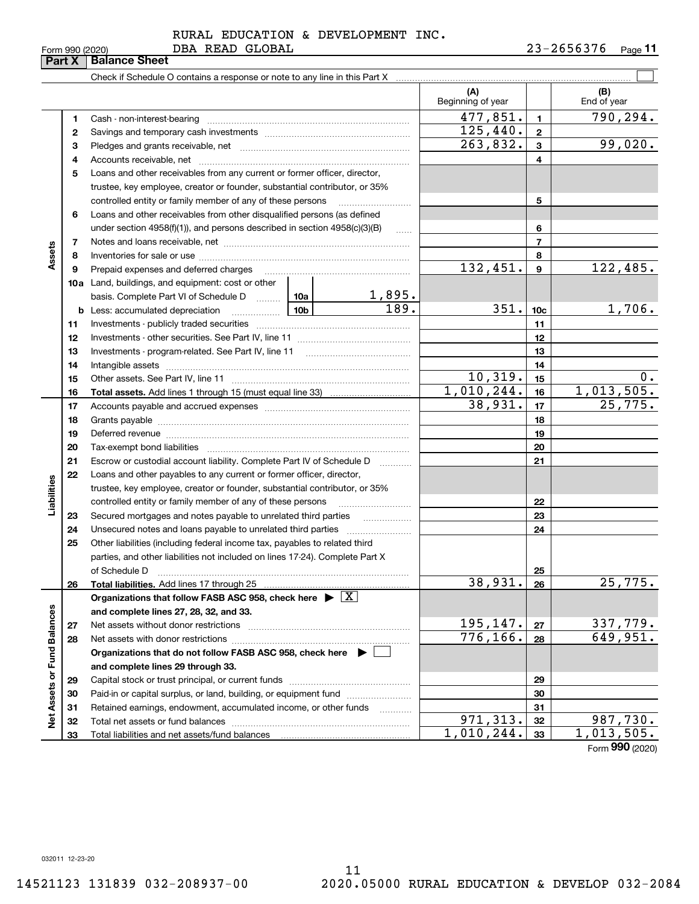|                             | <b>UIIII JJU</b><br>Part X | cucu<br><b>Balance Sheet</b>                                                                                                                                                                                                   |                          |                 |                             |
|-----------------------------|----------------------------|--------------------------------------------------------------------------------------------------------------------------------------------------------------------------------------------------------------------------------|--------------------------|-----------------|-----------------------------|
|                             |                            |                                                                                                                                                                                                                                |                          |                 |                             |
|                             |                            |                                                                                                                                                                                                                                | (A)<br>Beginning of year |                 | (B)<br>End of year          |
|                             | 1                          | Cash - non-interest-bearing                                                                                                                                                                                                    | 477,851.                 | $\blacksquare$  | 790,294.                    |
|                             | 2                          |                                                                                                                                                                                                                                | 125,440.                 | $\mathbf{2}$    |                             |
|                             | з                          |                                                                                                                                                                                                                                | 263,832.                 | 3               | 99,020.                     |
|                             | 4                          |                                                                                                                                                                                                                                |                          | 4               |                             |
|                             | 5                          | Loans and other receivables from any current or former officer, director,                                                                                                                                                      |                          |                 |                             |
|                             |                            | trustee, key employee, creator or founder, substantial contributor, or 35%                                                                                                                                                     |                          |                 |                             |
|                             |                            | controlled entity or family member of any of these persons                                                                                                                                                                     |                          | 5               |                             |
|                             | 6                          | Loans and other receivables from other disqualified persons (as defined                                                                                                                                                        |                          |                 |                             |
|                             |                            | under section $4958(f)(1)$ , and persons described in section $4958(c)(3)(B)$<br>$\sim$                                                                                                                                        |                          | 6               |                             |
|                             | 7                          |                                                                                                                                                                                                                                |                          | $\overline{7}$  |                             |
| Assets                      | 8                          |                                                                                                                                                                                                                                |                          | 8               |                             |
|                             | 9                          | Prepaid expenses and deferred charges                                                                                                                                                                                          | 132,451.                 | 9               | 122,485.                    |
|                             |                            | <b>10a</b> Land, buildings, and equipment: cost or other                                                                                                                                                                       |                          |                 |                             |
|                             |                            | basis. Complete Part VI of Schedule D  10a                                                                                                                                                                                     |                          |                 |                             |
|                             |                            | $\frac{1,895.}{189.}$<br><b>b</b> Less: accumulated depreciation                                                                                                                                                               | 351.                     | 10 <sub>c</sub> | 1,706.                      |
|                             | 11                         |                                                                                                                                                                                                                                |                          | 11              |                             |
|                             | 12                         |                                                                                                                                                                                                                                |                          | 12              |                             |
|                             | 13                         |                                                                                                                                                                                                                                |                          | 13              |                             |
|                             | 14                         |                                                                                                                                                                                                                                |                          | 14              |                             |
|                             | 15                         |                                                                                                                                                                                                                                | 10,319.                  | 15              | $0$ .                       |
|                             | 16                         |                                                                                                                                                                                                                                | 1,010,244.               | 16              | 1,013,505.                  |
|                             | 17                         |                                                                                                                                                                                                                                | 38,931.                  | 17              | 25,775.                     |
|                             | 18                         |                                                                                                                                                                                                                                |                          | 18              |                             |
|                             | 19                         | Deferred revenue manual contracts and contracts are all the contracts and contracts are contracted and contracts are contracted and contract are contracted and contract are contracted and contract are contracted and contra |                          | 19              |                             |
|                             | 20                         |                                                                                                                                                                                                                                |                          | 20              |                             |
|                             | 21                         | Escrow or custodial account liability. Complete Part IV of Schedule D<br>.                                                                                                                                                     |                          | 21              |                             |
|                             | 22                         | Loans and other payables to any current or former officer, director,                                                                                                                                                           |                          |                 |                             |
|                             |                            | trustee, key employee, creator or founder, substantial contributor, or 35%                                                                                                                                                     |                          |                 |                             |
| Liabilities                 |                            | controlled entity or family member of any of these persons                                                                                                                                                                     |                          | 22              |                             |
|                             | 23                         | Secured mortgages and notes payable to unrelated third parties<br>.                                                                                                                                                            |                          | 23              |                             |
|                             | 24                         |                                                                                                                                                                                                                                |                          | 24              |                             |
|                             | 25                         | Other liabilities (including federal income tax, payables to related third                                                                                                                                                     |                          |                 |                             |
|                             |                            | parties, and other liabilities not included on lines 17-24). Complete Part X                                                                                                                                                   |                          |                 |                             |
|                             |                            | of Schedule D                                                                                                                                                                                                                  |                          | 25              |                             |
|                             | 26                         | Total liabilities. Add lines 17 through 25                                                                                                                                                                                     | 38,931.                  | 26              | 25,775.                     |
|                             |                            | Organizations that follow FASB ASC 958, check here $\blacktriangleright \boxed{X}$                                                                                                                                             |                          |                 |                             |
|                             |                            | and complete lines 27, 28, 32, and 33.                                                                                                                                                                                         |                          |                 |                             |
|                             | 27                         | Net assets without donor restrictions                                                                                                                                                                                          | <u>195,147.</u>          | 27              | $\frac{337,779.}{649,951.}$ |
|                             | 28                         |                                                                                                                                                                                                                                | 776, 166.                | 28              |                             |
|                             |                            | Organizations that do not follow FASB ASC 958, check here $\blacktriangleright$                                                                                                                                                |                          |                 |                             |
|                             |                            | and complete lines 29 through 33.                                                                                                                                                                                              |                          |                 |                             |
|                             | 29                         |                                                                                                                                                                                                                                |                          | 29              |                             |
|                             | 30                         | Paid-in or capital surplus, or land, building, or equipment fund                                                                                                                                                               |                          | 30              |                             |
|                             | 31                         | Retained earnings, endowment, accumulated income, or other funds<br>1.1.1.1.1.1.1.1.1                                                                                                                                          |                          | 31              |                             |
| Net Assets or Fund Balances | 32                         | Total net assets or fund balances                                                                                                                                                                                              | 971, 313.                | 32              | 987,730.                    |
|                             | 33                         |                                                                                                                                                                                                                                | 1,010,244.               | 33              | 1,013,505.                  |

Form (2020) **990**

032011 12-23-20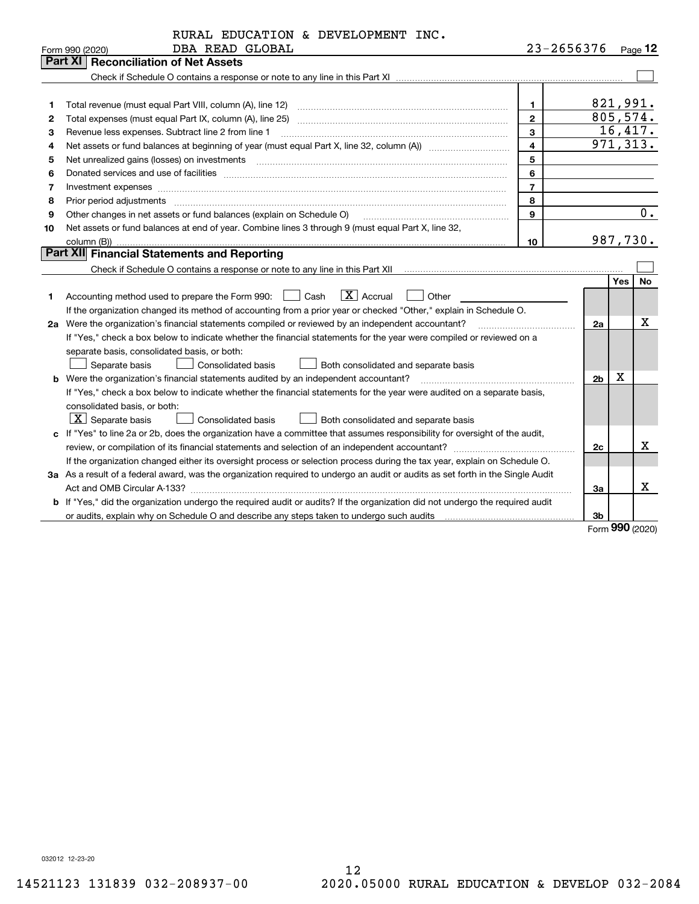|  |  |  |  | RURAL EDUCATION & DEVELOPMENT INC. |  |
|--|--|--|--|------------------------------------|--|
|--|--|--|--|------------------------------------|--|

|    | DBA READ GLOBAL<br>Form 990 (2020)                                                                                                                                                                                             | 23-2656376      |                | Page 12          |
|----|--------------------------------------------------------------------------------------------------------------------------------------------------------------------------------------------------------------------------------|-----------------|----------------|------------------|
|    | <b>Part XI   Reconciliation of Net Assets</b>                                                                                                                                                                                  |                 |                |                  |
|    |                                                                                                                                                                                                                                |                 |                |                  |
|    |                                                                                                                                                                                                                                |                 |                |                  |
| 1  |                                                                                                                                                                                                                                | $\blacksquare$  |                | 821,991.         |
| 2  |                                                                                                                                                                                                                                | $\overline{2}$  |                | 805, 574.        |
| З  | Revenue less expenses. Subtract line 2 from line 1                                                                                                                                                                             | $\mathbf{3}$    |                | 16,417.          |
| 4  |                                                                                                                                                                                                                                | $\overline{4}$  |                | 971, 313.        |
| 5  |                                                                                                                                                                                                                                | 5               |                |                  |
| 6  | Donated services and use of facilities [111] Donated and the service of facilities [11] Donated services and use of facilities [11] Donated and the service of the service of the service of the service of the service of the | 6               |                |                  |
| 7  | Investment expenses www.communication.com/www.communication.com/www.communication.com/www.com                                                                                                                                  | $\overline{7}$  |                |                  |
| 8  |                                                                                                                                                                                                                                | 8               |                |                  |
| 9  | Other changes in net assets or fund balances (explain on Schedule O)                                                                                                                                                           | $\mathbf{9}$    |                | $\overline{0}$ . |
| 10 | Net assets or fund balances at end of year. Combine lines 3 through 9 (must equal Part X, line 32,                                                                                                                             |                 |                |                  |
|    |                                                                                                                                                                                                                                | 10 <sup>1</sup> |                | 987,730.         |
|    | Part XII Financial Statements and Reporting                                                                                                                                                                                    |                 |                |                  |
|    |                                                                                                                                                                                                                                |                 |                |                  |
|    |                                                                                                                                                                                                                                |                 |                | <b>No</b><br>Yes |
| 1  | $\boxed{\text{X}}$ Accrual<br>Accounting method used to prepare the Form 990: [139] Cash<br>Other                                                                                                                              |                 |                |                  |
|    | If the organization changed its method of accounting from a prior year or checked "Other," explain in Schedule O.                                                                                                              |                 |                |                  |
|    | 2a Were the organization's financial statements compiled or reviewed by an independent accountant?                                                                                                                             |                 | 2a             | x                |
|    | If "Yes," check a box below to indicate whether the financial statements for the year were compiled or reviewed on a                                                                                                           |                 |                |                  |
|    | separate basis, consolidated basis, or both:                                                                                                                                                                                   |                 |                |                  |
|    | Separate basis<br>Consolidated basis<br>Both consolidated and separate basis                                                                                                                                                   |                 |                |                  |
|    | <b>b</b> Were the organization's financial statements audited by an independent accountant?                                                                                                                                    |                 | 2 <sub>b</sub> | X                |
|    | If "Yes," check a box below to indicate whether the financial statements for the year were audited on a separate basis,                                                                                                        |                 |                |                  |
|    | consolidated basis, or both:                                                                                                                                                                                                   |                 |                |                  |
|    | $ \mathbf{X} $ Separate basis<br><b>Consolidated basis</b><br>Both consolidated and separate basis                                                                                                                             |                 |                |                  |
|    | c If "Yes" to line 2a or 2b, does the organization have a committee that assumes responsibility for oversight of the audit,                                                                                                    |                 |                |                  |
|    |                                                                                                                                                                                                                                |                 | 2c             | x                |
|    | If the organization changed either its oversight process or selection process during the tax year, explain on Schedule O.                                                                                                      |                 |                |                  |
|    | 3a As a result of a federal award, was the organization required to undergo an audit or audits as set forth in the Single Audit                                                                                                |                 |                |                  |
|    |                                                                                                                                                                                                                                |                 | За             | x                |
|    | <b>b</b> If "Yes," did the organization undergo the required audit or audits? If the organization did not undergo the required audit                                                                                           |                 |                |                  |
|    |                                                                                                                                                                                                                                |                 | 3 <sub>b</sub> |                  |

Form (2020) **990**

032012 12-23-20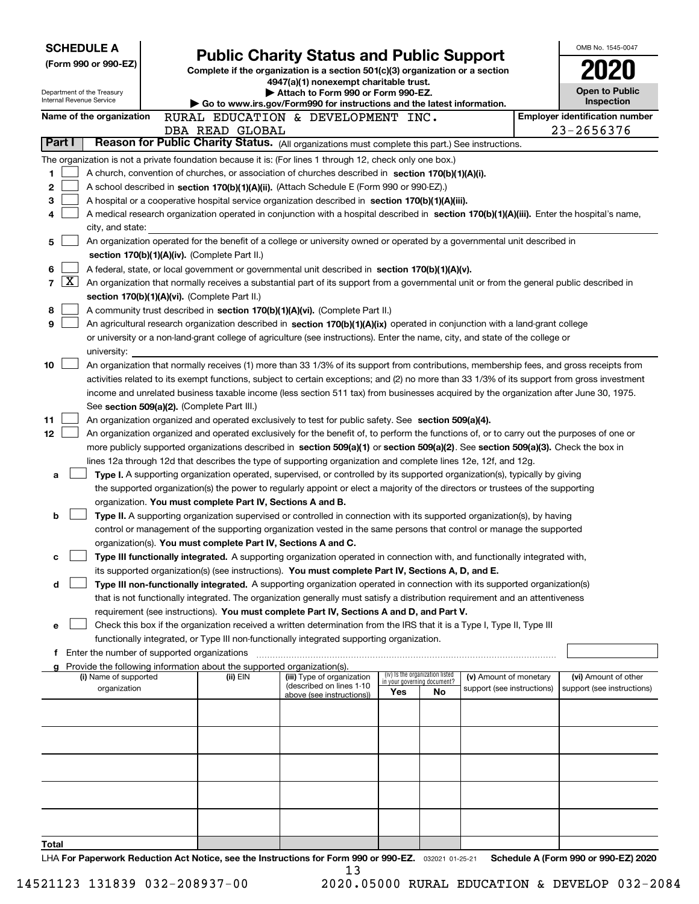|                |        | <b>SCHEDULE A</b>                                      |                                                                        |                                                                                                                                                                                                                                                                                  |     |                                 |                                                      |  | OMB No. 1545-0047                                   |
|----------------|--------|--------------------------------------------------------|------------------------------------------------------------------------|----------------------------------------------------------------------------------------------------------------------------------------------------------------------------------------------------------------------------------------------------------------------------------|-----|---------------------------------|------------------------------------------------------|--|-----------------------------------------------------|
|                |        | (Form 990 or 990-EZ)                                   |                                                                        | <b>Public Charity Status and Public Support</b><br>Complete if the organization is a section 501(c)(3) organization or a section                                                                                                                                                 |     |                                 |                                                      |  |                                                     |
|                |        |                                                        |                                                                        | 4947(a)(1) nonexempt charitable trust.                                                                                                                                                                                                                                           |     |                                 |                                                      |  |                                                     |
|                |        | Department of the Treasury<br>Internal Revenue Service |                                                                        | Attach to Form 990 or Form 990-EZ.                                                                                                                                                                                                                                               |     |                                 |                                                      |  | <b>Open to Public</b>                               |
|                |        |                                                        |                                                                        | Go to www.irs.gov/Form990 for instructions and the latest information.                                                                                                                                                                                                           |     |                                 |                                                      |  | Inspection                                          |
|                |        | Name of the organization                               | DBA READ GLOBAL                                                        | RURAL EDUCATION & DEVELOPMENT INC.                                                                                                                                                                                                                                               |     |                                 |                                                      |  | <b>Employer identification number</b><br>23-2656376 |
|                | Part I |                                                        |                                                                        | Reason for Public Charity Status. (All organizations must complete this part.) See instructions.                                                                                                                                                                                 |     |                                 |                                                      |  |                                                     |
|                |        |                                                        |                                                                        | The organization is not a private foundation because it is: (For lines 1 through 12, check only one box.)                                                                                                                                                                        |     |                                 |                                                      |  |                                                     |
| 1              |        |                                                        |                                                                        | A church, convention of churches, or association of churches described in section 170(b)(1)(A)(i).                                                                                                                                                                               |     |                                 |                                                      |  |                                                     |
| 2              |        |                                                        |                                                                        | A school described in section 170(b)(1)(A)(ii). (Attach Schedule E (Form 990 or 990-EZ).)                                                                                                                                                                                        |     |                                 |                                                      |  |                                                     |
| 3              |        |                                                        |                                                                        | A hospital or a cooperative hospital service organization described in section 170(b)(1)(A)(iii).                                                                                                                                                                                |     |                                 |                                                      |  |                                                     |
| 4              |        |                                                        |                                                                        | A medical research organization operated in conjunction with a hospital described in section 170(b)(1)(A)(iii). Enter the hospital's name,                                                                                                                                       |     |                                 |                                                      |  |                                                     |
|                |        | city, and state:                                       |                                                                        |                                                                                                                                                                                                                                                                                  |     |                                 |                                                      |  |                                                     |
| 5              |        |                                                        |                                                                        | An organization operated for the benefit of a college or university owned or operated by a governmental unit described in                                                                                                                                                        |     |                                 |                                                      |  |                                                     |
|                |        |                                                        | section 170(b)(1)(A)(iv). (Complete Part II.)                          |                                                                                                                                                                                                                                                                                  |     |                                 |                                                      |  |                                                     |
| 6              |        |                                                        |                                                                        | A federal, state, or local government or governmental unit described in section 170(b)(1)(A)(v).                                                                                                                                                                                 |     |                                 |                                                      |  |                                                     |
| $\overline{7}$ | X      |                                                        |                                                                        | An organization that normally receives a substantial part of its support from a governmental unit or from the general public described in                                                                                                                                        |     |                                 |                                                      |  |                                                     |
| 8              |        |                                                        | section 170(b)(1)(A)(vi). (Complete Part II.)                          | A community trust described in section 170(b)(1)(A)(vi). (Complete Part II.)                                                                                                                                                                                                     |     |                                 |                                                      |  |                                                     |
| 9              |        |                                                        |                                                                        | An agricultural research organization described in section 170(b)(1)(A)(ix) operated in conjunction with a land-grant college                                                                                                                                                    |     |                                 |                                                      |  |                                                     |
|                |        |                                                        |                                                                        | or university or a non-land-grant college of agriculture (see instructions). Enter the name, city, and state of the college or                                                                                                                                                   |     |                                 |                                                      |  |                                                     |
|                |        | university:                                            |                                                                        |                                                                                                                                                                                                                                                                                  |     |                                 |                                                      |  |                                                     |
| 10             |        |                                                        |                                                                        | An organization that normally receives (1) more than 33 1/3% of its support from contributions, membership fees, and gross receipts from                                                                                                                                         |     |                                 |                                                      |  |                                                     |
|                |        |                                                        |                                                                        | activities related to its exempt functions, subject to certain exceptions; and (2) no more than 33 1/3% of its support from gross investment                                                                                                                                     |     |                                 |                                                      |  |                                                     |
|                |        |                                                        |                                                                        | income and unrelated business taxable income (less section 511 tax) from businesses acquired by the organization after June 30, 1975.                                                                                                                                            |     |                                 |                                                      |  |                                                     |
|                |        |                                                        | See section 509(a)(2). (Complete Part III.)                            |                                                                                                                                                                                                                                                                                  |     |                                 |                                                      |  |                                                     |
| 11             |        |                                                        |                                                                        | An organization organized and operated exclusively to test for public safety. See section 509(a)(4).                                                                                                                                                                             |     |                                 |                                                      |  |                                                     |
| 12             |        |                                                        |                                                                        | An organization organized and operated exclusively for the benefit of, to perform the functions of, or to carry out the purposes of one or<br>more publicly supported organizations described in section 509(a)(1) or section 509(a)(2). See section 509(a)(3). Check the box in |     |                                 |                                                      |  |                                                     |
|                |        |                                                        |                                                                        | lines 12a through 12d that describes the type of supporting organization and complete lines 12e, 12f, and 12g.                                                                                                                                                                   |     |                                 |                                                      |  |                                                     |
| a              |        |                                                        |                                                                        | Type I. A supporting organization operated, supervised, or controlled by its supported organization(s), typically by giving                                                                                                                                                      |     |                                 |                                                      |  |                                                     |
|                |        |                                                        |                                                                        | the supported organization(s) the power to regularly appoint or elect a majority of the directors or trustees of the supporting                                                                                                                                                  |     |                                 |                                                      |  |                                                     |
|                |        |                                                        | organization. You must complete Part IV, Sections A and B.             |                                                                                                                                                                                                                                                                                  |     |                                 |                                                      |  |                                                     |
| b              |        |                                                        |                                                                        | Type II. A supporting organization supervised or controlled in connection with its supported organization(s), by having                                                                                                                                                          |     |                                 |                                                      |  |                                                     |
|                |        |                                                        |                                                                        | control or management of the supporting organization vested in the same persons that control or manage the supported                                                                                                                                                             |     |                                 |                                                      |  |                                                     |
|                |        |                                                        |                                                                        | organization(s). You must complete Part IV, Sections A and C.                                                                                                                                                                                                                    |     |                                 |                                                      |  |                                                     |
| с              |        |                                                        |                                                                        | Type III functionally integrated. A supporting organization operated in connection with, and functionally integrated with,                                                                                                                                                       |     |                                 |                                                      |  |                                                     |
| d              |        |                                                        |                                                                        | its supported organization(s) (see instructions). You must complete Part IV, Sections A, D, and E.<br>Type III non-functionally integrated. A supporting organization operated in connection with its supported organization(s)                                                  |     |                                 |                                                      |  |                                                     |
|                |        |                                                        |                                                                        | that is not functionally integrated. The organization generally must satisfy a distribution requirement and an attentiveness                                                                                                                                                     |     |                                 |                                                      |  |                                                     |
|                |        |                                                        |                                                                        | requirement (see instructions). You must complete Part IV, Sections A and D, and Part V.                                                                                                                                                                                         |     |                                 |                                                      |  |                                                     |
| е              |        |                                                        |                                                                        | Check this box if the organization received a written determination from the IRS that it is a Type I, Type II, Type III                                                                                                                                                          |     |                                 |                                                      |  |                                                     |
|                |        |                                                        |                                                                        | functionally integrated, or Type III non-functionally integrated supporting organization.                                                                                                                                                                                        |     |                                 |                                                      |  |                                                     |
|                |        | f Enter the number of supported organizations          |                                                                        |                                                                                                                                                                                                                                                                                  |     |                                 |                                                      |  |                                                     |
|                |        |                                                        | Provide the following information about the supported organization(s). |                                                                                                                                                                                                                                                                                  |     | (iv) Is the organization listed |                                                      |  |                                                     |
|                |        | (i) Name of supported<br>organization                  | (ii) EIN                                                               | (iii) Type of organization<br>(described on lines 1-10                                                                                                                                                                                                                           |     | in your governing document?     | (v) Amount of monetary<br>support (see instructions) |  | (vi) Amount of other<br>support (see instructions)  |
|                |        |                                                        |                                                                        | above (see instructions))                                                                                                                                                                                                                                                        | Yes | No                              |                                                      |  |                                                     |
|                |        |                                                        |                                                                        |                                                                                                                                                                                                                                                                                  |     |                                 |                                                      |  |                                                     |
|                |        |                                                        |                                                                        |                                                                                                                                                                                                                                                                                  |     |                                 |                                                      |  |                                                     |
|                |        |                                                        |                                                                        |                                                                                                                                                                                                                                                                                  |     |                                 |                                                      |  |                                                     |
|                |        |                                                        |                                                                        |                                                                                                                                                                                                                                                                                  |     |                                 |                                                      |  |                                                     |
|                |        |                                                        |                                                                        |                                                                                                                                                                                                                                                                                  |     |                                 |                                                      |  |                                                     |
|                |        |                                                        |                                                                        |                                                                                                                                                                                                                                                                                  |     |                                 |                                                      |  |                                                     |
|                |        |                                                        |                                                                        |                                                                                                                                                                                                                                                                                  |     |                                 |                                                      |  |                                                     |
|                |        |                                                        |                                                                        |                                                                                                                                                                                                                                                                                  |     |                                 |                                                      |  |                                                     |
|                |        |                                                        |                                                                        |                                                                                                                                                                                                                                                                                  |     |                                 |                                                      |  |                                                     |
| Total          |        |                                                        |                                                                        |                                                                                                                                                                                                                                                                                  |     |                                 |                                                      |  |                                                     |

LHA For Paperwork Reduction Act Notice, see the Instructions for Form 990 or 990-EZ. <sub>032021</sub> o1-25-21 Schedule A (Form 990 or 990-EZ) 2020 13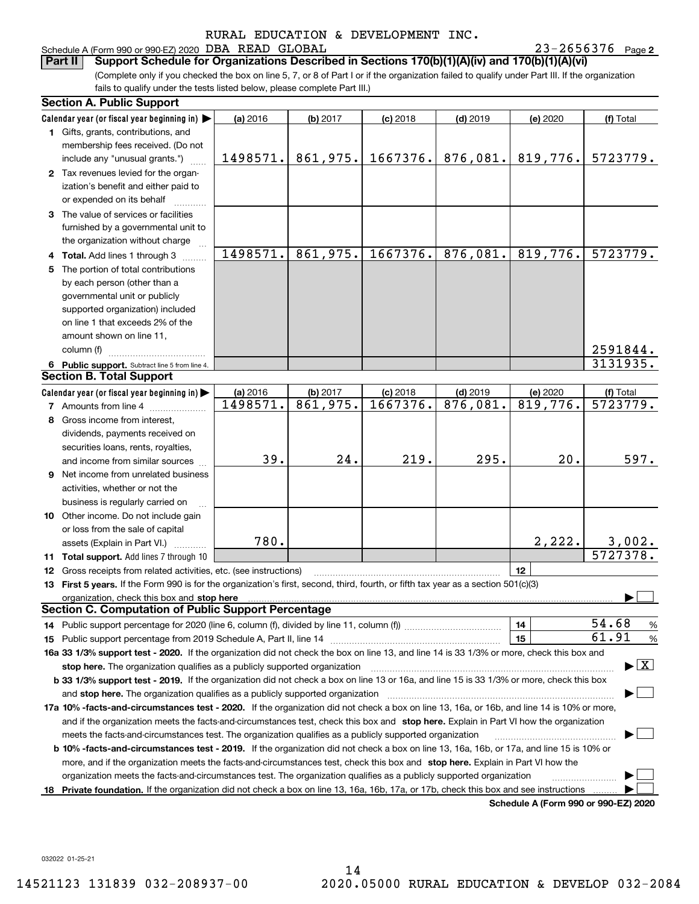Schedule A (Form 990 or 990-EZ) 2020 Page DBA READ GLOBAL 23-2656376

23-2656376 Page 2

(Complete only if you checked the box on line 5, 7, or 8 of Part I or if the organization failed to qualify under Part III. If the organization fails to qualify under the tests listed below, please complete Part III.) **Part II** Support Schedule for Organizations Described in Sections 170(b)(1)(A)(iv) and 170(b)(1)(A)(vi)

|    | <b>Section A. Public Support</b>                                                                                                                                                                                               |          |          |            |            |          |                                          |  |  |
|----|--------------------------------------------------------------------------------------------------------------------------------------------------------------------------------------------------------------------------------|----------|----------|------------|------------|----------|------------------------------------------|--|--|
|    | Calendar year (or fiscal year beginning in)                                                                                                                                                                                    | (a) 2016 | (b) 2017 | $(c)$ 2018 | $(d)$ 2019 | (e) 2020 | (f) Total                                |  |  |
|    | 1 Gifts, grants, contributions, and                                                                                                                                                                                            |          |          |            |            |          |                                          |  |  |
|    | membership fees received. (Do not                                                                                                                                                                                              |          |          |            |            |          |                                          |  |  |
|    | include any "unusual grants.")                                                                                                                                                                                                 | 1498571. | 861,975. | 1667376.   | 876,081.   | 819,776. | 5723779.                                 |  |  |
|    | 2 Tax revenues levied for the organ-                                                                                                                                                                                           |          |          |            |            |          |                                          |  |  |
|    | ization's benefit and either paid to                                                                                                                                                                                           |          |          |            |            |          |                                          |  |  |
|    | or expended on its behalf                                                                                                                                                                                                      |          |          |            |            |          |                                          |  |  |
|    | 3 The value of services or facilities                                                                                                                                                                                          |          |          |            |            |          |                                          |  |  |
|    | furnished by a governmental unit to                                                                                                                                                                                            |          |          |            |            |          |                                          |  |  |
|    | the organization without charge                                                                                                                                                                                                |          |          |            |            |          |                                          |  |  |
|    | <b>Total.</b> Add lines 1 through 3                                                                                                                                                                                            | 1498571. | 861,975. | 1667376.   | 876,081.   | 819,776. | 5723779.                                 |  |  |
| 5. | The portion of total contributions                                                                                                                                                                                             |          |          |            |            |          |                                          |  |  |
|    | by each person (other than a                                                                                                                                                                                                   |          |          |            |            |          |                                          |  |  |
|    | governmental unit or publicly                                                                                                                                                                                                  |          |          |            |            |          |                                          |  |  |
|    |                                                                                                                                                                                                                                |          |          |            |            |          |                                          |  |  |
|    | supported organization) included                                                                                                                                                                                               |          |          |            |            |          |                                          |  |  |
|    | on line 1 that exceeds 2% of the                                                                                                                                                                                               |          |          |            |            |          |                                          |  |  |
|    | amount shown on line 11,                                                                                                                                                                                                       |          |          |            |            |          |                                          |  |  |
|    | column (f)                                                                                                                                                                                                                     |          |          |            |            |          | 2591844.                                 |  |  |
|    | 6 Public support. Subtract line 5 from line 4.                                                                                                                                                                                 |          |          |            |            |          | 3131935.                                 |  |  |
|    | <b>Section B. Total Support</b>                                                                                                                                                                                                |          |          |            |            |          |                                          |  |  |
|    | Calendar year (or fiscal year beginning in)                                                                                                                                                                                    | (a) 2016 | (b) 2017 | $(c)$ 2018 | $(d)$ 2019 | (e) 2020 | (f) Total                                |  |  |
|    | 7 Amounts from line 4                                                                                                                                                                                                          | 1498571. | 861,975. | 1667376.   | 876,081.   | 819,776. | 5723779.                                 |  |  |
| 8  | Gross income from interest,                                                                                                                                                                                                    |          |          |            |            |          |                                          |  |  |
|    | dividends, payments received on                                                                                                                                                                                                |          |          |            |            |          |                                          |  |  |
|    | securities loans, rents, royalties,                                                                                                                                                                                            |          |          |            |            |          |                                          |  |  |
|    | and income from similar sources                                                                                                                                                                                                | 39.      | 24.      | 219.       | 295.       | 20.      | 597.                                     |  |  |
| 9  | Net income from unrelated business                                                                                                                                                                                             |          |          |            |            |          |                                          |  |  |
|    | activities, whether or not the                                                                                                                                                                                                 |          |          |            |            |          |                                          |  |  |
|    | business is regularly carried on                                                                                                                                                                                               |          |          |            |            |          |                                          |  |  |
|    | 10 Other income. Do not include gain                                                                                                                                                                                           |          |          |            |            |          |                                          |  |  |
|    | or loss from the sale of capital                                                                                                                                                                                               |          |          |            |            |          |                                          |  |  |
|    | assets (Explain in Part VI.)                                                                                                                                                                                                   | 780.     |          |            |            | 2,222.   | 3,002.                                   |  |  |
|    | 11 Total support. Add lines 7 through 10                                                                                                                                                                                       |          |          |            |            |          | 5727378.                                 |  |  |
|    | 12 Gross receipts from related activities, etc. (see instructions)                                                                                                                                                             |          |          |            |            | 12       |                                          |  |  |
|    | 13 First 5 years. If the Form 990 is for the organization's first, second, third, fourth, or fifth tax year as a section 501(c)(3)                                                                                             |          |          |            |            |          |                                          |  |  |
|    | organization, check this box and stop here manufactured and according to the state of the state of the state of the state of the state of the state of the state of the state of the state of the state of the state of the st |          |          |            |            |          |                                          |  |  |
|    | <b>Section C. Computation of Public Support Percentage</b>                                                                                                                                                                     |          |          |            |            |          |                                          |  |  |
|    |                                                                                                                                                                                                                                |          |          |            |            | 14       | 54.68<br>$\frac{9}{6}$                   |  |  |
|    |                                                                                                                                                                                                                                |          |          |            |            | 15       | 61.91<br>$\%$                            |  |  |
|    | 16a 33 1/3% support test - 2020. If the organization did not check the box on line 13, and line 14 is 33 1/3% or more, check this box and                                                                                      |          |          |            |            |          |                                          |  |  |
|    | stop here. The organization qualifies as a publicly supported organization                                                                                                                                                     |          |          |            |            |          | $\blacktriangleright$ $\boxed{\text{X}}$ |  |  |
|    | b 33 1/3% support test - 2019. If the organization did not check a box on line 13 or 16a, and line 15 is 33 1/3% or more, check this box                                                                                       |          |          |            |            |          |                                          |  |  |
|    | and stop here. The organization qualifies as a publicly supported organization                                                                                                                                                 |          |          |            |            |          |                                          |  |  |
|    | 17a 10% -facts-and-circumstances test - 2020. If the organization did not check a box on line 13, 16a, or 16b, and line 14 is 10% or more,                                                                                     |          |          |            |            |          |                                          |  |  |
|    |                                                                                                                                                                                                                                |          |          |            |            |          |                                          |  |  |
|    | and if the organization meets the facts-and-circumstances test, check this box and stop here. Explain in Part VI how the organization                                                                                          |          |          |            |            |          |                                          |  |  |
|    | meets the facts-and-circumstances test. The organization qualifies as a publicly supported organization                                                                                                                        |          |          |            |            |          |                                          |  |  |
|    | <b>b 10% -facts-and-circumstances test - 2019.</b> If the organization did not check a box on line 13, 16a, 16b, or 17a, and line 15 is 10% or                                                                                 |          |          |            |            |          |                                          |  |  |
|    | more, and if the organization meets the facts-and-circumstances test, check this box and stop here. Explain in Part VI how the                                                                                                 |          |          |            |            |          |                                          |  |  |
|    | organization meets the facts-and-circumstances test. The organization qualifies as a publicly supported organization                                                                                                           |          |          |            |            |          |                                          |  |  |
| 18 | Private foundation. If the organization did not check a box on line 13, 16a, 16b, 17a, or 17b, check this box and see instructions                                                                                             |          |          |            |            |          |                                          |  |  |

**Schedule A (Form 990 or 990-EZ) 2020**

032022 01-25-21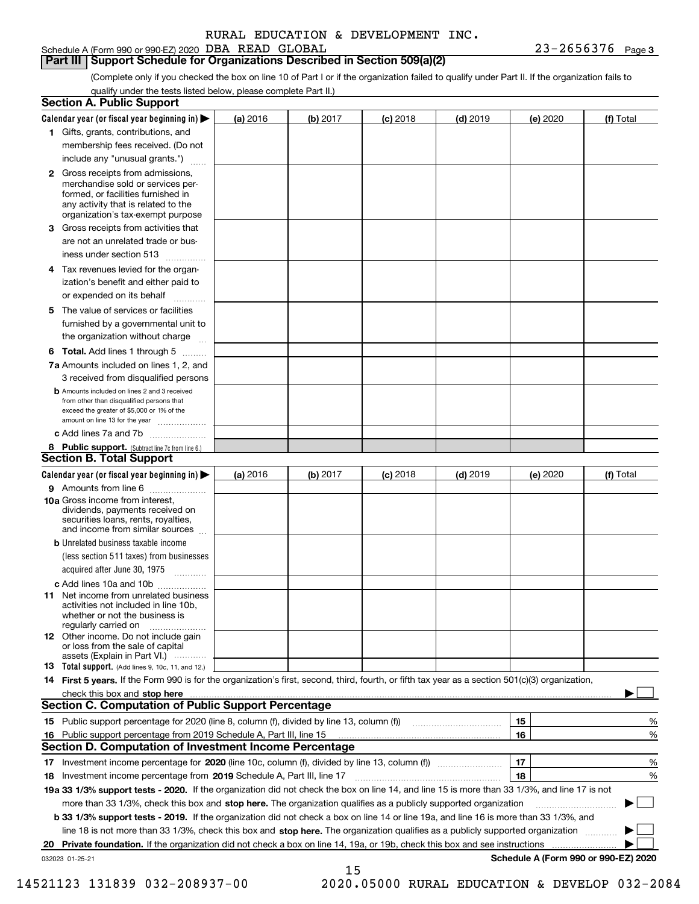Schedule A (Form 990 or 990-EZ) 2020 Page DBA READ GLOBAL 23-2656376

**3**

#### **Part III Support Schedule for Organizations Described in Section 509(a)(2)**

(Complete only if you checked the box on line 10 of Part I or if the organization failed to qualify under Part II. If the organization fails to qualify under the tests listed below, please complete Part II.)

|     | <b>Section A. Public Support</b>                                                                                                                                                                                               |          |          |            |            |          |                                      |
|-----|--------------------------------------------------------------------------------------------------------------------------------------------------------------------------------------------------------------------------------|----------|----------|------------|------------|----------|--------------------------------------|
|     | Calendar year (or fiscal year beginning in) $\blacktriangleright$                                                                                                                                                              | (a) 2016 | (b) 2017 | $(c)$ 2018 | $(d)$ 2019 | (e) 2020 | (f) Total                            |
|     | 1 Gifts, grants, contributions, and                                                                                                                                                                                            |          |          |            |            |          |                                      |
|     | membership fees received. (Do not                                                                                                                                                                                              |          |          |            |            |          |                                      |
|     | include any "unusual grants.")                                                                                                                                                                                                 |          |          |            |            |          |                                      |
|     | <b>2</b> Gross receipts from admissions,<br>merchandise sold or services per-<br>formed, or facilities furnished in<br>any activity that is related to the<br>organization's tax-exempt purpose                                |          |          |            |            |          |                                      |
|     | 3 Gross receipts from activities that<br>are not an unrelated trade or bus-                                                                                                                                                    |          |          |            |            |          |                                      |
|     | iness under section 513                                                                                                                                                                                                        |          |          |            |            |          |                                      |
|     | 4 Tax revenues levied for the organ-<br>ization's benefit and either paid to                                                                                                                                                   |          |          |            |            |          |                                      |
|     | or expended on its behalf<br>.                                                                                                                                                                                                 |          |          |            |            |          |                                      |
|     | 5 The value of services or facilities<br>furnished by a governmental unit to<br>the organization without charge                                                                                                                |          |          |            |            |          |                                      |
|     |                                                                                                                                                                                                                                |          |          |            |            |          |                                      |
|     | <b>6 Total.</b> Add lines 1 through 5<br>7a Amounts included on lines 1, 2, and<br>3 received from disqualified persons                                                                                                        |          |          |            |            |          |                                      |
|     | <b>b</b> Amounts included on lines 2 and 3 received<br>from other than disqualified persons that<br>exceed the greater of \$5,000 or 1% of the<br>amount on line 13 for the year                                               |          |          |            |            |          |                                      |
|     | c Add lines 7a and 7b                                                                                                                                                                                                          |          |          |            |            |          |                                      |
|     | 8 Public support. (Subtract line 7c from line 6.)<br><b>Section B. Total Support</b>                                                                                                                                           |          |          |            |            |          |                                      |
|     | Calendar year (or fiscal year beginning in)                                                                                                                                                                                    | (a) 2016 | (b) 2017 | $(c)$ 2018 | $(d)$ 2019 | (e) 2020 | (f) Total                            |
|     | 9 Amounts from line 6                                                                                                                                                                                                          |          |          |            |            |          |                                      |
|     | 10a Gross income from interest,<br>dividends, payments received on<br>securities loans, rents, royalties,<br>and income from similar sources                                                                                   |          |          |            |            |          |                                      |
|     | <b>b</b> Unrelated business taxable income<br>(less section 511 taxes) from businesses                                                                                                                                         |          |          |            |            |          |                                      |
|     | acquired after June 30, 1975                                                                                                                                                                                                   |          |          |            |            |          |                                      |
|     | c Add lines 10a and 10b<br>11 Net income from unrelated business<br>activities not included in line 10b,<br>whether or not the business is<br>regularly carried on                                                             |          |          |            |            |          |                                      |
|     | 12 Other income. Do not include gain<br>or loss from the sale of capital<br>assets (Explain in Part VI.)                                                                                                                       |          |          |            |            |          |                                      |
|     | 13 Total support. (Add lines 9, 10c, 11, and 12.)                                                                                                                                                                              |          |          |            |            |          |                                      |
|     | 14 First 5 years. If the Form 990 is for the organization's first, second, third, fourth, or fifth tax year as a section 501(c)(3) organization,                                                                               |          |          |            |            |          |                                      |
|     | check this box and stop here measurements are all the state of the state of the state of the state of the state of the state of the state of the state of the state of the state of the state of the state of the state of the |          |          |            |            |          |                                      |
|     | <b>Section C. Computation of Public Support Percentage</b>                                                                                                                                                                     |          |          |            |            |          |                                      |
|     |                                                                                                                                                                                                                                |          |          |            |            | 15       | %                                    |
| 16. | Public support percentage from 2019 Schedule A, Part III, line 15                                                                                                                                                              |          |          |            |            | 16       | %                                    |
|     | <b>Section D. Computation of Investment Income Percentage</b>                                                                                                                                                                  |          |          |            |            |          |                                      |
|     | 17 Investment income percentage for 2020 (line 10c, column (f), divided by line 13, column (f))                                                                                                                                |          |          |            |            | 17       | %                                    |
|     | 18 Investment income percentage from 2019 Schedule A, Part III, line 17                                                                                                                                                        |          |          |            |            | 18       | %                                    |
|     | 19a 33 1/3% support tests - 2020. If the organization did not check the box on line 14, and line 15 is more than 33 1/3%, and line 17 is not                                                                                   |          |          |            |            |          |                                      |
|     | more than 33 1/3%, check this box and stop here. The organization qualifies as a publicly supported organization                                                                                                               |          |          |            |            |          |                                      |
|     | b 33 1/3% support tests - 2019. If the organization did not check a box on line 14 or line 19a, and line 16 is more than 33 1/3%, and                                                                                          |          |          |            |            |          |                                      |
|     | line 18 is not more than 33 1/3%, check this box and stop here. The organization qualifies as a publicly supported organization                                                                                                |          |          |            |            |          |                                      |
|     | 20 Private foundation. If the organization did not check a box on line 14, 19a, or 19b, check this box and see instructions                                                                                                    |          |          |            |            |          | .                                    |
|     | 032023 01-25-21                                                                                                                                                                                                                |          | 15       |            |            |          | Schedule A (Form 990 or 990-EZ) 2020 |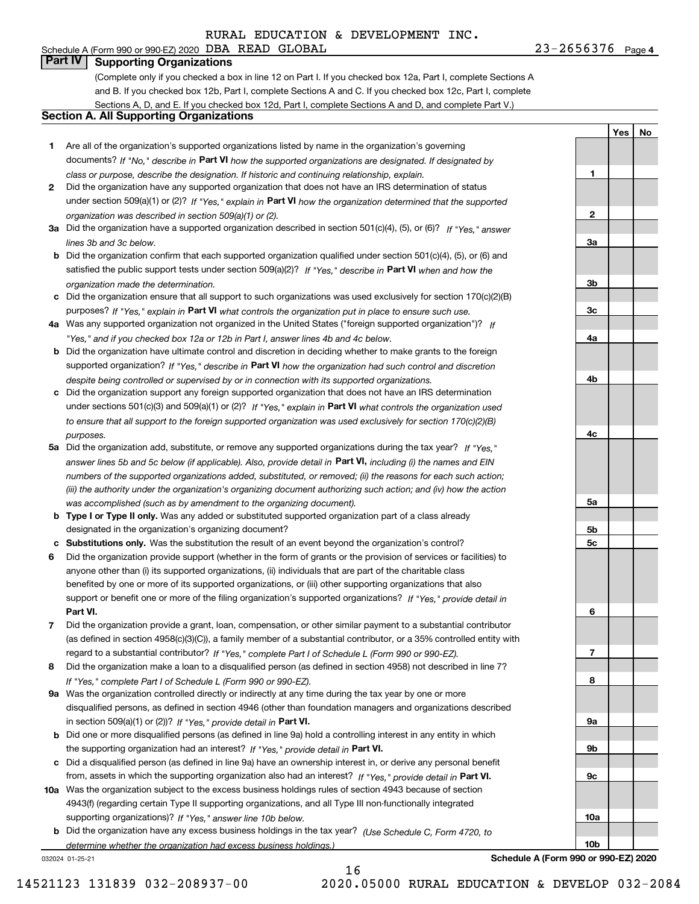# Schedule A (Form 990 or 990-EZ) 2020 Page DBA READ GLOBAL 23-2656376

**Part IV Supporting Organizations**

(Complete only if you checked a box in line 12 on Part I. If you checked box 12a, Part I, complete Sections A and B. If you checked box 12b, Part I, complete Sections A and C. If you checked box 12c, Part I, complete Sections A, D, and E. If you checked box 12d, Part I, complete Sections A and D, and complete Part V.)

### **Section A. All Supporting Organizations**

- **1** Are all of the organization's supported organizations listed by name in the organization's governing documents? If "No," describe in **Part VI** how the supported organizations are designated. If designated by *class or purpose, describe the designation. If historic and continuing relationship, explain.*
- **2** Did the organization have any supported organization that does not have an IRS determination of status under section 509(a)(1) or (2)? If "Yes," explain in Part VI how the organization determined that the supported *organization was described in section 509(a)(1) or (2).*
- **3a** Did the organization have a supported organization described in section 501(c)(4), (5), or (6)? If "Yes," answer *lines 3b and 3c below.*
- **b** Did the organization confirm that each supported organization qualified under section 501(c)(4), (5), or (6) and satisfied the public support tests under section 509(a)(2)? If "Yes," describe in **Part VI** when and how the *organization made the determination.*
- **c**Did the organization ensure that all support to such organizations was used exclusively for section 170(c)(2)(B) purposes? If "Yes," explain in **Part VI** what controls the organization put in place to ensure such use.
- **4a***If* Was any supported organization not organized in the United States ("foreign supported organization")? *"Yes," and if you checked box 12a or 12b in Part I, answer lines 4b and 4c below.*
- **b** Did the organization have ultimate control and discretion in deciding whether to make grants to the foreign supported organization? If "Yes," describe in **Part VI** how the organization had such control and discretion *despite being controlled or supervised by or in connection with its supported organizations.*
- **c** Did the organization support any foreign supported organization that does not have an IRS determination under sections 501(c)(3) and 509(a)(1) or (2)? If "Yes," explain in **Part VI** what controls the organization used *to ensure that all support to the foreign supported organization was used exclusively for section 170(c)(2)(B) purposes.*
- **5a** Did the organization add, substitute, or remove any supported organizations during the tax year? If "Yes," answer lines 5b and 5c below (if applicable). Also, provide detail in **Part VI,** including (i) the names and EIN *numbers of the supported organizations added, substituted, or removed; (ii) the reasons for each such action; (iii) the authority under the organization's organizing document authorizing such action; and (iv) how the action was accomplished (such as by amendment to the organizing document).*
- **b** Type I or Type II only. Was any added or substituted supported organization part of a class already designated in the organization's organizing document?
- **cSubstitutions only.**  Was the substitution the result of an event beyond the organization's control?
- **6** Did the organization provide support (whether in the form of grants or the provision of services or facilities) to **Part VI.** *If "Yes," provide detail in* support or benefit one or more of the filing organization's supported organizations? anyone other than (i) its supported organizations, (ii) individuals that are part of the charitable class benefited by one or more of its supported organizations, or (iii) other supporting organizations that also
- **7**Did the organization provide a grant, loan, compensation, or other similar payment to a substantial contributor *If "Yes," complete Part I of Schedule L (Form 990 or 990-EZ).* regard to a substantial contributor? (as defined in section 4958(c)(3)(C)), a family member of a substantial contributor, or a 35% controlled entity with
- **8** Did the organization make a loan to a disqualified person (as defined in section 4958) not described in line 7? *If "Yes," complete Part I of Schedule L (Form 990 or 990-EZ).*
- **9a** Was the organization controlled directly or indirectly at any time during the tax year by one or more in section 509(a)(1) or (2))? If "Yes," *provide detail in* <code>Part VI.</code> disqualified persons, as defined in section 4946 (other than foundation managers and organizations described
- **b** Did one or more disqualified persons (as defined in line 9a) hold a controlling interest in any entity in which the supporting organization had an interest? If "Yes," provide detail in P**art VI**.
- **c**Did a disqualified person (as defined in line 9a) have an ownership interest in, or derive any personal benefit from, assets in which the supporting organization also had an interest? If "Yes," provide detail in P**art VI.**
- **10a** Was the organization subject to the excess business holdings rules of section 4943 because of section supporting organizations)? If "Yes," answer line 10b below. 4943(f) (regarding certain Type II supporting organizations, and all Type III non-functionally integrated
- **b** Did the organization have any excess business holdings in the tax year? (Use Schedule C, Form 4720, to *determine whether the organization had excess business holdings.)*

032024 01-25-21

**Schedule A (Form 990 or 990-EZ) 2020**

**YesNo**

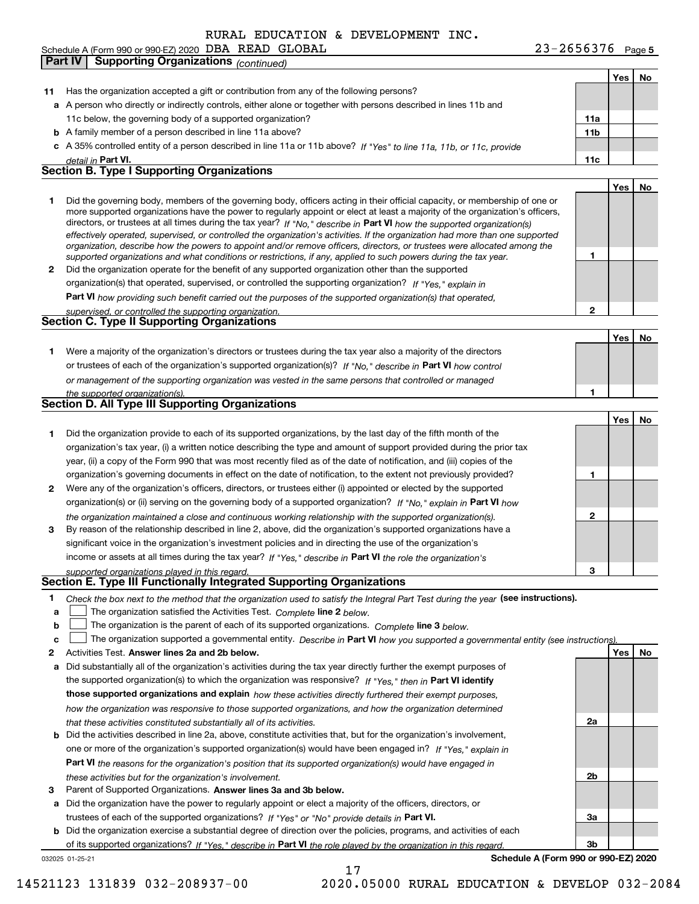Schedule A (Form 990 or 990-EZ) 2020 Page DBA READ GLOBAL 23-2656376 **Part IV Supporting Organizations** *(continued)*

**5**

|              |                                                                                                                                                                                                                                              |              | Yes | No |
|--------------|----------------------------------------------------------------------------------------------------------------------------------------------------------------------------------------------------------------------------------------------|--------------|-----|----|
| 11           | Has the organization accepted a gift or contribution from any of the following persons?                                                                                                                                                      |              |     |    |
|              | a A person who directly or indirectly controls, either alone or together with persons described in lines 11b and                                                                                                                             |              |     |    |
|              | 11c below, the governing body of a supported organization?                                                                                                                                                                                   | 11a          |     |    |
|              | <b>b</b> A family member of a person described in line 11a above?                                                                                                                                                                            | 11b          |     |    |
|              | c A 35% controlled entity of a person described in line 11a or 11b above? If "Yes" to line 11a, 11b, or 11c, provide                                                                                                                         |              |     |    |
|              | detail in Part VI.                                                                                                                                                                                                                           | 11c          |     |    |
|              | <b>Section B. Type I Supporting Organizations</b>                                                                                                                                                                                            |              |     |    |
|              |                                                                                                                                                                                                                                              |              | Yes | No |
| 1            | Did the governing body, members of the governing body, officers acting in their official capacity, or membership of one or                                                                                                                   |              |     |    |
|              | more supported organizations have the power to regularly appoint or elect at least a majority of the organization's officers,                                                                                                                |              |     |    |
|              | directors, or trustees at all times during the tax year? If "No," describe in Part VI how the supported organization(s)                                                                                                                      |              |     |    |
|              | effectively operated, supervised, or controlled the organization's activities. If the organization had more than one supported                                                                                                               |              |     |    |
|              | organization, describe how the powers to appoint and/or remove officers, directors, or trustees were allocated among the<br>supported organizations and what conditions or restrictions, if any, applied to such powers during the tax year. | 1            |     |    |
| $\mathbf{2}$ | Did the organization operate for the benefit of any supported organization other than the supported                                                                                                                                          |              |     |    |
|              | organization(s) that operated, supervised, or controlled the supporting organization? If "Yes," explain in                                                                                                                                   |              |     |    |
|              |                                                                                                                                                                                                                                              |              |     |    |
|              | Part VI how providing such benefit carried out the purposes of the supported organization(s) that operated,                                                                                                                                  | $\mathbf{2}$ |     |    |
|              | supervised, or controlled the supporting organization.<br><b>Section C. Type II Supporting Organizations</b>                                                                                                                                 |              |     |    |
|              |                                                                                                                                                                                                                                              |              | Yes | No |
| 1.           | Were a majority of the organization's directors or trustees during the tax year also a majority of the directors                                                                                                                             |              |     |    |
|              | or trustees of each of the organization's supported organization(s)? If "No," describe in Part VI how control                                                                                                                                |              |     |    |
|              |                                                                                                                                                                                                                                              |              |     |    |
|              | or management of the supporting organization was vested in the same persons that controlled or managed                                                                                                                                       | 1            |     |    |
|              | the supported organization(s).<br>Section D. All Type III Supporting Organizations                                                                                                                                                           |              |     |    |
|              |                                                                                                                                                                                                                                              |              | Yes | No |
| 1.           | Did the organization provide to each of its supported organizations, by the last day of the fifth month of the                                                                                                                               |              |     |    |
|              | organization's tax year, (i) a written notice describing the type and amount of support provided during the prior tax                                                                                                                        |              |     |    |
|              | year, (ii) a copy of the Form 990 that was most recently filed as of the date of notification, and (iii) copies of the                                                                                                                       |              |     |    |
|              | organization's governing documents in effect on the date of notification, to the extent not previously provided?                                                                                                                             | 1            |     |    |
| 2            | Were any of the organization's officers, directors, or trustees either (i) appointed or elected by the supported                                                                                                                             |              |     |    |
|              |                                                                                                                                                                                                                                              |              |     |    |
|              | organization(s) or (ii) serving on the governing body of a supported organization? If "No," explain in Part VI how                                                                                                                           | 2            |     |    |
| 3            | the organization maintained a close and continuous working relationship with the supported organization(s).<br>By reason of the relationship described in line 2, above, did the organization's supported organizations have a               |              |     |    |
|              | significant voice in the organization's investment policies and in directing the use of the organization's                                                                                                                                   |              |     |    |
|              |                                                                                                                                                                                                                                              |              |     |    |
|              | income or assets at all times during the tax year? If "Yes," describe in Part VI the role the organization's                                                                                                                                 | 3            |     |    |
|              | supported organizations played in this regard.<br>Section E. Type III Functionally Integrated Supporting Organizations                                                                                                                       |              |     |    |
| 1            | Check the box next to the method that the organization used to satisfy the Integral Part Test during the year (see instructions).                                                                                                            |              |     |    |
| а            | The organization satisfied the Activities Test. Complete line 2 below.                                                                                                                                                                       |              |     |    |
| b            | The organization is the parent of each of its supported organizations. Complete line 3 below.                                                                                                                                                |              |     |    |
| c            | The organization supported a governmental entity. Describe in Part VI how you supported a governmental entity (see instructions)                                                                                                             |              |     |    |
| 2            | Activities Test. Answer lines 2a and 2b below.                                                                                                                                                                                               |              | Yes | No |
| а            | Did substantially all of the organization's activities during the tax year directly further the exempt purposes of                                                                                                                           |              |     |    |
|              | the supported organization(s) to which the organization was responsive? If "Yes," then in Part VI identify                                                                                                                                   |              |     |    |
|              | those supported organizations and explain how these activities directly furthered their exempt purposes,                                                                                                                                     |              |     |    |
|              | how the organization was responsive to those supported organizations, and how the organization determined                                                                                                                                    |              |     |    |
|              | that these activities constituted substantially all of its activities.                                                                                                                                                                       | 2a           |     |    |
|              | <b>b</b> Did the activities described in line 2a, above, constitute activities that, but for the organization's involvement,                                                                                                                 |              |     |    |
|              | one or more of the organization's supported organization(s) would have been engaged in? If "Yes," explain in                                                                                                                                 |              |     |    |
|              | Part VI the reasons for the organization's position that its supported organization(s) would have engaged in                                                                                                                                 |              |     |    |
|              | these activities but for the organization's involvement.                                                                                                                                                                                     | 2b           |     |    |
| 3            | Parent of Supported Organizations. Answer lines 3a and 3b below.                                                                                                                                                                             |              |     |    |
|              | a Did the organization have the power to regularly appoint or elect a majority of the officers, directors, or                                                                                                                                |              |     |    |
|              | trustees of each of the supported organizations? If "Yes" or "No" provide details in Part VI.                                                                                                                                                | За           |     |    |
|              | <b>b</b> Did the organization exercise a substantial degree of direction over the policies, programs, and activities of each                                                                                                                 |              |     |    |
|              | of its supported organizations? If "Yes." describe in Part VI the role played by the organization in this regard.                                                                                                                            | Зb           |     |    |
|              | Schedule A (Form 990 or 990-EZ) 2020<br>032025 01-25-21                                                                                                                                                                                      |              |     |    |
|              | 17                                                                                                                                                                                                                                           |              |     |    |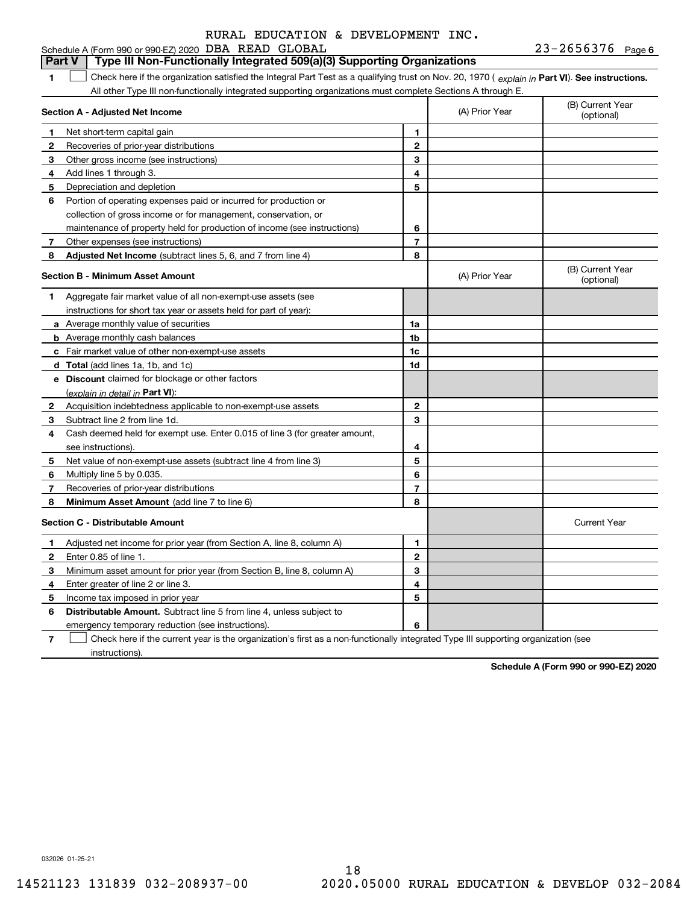#### **1Part VI** Check here if the organization satisfied the Integral Part Test as a qualifying trust on Nov. 20, 1970 ( *explain in* Part **VI**). See instructions. **Section A - Adjusted Net Income 12** Recoveries of prior-year distributions **3** Other gross income (see instructions) **4**Add lines 1 through 3. **56** Portion of operating expenses paid or incurred for production or **7** Other expenses (see instructions) **8** Adjusted Net Income (subtract lines 5, 6, and 7 from line 4) **8 8 1234567Section B - Minimum Asset Amount 1**Aggregate fair market value of all non-exempt-use assets (see **2**Acquisition indebtedness applicable to non-exempt-use assets **3** Subtract line 2 from line 1d. **4**Cash deemed held for exempt use. Enter 0.015 of line 3 (for greater amount, **5** Net value of non-exempt-use assets (subtract line 4 from line 3) **678a** Average monthly value of securities **b** Average monthly cash balances **c**Fair market value of other non-exempt-use assets **dTotal**  (add lines 1a, 1b, and 1c) **eDiscount** claimed for blockage or other factors **1a1b1c1d2345678**(explain in detail in Part VI): **Minimum Asset Amount**  (add line 7 to line 6) **Section C - Distributable Amount 12**Enter 0.85 of line 1. **3456123456Distributable Amount.** Subtract line 5 from line 4, unless subject to Schedule A (Form 990 or 990-EZ) 2020 Page DBA READ GLOBAL 23-2656376 All other Type III non-functionally integrated supporting organizations must complete Sections A through E. (B) Current Year (optional)(A) Prior Year Net short-term capital gain Depreciation and depletion collection of gross income or for management, conservation, or maintenance of property held for production of income (see instructions) (B) Current Year (optional)(A) Prior Year instructions for short tax year or assets held for part of year): see instructions). Multiply line 5 by 0.035. Recoveries of prior-year distributions Current Year Adjusted net income for prior year (from Section A, line 8, column A) Minimum asset amount for prior year (from Section B, line 8, column A) Enter greater of line 2 or line 3. Income tax imposed in prior year emergency temporary reduction (see instructions). **Part V Type III Non-Functionally Integrated 509(a)(3) Supporting Organizations**   $\mathcal{L}^{\text{max}}$

**7**Check here if the current year is the organization's first as a non-functionally integrated Type III supporting organization (see instructions). $\mathcal{L}^{\text{max}}$ 

**Schedule A (Form 990 or 990-EZ) 2020**

032026 01-25-21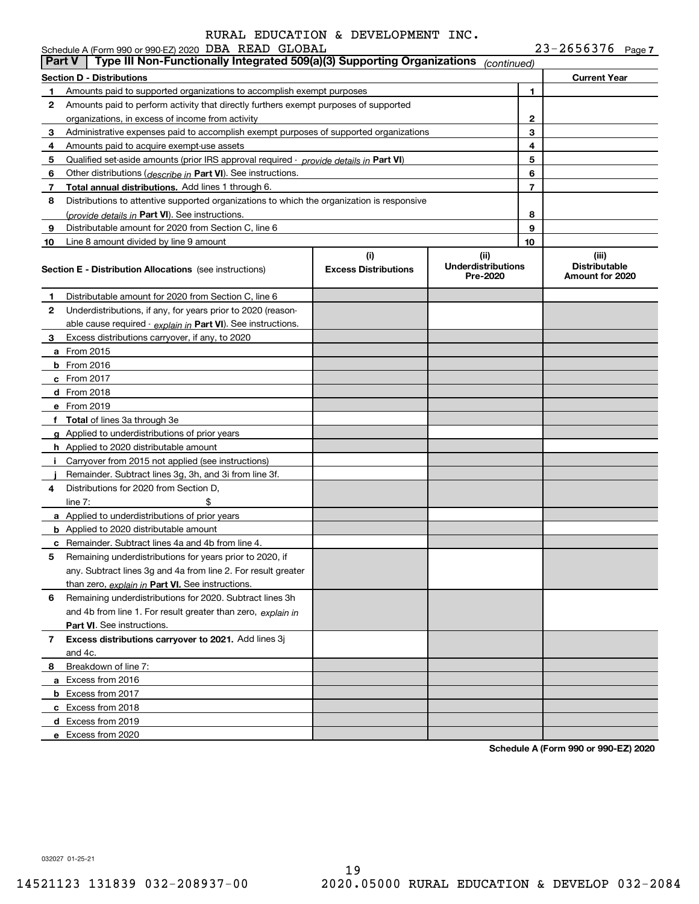|               | Schedule A (Form 990 or 990-EZ) 2020 DBA READ GLOBAL                                       |                                    |                                               |                     | 23-2656376<br>Page 7                             |
|---------------|--------------------------------------------------------------------------------------------|------------------------------------|-----------------------------------------------|---------------------|--------------------------------------------------|
| <b>Part V</b> | Type III Non-Functionally Integrated 509(a)(3) Supporting Organizations                    |                                    | (continued)                                   |                     |                                                  |
|               | <b>Section D - Distributions</b>                                                           |                                    |                                               | <b>Current Year</b> |                                                  |
| 1             | Amounts paid to supported organizations to accomplish exempt purposes                      |                                    | 1                                             |                     |                                                  |
| 2             | Amounts paid to perform activity that directly furthers exempt purposes of supported       |                                    |                                               |                     |                                                  |
|               | organizations, in excess of income from activity                                           |                                    | $\mathbf{2}$                                  |                     |                                                  |
| 3             | Administrative expenses paid to accomplish exempt purposes of supported organizations      |                                    |                                               | 3                   |                                                  |
| 4             | Amounts paid to acquire exempt-use assets                                                  |                                    |                                               | 4                   |                                                  |
| 5             | Qualified set-aside amounts (prior IRS approval required - provide details in Part VI)     |                                    |                                               | 5                   |                                                  |
| 6             | Other distributions (describe in Part VI). See instructions.                               |                                    |                                               | 6                   |                                                  |
| 7             | Total annual distributions. Add lines 1 through 6.                                         |                                    |                                               | 7                   |                                                  |
| 8             | Distributions to attentive supported organizations to which the organization is responsive |                                    |                                               |                     |                                                  |
|               | (provide details in Part VI). See instructions.                                            |                                    |                                               |                     |                                                  |
| 9             | Distributable amount for 2020 from Section C, line 6                                       | 9                                  |                                               |                     |                                                  |
| 10            | Line 8 amount divided by line 9 amount                                                     |                                    |                                               | 10                  |                                                  |
|               | Section E - Distribution Allocations (see instructions)                                    | (i)<br><b>Excess Distributions</b> | (ii)<br><b>Underdistributions</b><br>Pre-2020 |                     | (iii)<br><b>Distributable</b><br>Amount for 2020 |
| 1.            | Distributable amount for 2020 from Section C, line 6                                       |                                    |                                               |                     |                                                  |
| 2             | Underdistributions, if any, for years prior to 2020 (reason-                               |                                    |                                               |                     |                                                  |
|               | able cause required - explain in Part VI). See instructions.                               |                                    |                                               |                     |                                                  |
| 3             | Excess distributions carryover, if any, to 2020                                            |                                    |                                               |                     |                                                  |
|               | a From 2015                                                                                |                                    |                                               |                     |                                                  |
|               | <b>b</b> From 2016                                                                         |                                    |                                               |                     |                                                  |
|               | c From 2017                                                                                |                                    |                                               |                     |                                                  |
|               | d From 2018                                                                                |                                    |                                               |                     |                                                  |
|               | e From 2019                                                                                |                                    |                                               |                     |                                                  |
|               | f Total of lines 3a through 3e                                                             |                                    |                                               |                     |                                                  |
|               | g Applied to underdistributions of prior years                                             |                                    |                                               |                     |                                                  |
|               | h Applied to 2020 distributable amount                                                     |                                    |                                               |                     |                                                  |
|               | Carryover from 2015 not applied (see instructions)                                         |                                    |                                               |                     |                                                  |
|               | Remainder. Subtract lines 3g, 3h, and 3i from line 3f.                                     |                                    |                                               |                     |                                                  |

|   | Remainder. Subtract lines 3g, 3n, and 3l from line 3f.        |  |  |
|---|---------------------------------------------------------------|--|--|
| 4 | Distributions for 2020 from Section D,                        |  |  |
|   | $line 7$ :                                                    |  |  |
|   | a Applied to underdistributions of prior years                |  |  |
| b | Applied to 2020 distributable amount                          |  |  |
| с | Remainder. Subtract lines 4a and 4b from line 4.              |  |  |
| 5 | Remaining underdistributions for years prior to 2020, if      |  |  |
|   | any. Subtract lines 3g and 4a from line 2. For result greater |  |  |
|   | than zero, explain in Part VI. See instructions.              |  |  |
| 6 | Remaining underdistributions for 2020. Subtract lines 3h      |  |  |
|   | and 4b from line 1. For result greater than zero, explain in  |  |  |
|   | Part VI. See instructions.                                    |  |  |
|   | Excess distributions carryover to 2021. Add lines 3j          |  |  |
|   | and 4c.                                                       |  |  |
| 8 | Breakdown of line 7:                                          |  |  |
| а | Excess from 2016                                              |  |  |
|   | <b>b</b> Excess from 2017                                     |  |  |
| с | Excess from 2018                                              |  |  |
| d | Excess from 2019                                              |  |  |
|   | e Excess from 2020                                            |  |  |

**Schedule A (Form 990 or 990-EZ) 2020**

032027 01-25-21

 $\overline{a}$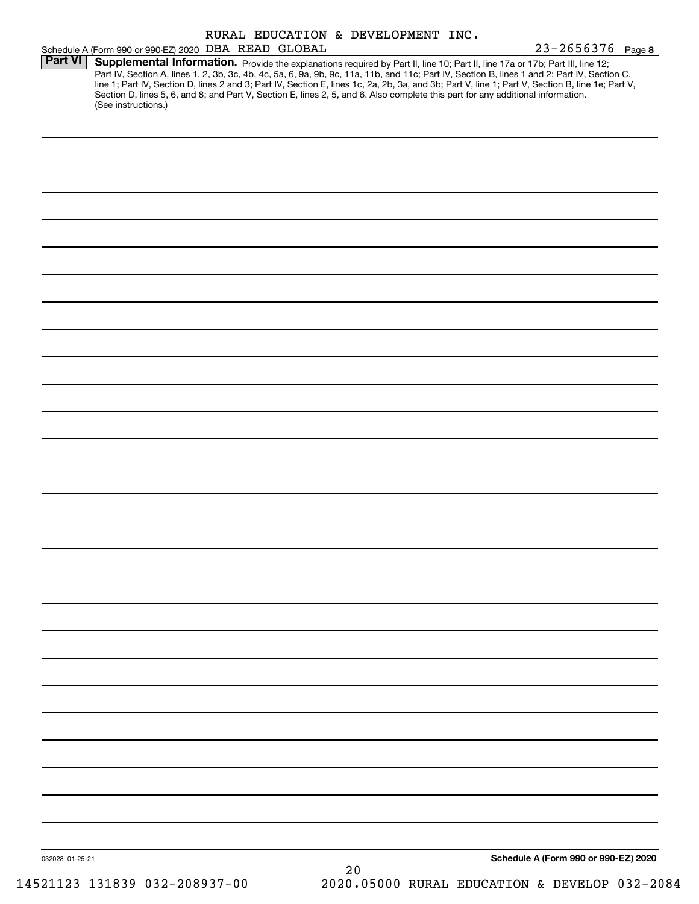|                 |                                                                                                                                                                                                                                                                                                                                                                                                                                                                                                                                                                                             |  |    | RURAL EDUCATION & DEVELOPMENT INC. |                                      |  |
|-----------------|---------------------------------------------------------------------------------------------------------------------------------------------------------------------------------------------------------------------------------------------------------------------------------------------------------------------------------------------------------------------------------------------------------------------------------------------------------------------------------------------------------------------------------------------------------------------------------------------|--|----|------------------------------------|--------------------------------------|--|
|                 | Schedule A (Form 990 or 990-EZ) 2020 DBA READ GLOBAL                                                                                                                                                                                                                                                                                                                                                                                                                                                                                                                                        |  |    |                                    | 23-2656376 Page 8                    |  |
| <b>Part VI</b>  | Supplemental Information. Provide the explanations required by Part II, line 10; Part II, line 17a or 17b; Part III, line 12;<br>Part IV, Section A, lines 1, 2, 3b, 3c, 4b, 4c, 5a, 6, 9a, 9b, 9c, 11a, 11b, and 11c; Part IV, Section B, lines 1 and 2; Part IV, Section C,<br>line 1; Part IV, Section D, lines 2 and 3; Part IV, Section E, lines 1c, 2a, 2b, 3a, and 3b; Part V, line 1; Part V, Section B, line 1e; Part V,<br>Section D, lines 5, 6, and 8; and Part V, Section E, lines 2, 5, and 6. Also complete this part for any additional information.<br>(See instructions.) |  |    |                                    |                                      |  |
|                 |                                                                                                                                                                                                                                                                                                                                                                                                                                                                                                                                                                                             |  |    |                                    |                                      |  |
|                 |                                                                                                                                                                                                                                                                                                                                                                                                                                                                                                                                                                                             |  |    |                                    |                                      |  |
|                 |                                                                                                                                                                                                                                                                                                                                                                                                                                                                                                                                                                                             |  |    |                                    |                                      |  |
|                 |                                                                                                                                                                                                                                                                                                                                                                                                                                                                                                                                                                                             |  |    |                                    |                                      |  |
|                 |                                                                                                                                                                                                                                                                                                                                                                                                                                                                                                                                                                                             |  |    |                                    |                                      |  |
|                 |                                                                                                                                                                                                                                                                                                                                                                                                                                                                                                                                                                                             |  |    |                                    |                                      |  |
|                 |                                                                                                                                                                                                                                                                                                                                                                                                                                                                                                                                                                                             |  |    |                                    |                                      |  |
|                 |                                                                                                                                                                                                                                                                                                                                                                                                                                                                                                                                                                                             |  |    |                                    |                                      |  |
|                 |                                                                                                                                                                                                                                                                                                                                                                                                                                                                                                                                                                                             |  |    |                                    |                                      |  |
|                 |                                                                                                                                                                                                                                                                                                                                                                                                                                                                                                                                                                                             |  |    |                                    |                                      |  |
|                 |                                                                                                                                                                                                                                                                                                                                                                                                                                                                                                                                                                                             |  |    |                                    |                                      |  |
|                 |                                                                                                                                                                                                                                                                                                                                                                                                                                                                                                                                                                                             |  |    |                                    |                                      |  |
|                 |                                                                                                                                                                                                                                                                                                                                                                                                                                                                                                                                                                                             |  |    |                                    |                                      |  |
|                 |                                                                                                                                                                                                                                                                                                                                                                                                                                                                                                                                                                                             |  |    |                                    |                                      |  |
|                 |                                                                                                                                                                                                                                                                                                                                                                                                                                                                                                                                                                                             |  |    |                                    |                                      |  |
|                 |                                                                                                                                                                                                                                                                                                                                                                                                                                                                                                                                                                                             |  |    |                                    |                                      |  |
|                 |                                                                                                                                                                                                                                                                                                                                                                                                                                                                                                                                                                                             |  |    |                                    |                                      |  |
|                 |                                                                                                                                                                                                                                                                                                                                                                                                                                                                                                                                                                                             |  |    |                                    |                                      |  |
|                 |                                                                                                                                                                                                                                                                                                                                                                                                                                                                                                                                                                                             |  |    |                                    |                                      |  |
|                 |                                                                                                                                                                                                                                                                                                                                                                                                                                                                                                                                                                                             |  |    |                                    |                                      |  |
|                 |                                                                                                                                                                                                                                                                                                                                                                                                                                                                                                                                                                                             |  |    |                                    |                                      |  |
|                 |                                                                                                                                                                                                                                                                                                                                                                                                                                                                                                                                                                                             |  |    |                                    |                                      |  |
|                 |                                                                                                                                                                                                                                                                                                                                                                                                                                                                                                                                                                                             |  |    |                                    |                                      |  |
|                 |                                                                                                                                                                                                                                                                                                                                                                                                                                                                                                                                                                                             |  |    |                                    |                                      |  |
|                 |                                                                                                                                                                                                                                                                                                                                                                                                                                                                                                                                                                                             |  |    |                                    |                                      |  |
|                 |                                                                                                                                                                                                                                                                                                                                                                                                                                                                                                                                                                                             |  |    |                                    |                                      |  |
|                 |                                                                                                                                                                                                                                                                                                                                                                                                                                                                                                                                                                                             |  |    |                                    |                                      |  |
|                 |                                                                                                                                                                                                                                                                                                                                                                                                                                                                                                                                                                                             |  |    |                                    |                                      |  |
|                 |                                                                                                                                                                                                                                                                                                                                                                                                                                                                                                                                                                                             |  |    |                                    |                                      |  |
|                 |                                                                                                                                                                                                                                                                                                                                                                                                                                                                                                                                                                                             |  |    |                                    |                                      |  |
|                 |                                                                                                                                                                                                                                                                                                                                                                                                                                                                                                                                                                                             |  |    |                                    |                                      |  |
|                 |                                                                                                                                                                                                                                                                                                                                                                                                                                                                                                                                                                                             |  |    |                                    |                                      |  |
|                 |                                                                                                                                                                                                                                                                                                                                                                                                                                                                                                                                                                                             |  |    |                                    |                                      |  |
|                 |                                                                                                                                                                                                                                                                                                                                                                                                                                                                                                                                                                                             |  |    |                                    |                                      |  |
| 032028 01-25-21 |                                                                                                                                                                                                                                                                                                                                                                                                                                                                                                                                                                                             |  | 20 |                                    | Schedule A (Form 990 or 990-EZ) 2020 |  |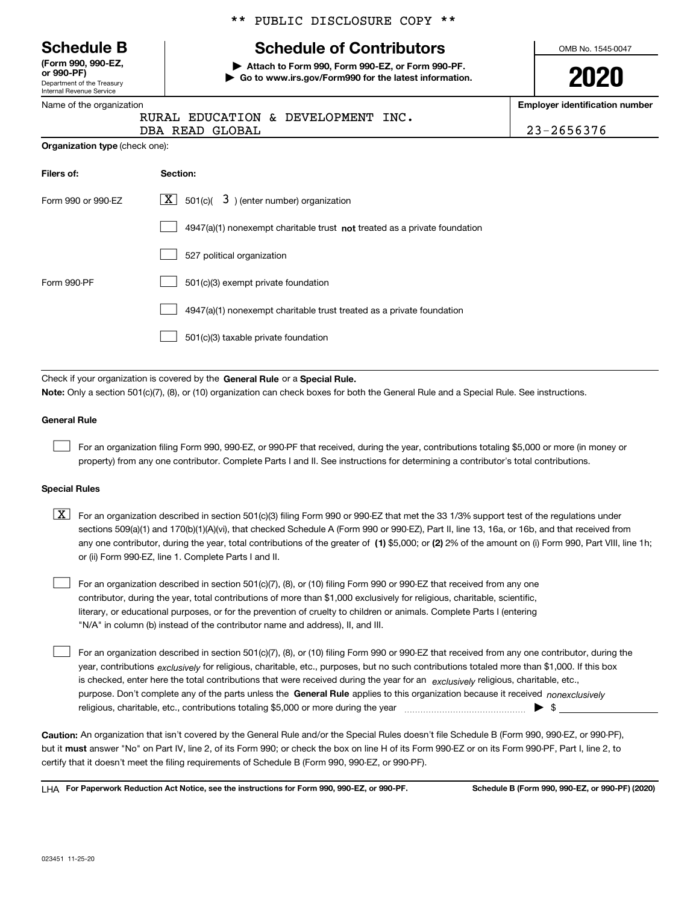|  |  | <b>Schedule B</b> |
|--|--|-------------------|
|--|--|-------------------|

Department of the Treasury Internal Revenue Service **(Form 990, 990-EZ, or 990-PF)**

|  | Name of the organization |
|--|--------------------------|
|  |                          |

**Organization type** (check one):

|  |  | ** PUBLIC DISCLOSURE COPY ** |  |  |
|--|--|------------------------------|--|--|
|--|--|------------------------------|--|--|

# **Schedule of Contributors**

**| Attach to Form 990, Form 990-EZ, or Form 990-PF. | Go to www.irs.gov/Form990 for the latest information.** OMB No. 1545-0047

| ı | ٦<br>I | 2 |  |
|---|--------|---|--|
|   |        |   |  |

**Employer identification number**

|                 | RURAL EDUCATION & DEVELOPMENT INC. |            |
|-----------------|------------------------------------|------------|
| DBA READ GLOBAL |                                    | 23-2656376 |

| Filers of:         | Section:                                                                    |
|--------------------|-----------------------------------------------------------------------------|
| Form 990 or 990-FZ | $ \mathbf{X} $ 501(c)( 3) (enter number) organization                       |
|                    | $4947(a)(1)$ nonexempt charitable trust not treated as a private foundation |
|                    | 527 political organization                                                  |
| Form 990-PF        | 501(c)(3) exempt private foundation                                         |
|                    | 4947(a)(1) nonexempt charitable trust treated as a private foundation       |
|                    | 501(c)(3) taxable private foundation                                        |

Check if your organization is covered by the **General Rule** or a **Special Rule. Note:**  Only a section 501(c)(7), (8), or (10) organization can check boxes for both the General Rule and a Special Rule. See instructions.

#### **General Rule**

 $\mathcal{L}^{\text{max}}$ 

For an organization filing Form 990, 990-EZ, or 990-PF that received, during the year, contributions totaling \$5,000 or more (in money or property) from any one contributor. Complete Parts I and II. See instructions for determining a contributor's total contributions.

#### **Special Rules**

any one contributor, during the year, total contributions of the greater of  $\,$  (1) \$5,000; or **(2)** 2% of the amount on (i) Form 990, Part VIII, line 1h;  $\boxed{\textbf{X}}$  For an organization described in section 501(c)(3) filing Form 990 or 990-EZ that met the 33 1/3% support test of the regulations under sections 509(a)(1) and 170(b)(1)(A)(vi), that checked Schedule A (Form 990 or 990-EZ), Part II, line 13, 16a, or 16b, and that received from or (ii) Form 990-EZ, line 1. Complete Parts I and II.

For an organization described in section 501(c)(7), (8), or (10) filing Form 990 or 990-EZ that received from any one contributor, during the year, total contributions of more than \$1,000 exclusively for religious, charitable, scientific, literary, or educational purposes, or for the prevention of cruelty to children or animals. Complete Parts I (entering "N/A" in column (b) instead of the contributor name and address), II, and III.  $\mathcal{L}^{\text{max}}$ 

purpose. Don't complete any of the parts unless the **General Rule** applies to this organization because it received *nonexclusively* year, contributions <sub>exclusively</sub> for religious, charitable, etc., purposes, but no such contributions totaled more than \$1,000. If this box is checked, enter here the total contributions that were received during the year for an  $\;$ exclusively religious, charitable, etc., For an organization described in section 501(c)(7), (8), or (10) filing Form 990 or 990-EZ that received from any one contributor, during the religious, charitable, etc., contributions totaling \$5,000 or more during the year  $\Box$ — $\Box$  =  $\Box$  $\mathcal{L}^{\text{max}}$ 

**Caution:**  An organization that isn't covered by the General Rule and/or the Special Rules doesn't file Schedule B (Form 990, 990-EZ, or 990-PF),  **must** but it answer "No" on Part IV, line 2, of its Form 990; or check the box on line H of its Form 990-EZ or on its Form 990-PF, Part I, line 2, to certify that it doesn't meet the filing requirements of Schedule B (Form 990, 990-EZ, or 990-PF).

**For Paperwork Reduction Act Notice, see the instructions for Form 990, 990-EZ, or 990-PF. Schedule B (Form 990, 990-EZ, or 990-PF) (2020)** LHA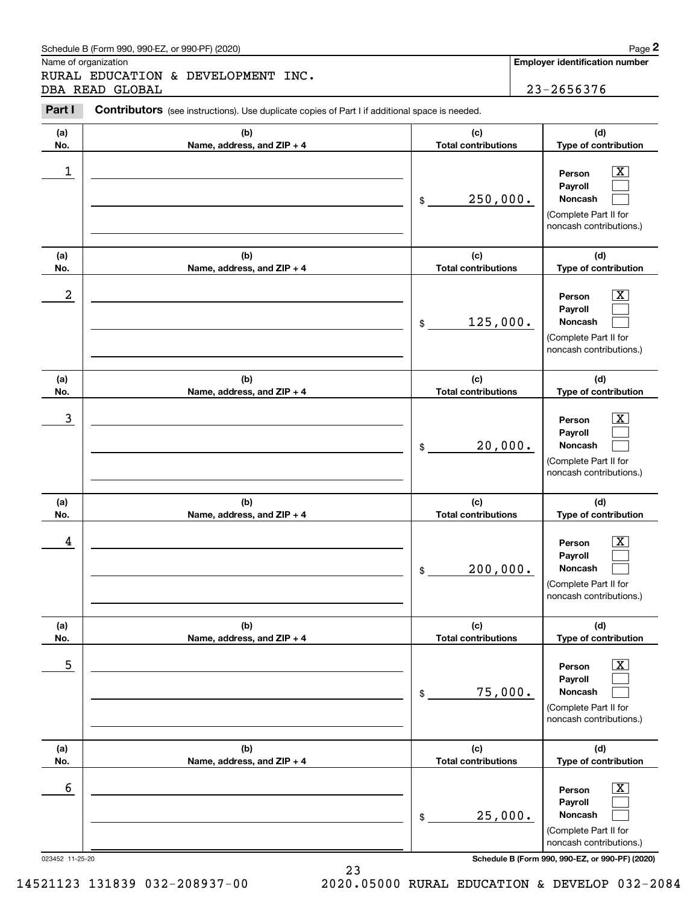| Schedule B (Form 990, 990-EZ, or 990-PF) (2020) | Page |
|-------------------------------------------------|------|
|-------------------------------------------------|------|

Name of organization

Chedule B (Form 990, 990-EZ, or 990-PF) (2020)<br> **2Part I 2PART EDUCATION & DEVELOPMENT INC.**<br> **2Part I Contributors** (see instructions). Use duplicate copies of Part I if additional space is needed.<br>
2Part I **Contribut** RURAL EDUCATION & DEVELOPMENT INC. DBA READ GLOBAL 23-2656376

**Employer identification number**

#### **(a)No.(b)Name, address, and ZIP + 4 (c)Total contributions (d)Type of contribution PersonPayrollNoncash (a)No.(b)Name, address, and ZIP + 4 (c)Total contributions (d)Type of contribution PersonPayrollNoncash (a)No.(b)Name, address, and ZIP + 4 (c)Total contributions (d)Type of contribution PersonPayrollNoncash (a) No.(b) Name, address, and ZIP + 4 (c) Total contributions (d) Type of contribution PersonPayrollNoncash (a) No.(b) Name, address, and ZIP + 4 (c) Total contributions (d) Type of contribution PersonPayrollNoncash (a) No.(b)Name, address, and ZIP + 4 (c) Total contributions (d)Type of contribution PersonPayrollNoncash Contributors** (see instructions). Use duplicate copies of Part I if additional space is needed. \$(Complete Part II for noncash contributions.) \$(Complete Part II for noncash contributions.) \$(Complete Part II for noncash contributions.) \$(Complete Part II for noncash contributions.) \$(Complete Part II for noncash contributions.) \$(Complete Part II for  $|X|$  $\mathcal{L}^{\text{max}}$  $\mathcal{L}^{\text{max}}$  $\boxed{\text{X}}$  $\mathcal{L}^{\text{max}}$  $\mathcal{L}^{\text{max}}$  $|X|$  $\mathcal{L}^{\text{max}}$  $\mathcal{L}^{\text{max}}$  $\boxed{\text{X}}$  $\mathcal{L}^{\text{max}}$  $\mathcal{L}^{\text{max}}$  $\boxed{\text{X}}$  $\mathcal{L}^{\text{max}}$  $\mathcal{L}^{\text{max}}$  $\boxed{\text{X}}$  $\mathcal{L}^{\text{max}}$  $\mathcal{L}^{\text{max}}$  $\begin{array}{c|c|c|c|c|c} 1 & \hspace{1.5cm} & \hspace{1.5cm} & \hspace{1.5cm} & \hspace{1.5cm} & \hspace{1.5cm} & \hspace{1.5cm} & \hspace{1.5cm} & \hspace{1.5cm} & \hspace{1.5cm} & \hspace{1.5cm} & \hspace{1.5cm} & \hspace{1.5cm} & \hspace{1.5cm} & \hspace{1.5cm} & \hspace{1.5cm} & \hspace{1.5cm} & \hspace{1.5cm} & \hspace{1.5cm} & \hspace{1.5cm} & \hspace{1.5cm} &$ 250,000.  $2$  | Person  $\overline{\text{X}}$ 125,000.  $\overline{3}$  | Person  $\overline{X}$ 20,000.  $4$  | Person  $\overline{\text{X}}$ 200,000.  $\sim$  5 | Person X 75,000.  $\sim$  6 | Person X 25,000.

023452 11-25-20 **Schedule B (Form 990, 990-EZ, or 990-PF) (2020)**

noncash contributions.)

14521123 131839 032-208937-00 2020.05000 RURAL EDUCATION & DEVELOP 032-2084

23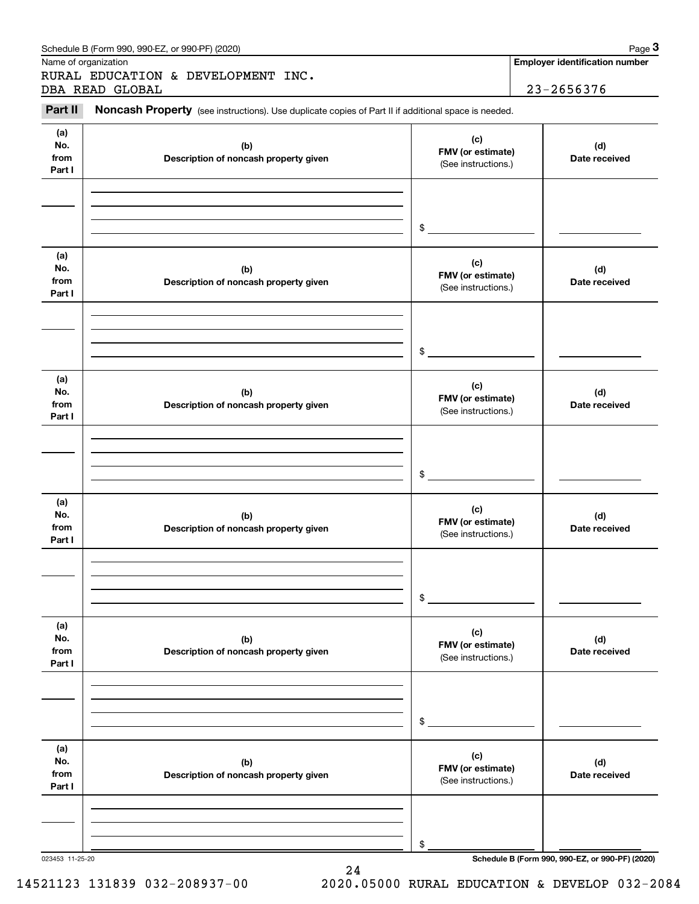|                              | Schedule B (Form 990, 990-EZ, or 990-PF) (2020)                                                     |                                                 | Page 3                                          |
|------------------------------|-----------------------------------------------------------------------------------------------------|-------------------------------------------------|-------------------------------------------------|
| Name of organization         | RURAL EDUCATION & DEVELOPMENT INC.                                                                  |                                                 | <b>Employer identification number</b>           |
|                              | DBA READ GLOBAL                                                                                     |                                                 | 23-2656376                                      |
| Part II                      | Noncash Property (see instructions). Use duplicate copies of Part II if additional space is needed. |                                                 |                                                 |
| (a)<br>No.<br>from<br>Part I | (b)<br>Description of noncash property given                                                        | (c)<br>FMV (or estimate)<br>(See instructions.) | (d)<br>Date received                            |
|                              |                                                                                                     | \$                                              |                                                 |
| (a)<br>No.<br>from<br>Part I | (b)<br>Description of noncash property given                                                        | (c)<br>FMV (or estimate)<br>(See instructions.) | (d)<br>Date received                            |
|                              |                                                                                                     | \$                                              |                                                 |
| (a)<br>No.<br>from<br>Part I | (b)<br>Description of noncash property given                                                        | (c)<br>FMV (or estimate)<br>(See instructions.) | (d)<br>Date received                            |
|                              |                                                                                                     | \$                                              |                                                 |
| (a)<br>No.<br>from<br>Part I | (b)<br>Description of noncash property given                                                        | (c)<br>FMV (or estimate)<br>(See instructions.) | (d)<br>Date received                            |
|                              |                                                                                                     | \$                                              |                                                 |
| (a)<br>No.<br>from<br>Part I | (b)<br>Description of noncash property given                                                        | (c)<br>FMV (or estimate)<br>(See instructions.) | (d)<br>Date received                            |
|                              |                                                                                                     | \$                                              |                                                 |
| (a)<br>No.<br>from<br>Part I | (b)<br>Description of noncash property given                                                        | (c)<br>FMV (or estimate)<br>(See instructions.) | (d)<br>Date received                            |
|                              |                                                                                                     | \$                                              |                                                 |
| 023453 11-25-20              |                                                                                                     |                                                 | Schedule B (Form 990, 990-EZ, or 990-PF) (2020) |

24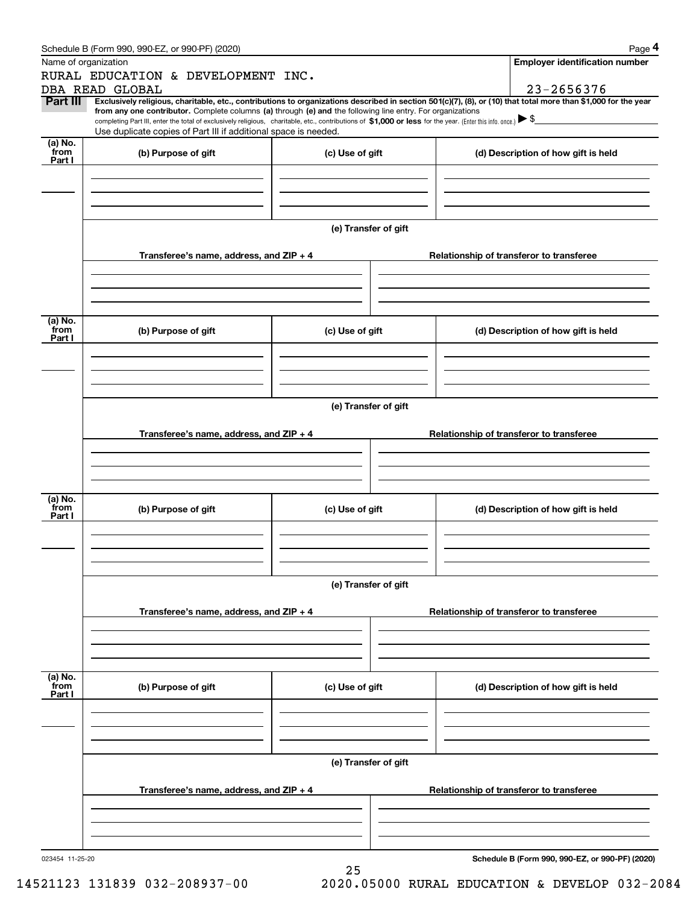|                 | Schedule B (Form 990, 990-EZ, or 990-PF) (2020)                                                                                                                                                                                                                              |                      |                                          | Page 4                                          |  |  |  |  |
|-----------------|------------------------------------------------------------------------------------------------------------------------------------------------------------------------------------------------------------------------------------------------------------------------------|----------------------|------------------------------------------|-------------------------------------------------|--|--|--|--|
|                 | Name of organization                                                                                                                                                                                                                                                         |                      |                                          | Employer identification number                  |  |  |  |  |
|                 | RURAL EDUCATION & DEVELOPMENT INC.                                                                                                                                                                                                                                           |                      |                                          |                                                 |  |  |  |  |
|                 | DBA READ GLOBAL                                                                                                                                                                                                                                                              |                      |                                          | 23-2656376                                      |  |  |  |  |
| Part III        | Exclusively religious, charitable, etc., contributions to organizations described in section 501(c)(7), (8), or (10) that total more than \$1,000 for the year<br>from any one contributor. Complete columns (a) through (e) and the following line entry. For organizations |                      |                                          |                                                 |  |  |  |  |
|                 | completing Part III, enter the total of exclusively religious, charitable, etc., contributions of \$1,000 or less for the year. (Enter this info. once.) \\$                                                                                                                 |                      |                                          |                                                 |  |  |  |  |
|                 | Use duplicate copies of Part III if additional space is needed.                                                                                                                                                                                                              |                      |                                          |                                                 |  |  |  |  |
| (a) No.<br>from | (b) Purpose of gift                                                                                                                                                                                                                                                          | (c) Use of gift      |                                          | (d) Description of how gift is held             |  |  |  |  |
| Part I          |                                                                                                                                                                                                                                                                              |                      |                                          |                                                 |  |  |  |  |
|                 |                                                                                                                                                                                                                                                                              |                      |                                          |                                                 |  |  |  |  |
|                 |                                                                                                                                                                                                                                                                              |                      |                                          |                                                 |  |  |  |  |
|                 |                                                                                                                                                                                                                                                                              |                      |                                          |                                                 |  |  |  |  |
|                 |                                                                                                                                                                                                                                                                              |                      |                                          |                                                 |  |  |  |  |
|                 |                                                                                                                                                                                                                                                                              | (e) Transfer of gift |                                          |                                                 |  |  |  |  |
|                 |                                                                                                                                                                                                                                                                              |                      |                                          |                                                 |  |  |  |  |
|                 | Transferee's name, address, and ZIP + 4                                                                                                                                                                                                                                      |                      | Relationship of transferor to transferee |                                                 |  |  |  |  |
|                 |                                                                                                                                                                                                                                                                              |                      |                                          |                                                 |  |  |  |  |
|                 |                                                                                                                                                                                                                                                                              |                      |                                          |                                                 |  |  |  |  |
|                 |                                                                                                                                                                                                                                                                              |                      |                                          |                                                 |  |  |  |  |
| (a) No.         |                                                                                                                                                                                                                                                                              |                      |                                          |                                                 |  |  |  |  |
| from<br>Part I  | (b) Purpose of gift                                                                                                                                                                                                                                                          | (c) Use of gift      |                                          | (d) Description of how gift is held             |  |  |  |  |
|                 |                                                                                                                                                                                                                                                                              |                      |                                          |                                                 |  |  |  |  |
|                 |                                                                                                                                                                                                                                                                              |                      |                                          |                                                 |  |  |  |  |
|                 |                                                                                                                                                                                                                                                                              |                      |                                          |                                                 |  |  |  |  |
|                 |                                                                                                                                                                                                                                                                              |                      |                                          |                                                 |  |  |  |  |
|                 |                                                                                                                                                                                                                                                                              | (e) Transfer of gift |                                          |                                                 |  |  |  |  |
|                 |                                                                                                                                                                                                                                                                              |                      |                                          |                                                 |  |  |  |  |
|                 | Transferee's name, address, and ZIP + 4                                                                                                                                                                                                                                      |                      | Relationship of transferor to transferee |                                                 |  |  |  |  |
|                 |                                                                                                                                                                                                                                                                              |                      |                                          |                                                 |  |  |  |  |
|                 |                                                                                                                                                                                                                                                                              |                      |                                          |                                                 |  |  |  |  |
|                 |                                                                                                                                                                                                                                                                              |                      |                                          |                                                 |  |  |  |  |
|                 |                                                                                                                                                                                                                                                                              |                      |                                          |                                                 |  |  |  |  |
| (a) No.<br>from | (b) Purpose of gift                                                                                                                                                                                                                                                          | (c) Use of gift      |                                          | (d) Description of how gift is held             |  |  |  |  |
| Part I          |                                                                                                                                                                                                                                                                              |                      |                                          |                                                 |  |  |  |  |
|                 |                                                                                                                                                                                                                                                                              |                      |                                          |                                                 |  |  |  |  |
|                 |                                                                                                                                                                                                                                                                              |                      |                                          |                                                 |  |  |  |  |
|                 |                                                                                                                                                                                                                                                                              |                      |                                          |                                                 |  |  |  |  |
|                 |                                                                                                                                                                                                                                                                              |                      |                                          |                                                 |  |  |  |  |
|                 | (e) Transfer of gift                                                                                                                                                                                                                                                         |                      |                                          |                                                 |  |  |  |  |
|                 | Transferee's name, address, and ZIP + 4                                                                                                                                                                                                                                      |                      | Relationship of transferor to transferee |                                                 |  |  |  |  |
|                 |                                                                                                                                                                                                                                                                              |                      |                                          |                                                 |  |  |  |  |
|                 |                                                                                                                                                                                                                                                                              |                      |                                          |                                                 |  |  |  |  |
|                 |                                                                                                                                                                                                                                                                              |                      |                                          |                                                 |  |  |  |  |
|                 |                                                                                                                                                                                                                                                                              |                      |                                          |                                                 |  |  |  |  |
| (a) No.<br>from |                                                                                                                                                                                                                                                                              |                      |                                          |                                                 |  |  |  |  |
| Part I          | (b) Purpose of gift                                                                                                                                                                                                                                                          | (c) Use of gift      |                                          | (d) Description of how gift is held             |  |  |  |  |
|                 |                                                                                                                                                                                                                                                                              |                      |                                          |                                                 |  |  |  |  |
|                 |                                                                                                                                                                                                                                                                              |                      |                                          |                                                 |  |  |  |  |
|                 |                                                                                                                                                                                                                                                                              |                      |                                          |                                                 |  |  |  |  |
|                 |                                                                                                                                                                                                                                                                              |                      |                                          |                                                 |  |  |  |  |
|                 | (e) Transfer of gift                                                                                                                                                                                                                                                         |                      |                                          |                                                 |  |  |  |  |
|                 |                                                                                                                                                                                                                                                                              |                      |                                          |                                                 |  |  |  |  |
|                 | Transferee's name, address, and ZIP + 4                                                                                                                                                                                                                                      |                      |                                          | Relationship of transferor to transferee        |  |  |  |  |
|                 |                                                                                                                                                                                                                                                                              |                      |                                          |                                                 |  |  |  |  |
|                 |                                                                                                                                                                                                                                                                              |                      |                                          |                                                 |  |  |  |  |
|                 |                                                                                                                                                                                                                                                                              |                      |                                          |                                                 |  |  |  |  |
|                 |                                                                                                                                                                                                                                                                              |                      |                                          |                                                 |  |  |  |  |
| 023454 11-25-20 |                                                                                                                                                                                                                                                                              | 25                   |                                          | Schedule B (Form 990, 990-EZ, or 990-PF) (2020) |  |  |  |  |
|                 |                                                                                                                                                                                                                                                                              |                      |                                          |                                                 |  |  |  |  |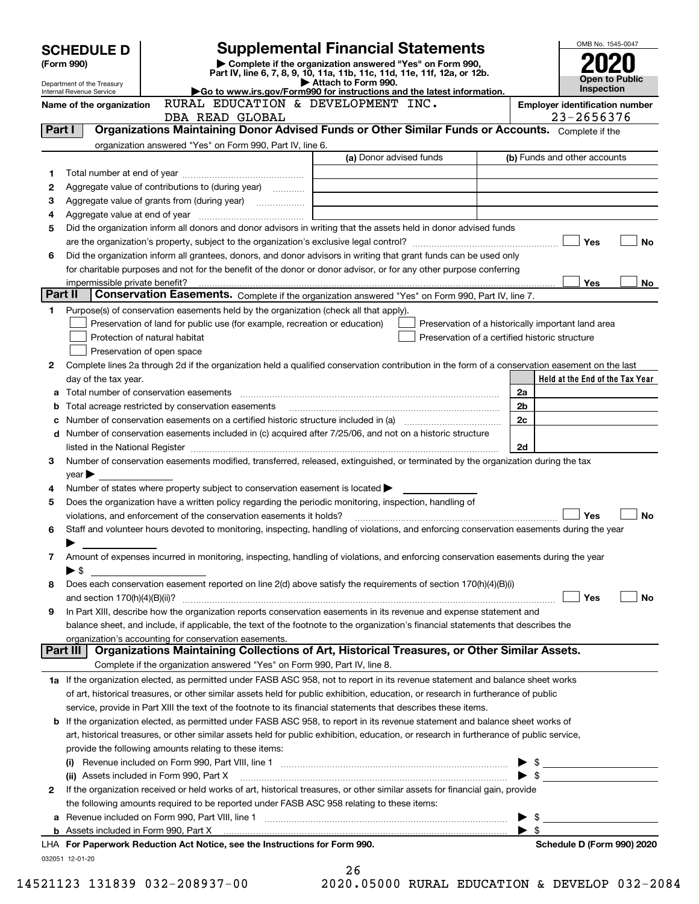|         | <b>Supplemental Financial Statements</b><br><b>SCHEDULE D</b> |                                                                                                        |                                                                                                                                                |                |                                 |  |  |
|---------|---------------------------------------------------------------|--------------------------------------------------------------------------------------------------------|------------------------------------------------------------------------------------------------------------------------------------------------|----------------|---------------------------------|--|--|
|         | (Form 990)                                                    |                                                                                                        |                                                                                                                                                |                |                                 |  |  |
|         |                                                               |                                                                                                        | Part IV, line 6, 7, 8, 9, 10, 11a, 11b, 11c, 11d, 11e, 11f, 12a, or 12b.<br>Attach to Form 990.                                                |                | <b>Open to Public</b>           |  |  |
|         | Department of the Treasury<br>Internal Revenue Service        | Go to www.irs.gov/Form990 for instructions and the latest information.                                 | <b>Inspection</b>                                                                                                                              |                |                                 |  |  |
|         | Name of the organization                                      |                                                                                                        | <b>Employer identification number</b>                                                                                                          |                |                                 |  |  |
|         |                                                               | DBA READ GLOBAL                                                                                        |                                                                                                                                                |                | 23-2656376                      |  |  |
|         | Part I                                                        |                                                                                                        | Organizations Maintaining Donor Advised Funds or Other Similar Funds or Accounts. Complete if the                                              |                |                                 |  |  |
|         |                                                               | organization answered "Yes" on Form 990, Part IV, line 6.                                              | (a) Donor advised funds                                                                                                                        |                | (b) Funds and other accounts    |  |  |
|         |                                                               |                                                                                                        |                                                                                                                                                |                |                                 |  |  |
| 1<br>2  |                                                               | Aggregate value of contributions to (during year)                                                      |                                                                                                                                                |                |                                 |  |  |
| з       |                                                               |                                                                                                        |                                                                                                                                                |                |                                 |  |  |
| 4       |                                                               |                                                                                                        |                                                                                                                                                |                |                                 |  |  |
| 5       |                                                               |                                                                                                        | Did the organization inform all donors and donor advisors in writing that the assets held in donor advised funds                               |                |                                 |  |  |
|         |                                                               |                                                                                                        |                                                                                                                                                |                | Yes<br><b>No</b>                |  |  |
| 6       |                                                               |                                                                                                        | Did the organization inform all grantees, donors, and donor advisors in writing that grant funds can be used only                              |                |                                 |  |  |
|         |                                                               |                                                                                                        | for charitable purposes and not for the benefit of the donor or donor advisor, or for any other purpose conferring                             |                |                                 |  |  |
|         | impermissible private benefit?                                |                                                                                                        |                                                                                                                                                |                | Yes<br>No                       |  |  |
| Part II |                                                               |                                                                                                        | Conservation Easements. Complete if the organization answered "Yes" on Form 990, Part IV, line 7.                                              |                |                                 |  |  |
| 1       |                                                               | Purpose(s) of conservation easements held by the organization (check all that apply).                  |                                                                                                                                                |                |                                 |  |  |
|         |                                                               | Preservation of land for public use (for example, recreation or education)                             | Preservation of a historically important land area                                                                                             |                |                                 |  |  |
|         |                                                               | Protection of natural habitat                                                                          | Preservation of a certified historic structure                                                                                                 |                |                                 |  |  |
|         |                                                               | Preservation of open space                                                                             |                                                                                                                                                |                |                                 |  |  |
| 2       |                                                               |                                                                                                        | Complete lines 2a through 2d if the organization held a qualified conservation contribution in the form of a conservation easement on the last |                |                                 |  |  |
|         | day of the tax year.                                          |                                                                                                        |                                                                                                                                                |                | Held at the End of the Tax Year |  |  |
|         |                                                               |                                                                                                        |                                                                                                                                                | 2a             |                                 |  |  |
| b       |                                                               | Total acreage restricted by conservation easements                                                     |                                                                                                                                                | 2 <sub>b</sub> |                                 |  |  |
| с       |                                                               |                                                                                                        | Number of conservation easements on a certified historic structure included in (a) manufacture included in (a)                                 | 2c             |                                 |  |  |
| d       |                                                               |                                                                                                        | Number of conservation easements included in (c) acquired after 7/25/06, and not on a historic structure                                       |                |                                 |  |  |
|         |                                                               |                                                                                                        |                                                                                                                                                | 2d             |                                 |  |  |
| з       |                                                               |                                                                                                        | Number of conservation easements modified, transferred, released, extinguished, or terminated by the organization during the tax               |                |                                 |  |  |
|         | $year \triangleright$                                         |                                                                                                        |                                                                                                                                                |                |                                 |  |  |
| 4       |                                                               | Number of states where property subject to conservation easement is located                            |                                                                                                                                                |                |                                 |  |  |
| 5       |                                                               | Does the organization have a written policy regarding the periodic monitoring, inspection, handling of |                                                                                                                                                |                |                                 |  |  |
|         |                                                               | violations, and enforcement of the conservation easements it holds?                                    |                                                                                                                                                |                | Yes<br><b>No</b>                |  |  |
| 6       |                                                               |                                                                                                        | Staff and volunteer hours devoted to monitoring, inspecting, handling of violations, and enforcing conservation easements during the year      |                |                                 |  |  |
|         |                                                               |                                                                                                        |                                                                                                                                                |                |                                 |  |  |
| 7       |                                                               |                                                                                                        | Amount of expenses incurred in monitoring, inspecting, handling of violations, and enforcing conservation easements during the year            |                |                                 |  |  |
|         | ► \$                                                          |                                                                                                        |                                                                                                                                                |                |                                 |  |  |
| 8       |                                                               |                                                                                                        | Does each conservation easement reported on line 2(d) above satisfy the requirements of section 170(h)(4)(B)(i)                                |                |                                 |  |  |
|         |                                                               |                                                                                                        |                                                                                                                                                |                | Yes<br>No                       |  |  |
| 9       |                                                               |                                                                                                        | In Part XIII, describe how the organization reports conservation easements in its revenue and expense statement and                            |                |                                 |  |  |
|         |                                                               |                                                                                                        | balance sheet, and include, if applicable, the text of the footnote to the organization's financial statements that describes the              |                |                                 |  |  |
|         | Part III                                                      | organization's accounting for conservation easements.                                                  | Organizations Maintaining Collections of Art, Historical Treasures, or Other Similar Assets.                                                   |                |                                 |  |  |
|         |                                                               | Complete if the organization answered "Yes" on Form 990, Part IV, line 8.                              |                                                                                                                                                |                |                                 |  |  |
|         |                                                               |                                                                                                        |                                                                                                                                                |                |                                 |  |  |
|         |                                                               |                                                                                                        | 1a If the organization elected, as permitted under FASB ASC 958, not to report in its revenue statement and balance sheet works                |                |                                 |  |  |
|         |                                                               |                                                                                                        | of art, historical treasures, or other similar assets held for public exhibition, education, or research in furtherance of public              |                |                                 |  |  |
|         |                                                               |                                                                                                        | service, provide in Part XIII the text of the footnote to its financial statements that describes these items.                                 |                |                                 |  |  |
| b       |                                                               |                                                                                                        | If the organization elected, as permitted under FASB ASC 958, to report in its revenue statement and balance sheet works of                    |                |                                 |  |  |
|         |                                                               |                                                                                                        | art, historical treasures, or other similar assets held for public exhibition, education, or research in furtherance of public service,        |                |                                 |  |  |
|         |                                                               | provide the following amounts relating to these items:                                                 |                                                                                                                                                |                |                                 |  |  |
|         |                                                               |                                                                                                        |                                                                                                                                                |                |                                 |  |  |
|         |                                                               | (ii) Assets included in Form 990, Part X                                                               |                                                                                                                                                |                |                                 |  |  |
| 2       |                                                               |                                                                                                        | If the organization received or held works of art, historical treasures, or other similar assets for financial gain, provide                   |                |                                 |  |  |
|         |                                                               | the following amounts required to be reported under FASB ASC 958 relating to these items:              |                                                                                                                                                |                |                                 |  |  |
| а       |                                                               |                                                                                                        |                                                                                                                                                |                | $\blacktriangleright$ \$        |  |  |
|         |                                                               | LHA For Paperwork Reduction Act Notice, see the Instructions for Form 990.                             |                                                                                                                                                |                | Schedule D (Form 990) 2020      |  |  |
|         | 032051 12-01-20                                               |                                                                                                        |                                                                                                                                                |                |                                 |  |  |
|         |                                                               |                                                                                                        | 26                                                                                                                                             |                |                                 |  |  |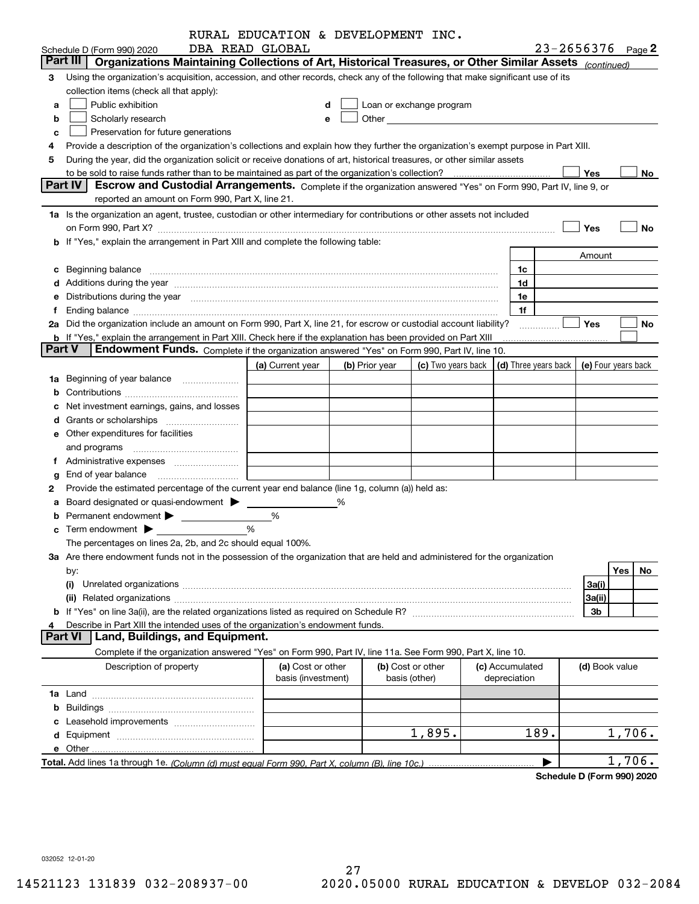|               |                                                                                                                                                                                                                                                                                                                      | RURAL EDUCATION & DEVELOPMENT INC.      |   |                |                                                                                                                                                                                                                               |                                 |      |                                            |           |
|---------------|----------------------------------------------------------------------------------------------------------------------------------------------------------------------------------------------------------------------------------------------------------------------------------------------------------------------|-----------------------------------------|---|----------------|-------------------------------------------------------------------------------------------------------------------------------------------------------------------------------------------------------------------------------|---------------------------------|------|--------------------------------------------|-----------|
|               | Schedule D (Form 990) 2020                                                                                                                                                                                                                                                                                           | DBA READ GLOBAL                         |   |                |                                                                                                                                                                                                                               |                                 |      | $23 - 2656376$ Page 2                      |           |
|               | Part III<br>Organizations Maintaining Collections of Art, Historical Treasures, or Other Similar Assets (continued)                                                                                                                                                                                                  |                                         |   |                |                                                                                                                                                                                                                               |                                 |      |                                            |           |
| З             | Using the organization's acquisition, accession, and other records, check any of the following that make significant use of its                                                                                                                                                                                      |                                         |   |                |                                                                                                                                                                                                                               |                                 |      |                                            |           |
|               | collection items (check all that apply):                                                                                                                                                                                                                                                                             |                                         |   |                |                                                                                                                                                                                                                               |                                 |      |                                            |           |
| a             | Public exhibition                                                                                                                                                                                                                                                                                                    | d                                       |   |                | Loan or exchange program                                                                                                                                                                                                      |                                 |      |                                            |           |
| b             | Scholarly research                                                                                                                                                                                                                                                                                                   | е                                       |   |                | Other and the contract of the contract of the contract of the contract of the contract of the contract of the contract of the contract of the contract of the contract of the contract of the contract of the contract of the |                                 |      |                                            |           |
| c             | Preservation for future generations                                                                                                                                                                                                                                                                                  |                                         |   |                |                                                                                                                                                                                                                               |                                 |      |                                            |           |
| 4             | Provide a description of the organization's collections and explain how they further the organization's exempt purpose in Part XIII.                                                                                                                                                                                 |                                         |   |                |                                                                                                                                                                                                                               |                                 |      |                                            |           |
| 5             | During the year, did the organization solicit or receive donations of art, historical treasures, or other similar assets                                                                                                                                                                                             |                                         |   |                |                                                                                                                                                                                                                               |                                 |      |                                            |           |
|               | to be sold to raise funds rather than to be maintained as part of the organization's collection?<br>Part IV                                                                                                                                                                                                          |                                         |   |                |                                                                                                                                                                                                                               |                                 |      | Yes                                        | No.       |
|               | Escrow and Custodial Arrangements. Complete if the organization answered "Yes" on Form 990, Part IV, line 9, or<br>reported an amount on Form 990, Part X, line 21.                                                                                                                                                  |                                         |   |                |                                                                                                                                                                                                                               |                                 |      |                                            |           |
|               | 1a Is the organization an agent, trustee, custodian or other intermediary for contributions or other assets not included                                                                                                                                                                                             |                                         |   |                |                                                                                                                                                                                                                               |                                 |      |                                            |           |
|               |                                                                                                                                                                                                                                                                                                                      |                                         |   |                |                                                                                                                                                                                                                               |                                 |      | Yes                                        | No        |
|               | on Form 990, Part X? [11] matter and the contract of the contract of the contract of the contract of the contract of the contract of the contract of the contract of the contract of the contract of the contract of the contr<br>b If "Yes," explain the arrangement in Part XIII and complete the following table: |                                         |   |                |                                                                                                                                                                                                                               |                                 |      |                                            |           |
|               |                                                                                                                                                                                                                                                                                                                      |                                         |   |                |                                                                                                                                                                                                                               |                                 |      | Amount                                     |           |
|               | c Beginning balance measurements and the contract of the contract of the contract of the contract of the contract of the contract of the contract of the contract of the contract of the contract of the contract of the contr                                                                                       |                                         |   |                |                                                                                                                                                                                                                               | 1c                              |      |                                            |           |
|               | d Additions during the year measurements are all an according to the year measurement of the year measurement of the state of the state of the state of the state of the state of the state of the state of the state of the s                                                                                       |                                         |   |                |                                                                                                                                                                                                                               | 1d                              |      |                                            |           |
|               | e Distributions during the year manufactured and continuum and contact the year manufactured and contact the year manufactured and contact the year manufactured and contact the year manufactured and contact the year manufa                                                                                       |                                         |   |                |                                                                                                                                                                                                                               | 1e                              |      |                                            |           |
|               |                                                                                                                                                                                                                                                                                                                      |                                         |   |                |                                                                                                                                                                                                                               | 1f                              |      |                                            |           |
|               | 2a Did the organization include an amount on Form 990, Part X, line 21, for escrow or custodial account liability?                                                                                                                                                                                                   |                                         |   |                |                                                                                                                                                                                                                               | .                               |      | Yes                                        | No        |
|               | <b>b</b> If "Yes," explain the arrangement in Part XIII. Check here if the explanation has been provided on Part XIII                                                                                                                                                                                                |                                         |   |                |                                                                                                                                                                                                                               |                                 |      |                                            |           |
| <b>Part V</b> | Endowment Funds. Complete if the organization answered "Yes" on Form 990, Part IV, line 10.                                                                                                                                                                                                                          |                                         |   |                |                                                                                                                                                                                                                               |                                 |      |                                            |           |
|               |                                                                                                                                                                                                                                                                                                                      | (a) Current year                        |   | (b) Prior year | (c) Two years back                                                                                                                                                                                                            |                                 |      | (d) Three years back   (e) Four years back |           |
| 1a            |                                                                                                                                                                                                                                                                                                                      |                                         |   |                |                                                                                                                                                                                                                               |                                 |      |                                            |           |
|               |                                                                                                                                                                                                                                                                                                                      |                                         |   |                |                                                                                                                                                                                                                               |                                 |      |                                            |           |
|               | Net investment earnings, gains, and losses                                                                                                                                                                                                                                                                           |                                         |   |                |                                                                                                                                                                                                                               |                                 |      |                                            |           |
|               |                                                                                                                                                                                                                                                                                                                      |                                         |   |                |                                                                                                                                                                                                                               |                                 |      |                                            |           |
|               | e Other expenditures for facilities                                                                                                                                                                                                                                                                                  |                                         |   |                |                                                                                                                                                                                                                               |                                 |      |                                            |           |
|               |                                                                                                                                                                                                                                                                                                                      |                                         |   |                |                                                                                                                                                                                                                               |                                 |      |                                            |           |
|               |                                                                                                                                                                                                                                                                                                                      |                                         |   |                |                                                                                                                                                                                                                               |                                 |      |                                            |           |
|               | End of year balance                                                                                                                                                                                                                                                                                                  |                                         |   |                |                                                                                                                                                                                                                               |                                 |      |                                            |           |
| 2             | Provide the estimated percentage of the current year end balance (line 1g, column (a)) held as:                                                                                                                                                                                                                      |                                         |   |                |                                                                                                                                                                                                                               |                                 |      |                                            |           |
|               | Board designated or quasi-endowment >                                                                                                                                                                                                                                                                                |                                         | % |                |                                                                                                                                                                                                                               |                                 |      |                                            |           |
|               |                                                                                                                                                                                                                                                                                                                      | %                                       |   |                |                                                                                                                                                                                                                               |                                 |      |                                            |           |
|               |                                                                                                                                                                                                                                                                                                                      | %                                       |   |                |                                                                                                                                                                                                                               |                                 |      |                                            |           |
|               | The percentages on lines 2a, 2b, and 2c should equal 100%.                                                                                                                                                                                                                                                           |                                         |   |                |                                                                                                                                                                                                                               |                                 |      |                                            |           |
|               | 3a Are there endowment funds not in the possession of the organization that are held and administered for the organization                                                                                                                                                                                           |                                         |   |                |                                                                                                                                                                                                                               |                                 |      |                                            |           |
|               | by:                                                                                                                                                                                                                                                                                                                  |                                         |   |                |                                                                                                                                                                                                                               |                                 |      |                                            | Yes<br>No |
|               | (i)                                                                                                                                                                                                                                                                                                                  |                                         |   |                |                                                                                                                                                                                                                               |                                 |      | 3a(i)                                      |           |
|               | (ii)                                                                                                                                                                                                                                                                                                                 |                                         |   |                |                                                                                                                                                                                                                               |                                 |      | 3a(ii)                                     |           |
|               |                                                                                                                                                                                                                                                                                                                      |                                         |   |                |                                                                                                                                                                                                                               |                                 |      | 3b                                         |           |
| 4             | Describe in Part XIII the intended uses of the organization's endowment funds.<br>Land, Buildings, and Equipment.<br><b>Part VI</b>                                                                                                                                                                                  |                                         |   |                |                                                                                                                                                                                                                               |                                 |      |                                            |           |
|               |                                                                                                                                                                                                                                                                                                                      |                                         |   |                |                                                                                                                                                                                                                               |                                 |      |                                            |           |
|               | Complete if the organization answered "Yes" on Form 990, Part IV, line 11a. See Form 990, Part X, line 10.                                                                                                                                                                                                           |                                         |   |                |                                                                                                                                                                                                                               |                                 |      |                                            |           |
|               | Description of property                                                                                                                                                                                                                                                                                              | (a) Cost or other<br>basis (investment) |   |                | (b) Cost or other<br>basis (other)                                                                                                                                                                                            | (c) Accumulated<br>depreciation |      | (d) Book value                             |           |
|               |                                                                                                                                                                                                                                                                                                                      |                                         |   |                |                                                                                                                                                                                                                               |                                 |      |                                            |           |
|               |                                                                                                                                                                                                                                                                                                                      |                                         |   |                |                                                                                                                                                                                                                               |                                 |      |                                            |           |
|               |                                                                                                                                                                                                                                                                                                                      |                                         |   |                |                                                                                                                                                                                                                               |                                 |      |                                            |           |
|               |                                                                                                                                                                                                                                                                                                                      |                                         |   |                | 1,895.                                                                                                                                                                                                                        |                                 | 189. |                                            | 1,706.    |
|               |                                                                                                                                                                                                                                                                                                                      |                                         |   |                |                                                                                                                                                                                                                               |                                 |      |                                            |           |
|               |                                                                                                                                                                                                                                                                                                                      |                                         |   |                |                                                                                                                                                                                                                               |                                 |      |                                            | 1,706.    |

**Schedule D (Form 990) 2020**

032052 12-01-20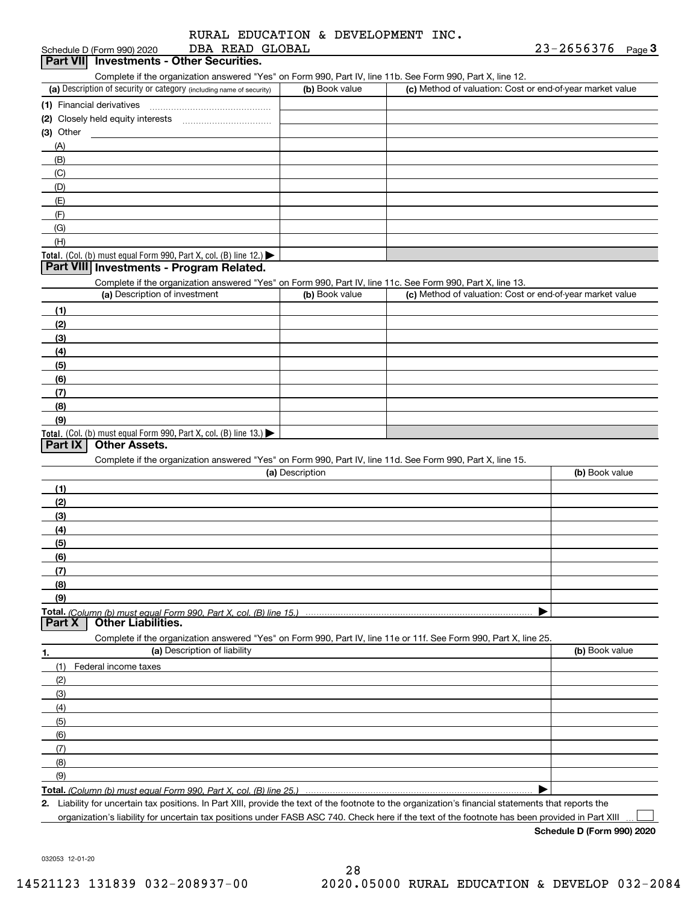| DBA READ GLOBAL<br>Schedule D (Form 990) 2020                                                                                                        |                 |                                                           | $23 - 2656376$<br>Page <sub>3</sub> |
|------------------------------------------------------------------------------------------------------------------------------------------------------|-----------------|-----------------------------------------------------------|-------------------------------------|
| Part VII Investments - Other Securities.                                                                                                             |                 |                                                           |                                     |
| Complete if the organization answered "Yes" on Form 990, Part IV, line 11b. See Form 990, Part X, line 12.                                           |                 |                                                           |                                     |
| (a) Description of security or category (including name of security)                                                                                 | (b) Book value  | (c) Method of valuation: Cost or end-of-year market value |                                     |
| (1) Financial derivatives                                                                                                                            |                 |                                                           |                                     |
|                                                                                                                                                      |                 |                                                           |                                     |
|                                                                                                                                                      |                 |                                                           |                                     |
| $(3)$ Other                                                                                                                                          |                 |                                                           |                                     |
| (A)                                                                                                                                                  |                 |                                                           |                                     |
| (B)                                                                                                                                                  |                 |                                                           |                                     |
| (C)                                                                                                                                                  |                 |                                                           |                                     |
| (D)                                                                                                                                                  |                 |                                                           |                                     |
| (E)                                                                                                                                                  |                 |                                                           |                                     |
| (F)                                                                                                                                                  |                 |                                                           |                                     |
| (G)                                                                                                                                                  |                 |                                                           |                                     |
| (H)                                                                                                                                                  |                 |                                                           |                                     |
|                                                                                                                                                      |                 |                                                           |                                     |
| Total. (Col. (b) must equal Form 990, Part X, col. (B) line 12.)<br>Part VIII Investments - Program Related.                                         |                 |                                                           |                                     |
|                                                                                                                                                      |                 |                                                           |                                     |
| Complete if the organization answered "Yes" on Form 990, Part IV, line 11c. See Form 990, Part X, line 13.                                           |                 |                                                           |                                     |
| (a) Description of investment                                                                                                                        | (b) Book value  | (c) Method of valuation: Cost or end-of-year market value |                                     |
| (1)                                                                                                                                                  |                 |                                                           |                                     |
| (2)                                                                                                                                                  |                 |                                                           |                                     |
| (3)                                                                                                                                                  |                 |                                                           |                                     |
| (4)                                                                                                                                                  |                 |                                                           |                                     |
| (5)                                                                                                                                                  |                 |                                                           |                                     |
|                                                                                                                                                      |                 |                                                           |                                     |
| (6)                                                                                                                                                  |                 |                                                           |                                     |
| (7)                                                                                                                                                  |                 |                                                           |                                     |
| (8)                                                                                                                                                  |                 |                                                           |                                     |
| (9)                                                                                                                                                  |                 |                                                           |                                     |
| Total. (Col. (b) must equal Form 990, Part X, col. (B) line 13.)                                                                                     |                 |                                                           |                                     |
| Part IX<br><b>Other Assets.</b>                                                                                                                      |                 |                                                           |                                     |
| Complete if the organization answered "Yes" on Form 990, Part IV, line 11d. See Form 990, Part X, line 15.                                           |                 |                                                           |                                     |
|                                                                                                                                                      | (a) Description |                                                           | (b) Book value                      |
| (1)                                                                                                                                                  |                 |                                                           |                                     |
| (2)                                                                                                                                                  |                 |                                                           |                                     |
| (3)                                                                                                                                                  |                 |                                                           |                                     |
|                                                                                                                                                      |                 |                                                           |                                     |
| (4)                                                                                                                                                  |                 |                                                           |                                     |
| (5)                                                                                                                                                  |                 |                                                           |                                     |
| (6)                                                                                                                                                  |                 |                                                           |                                     |
| (7)                                                                                                                                                  |                 |                                                           |                                     |
| (8)                                                                                                                                                  |                 |                                                           |                                     |
| (9)                                                                                                                                                  |                 |                                                           |                                     |
|                                                                                                                                                      |                 |                                                           |                                     |
| <b>Other Liabilities.</b><br>Part X                                                                                                                  |                 |                                                           |                                     |
| Complete if the organization answered "Yes" on Form 990, Part IV, line 11e or 11f. See Form 990, Part X, line 25.                                    |                 |                                                           |                                     |
| (a) Description of liability<br>1.                                                                                                                   |                 |                                                           | (b) Book value                      |
|                                                                                                                                                      |                 |                                                           |                                     |
| (1)<br>Federal income taxes                                                                                                                          |                 |                                                           |                                     |
| (2)                                                                                                                                                  |                 |                                                           |                                     |
| (3)                                                                                                                                                  |                 |                                                           |                                     |
| (4)                                                                                                                                                  |                 |                                                           |                                     |
| (5)                                                                                                                                                  |                 |                                                           |                                     |
| (6)                                                                                                                                                  |                 |                                                           |                                     |
| (7)                                                                                                                                                  |                 |                                                           |                                     |
| (8)                                                                                                                                                  |                 |                                                           |                                     |
|                                                                                                                                                      |                 |                                                           |                                     |
| (9)                                                                                                                                                  |                 |                                                           |                                     |
|                                                                                                                                                      |                 |                                                           |                                     |
| 2. Liability for uncertain tax positions. In Part XIII, provide the text of the footnote to the organization's financial statements that reports the |                 |                                                           |                                     |

organization's liability for uncertain tax positions under FASB ASC 740. Check here if the text of the footnote has been provided in Part XIII

**Schedule D (Form 990) 2020**

 $\mathcal{L}^{\text{max}}$ 

032053 12-01-20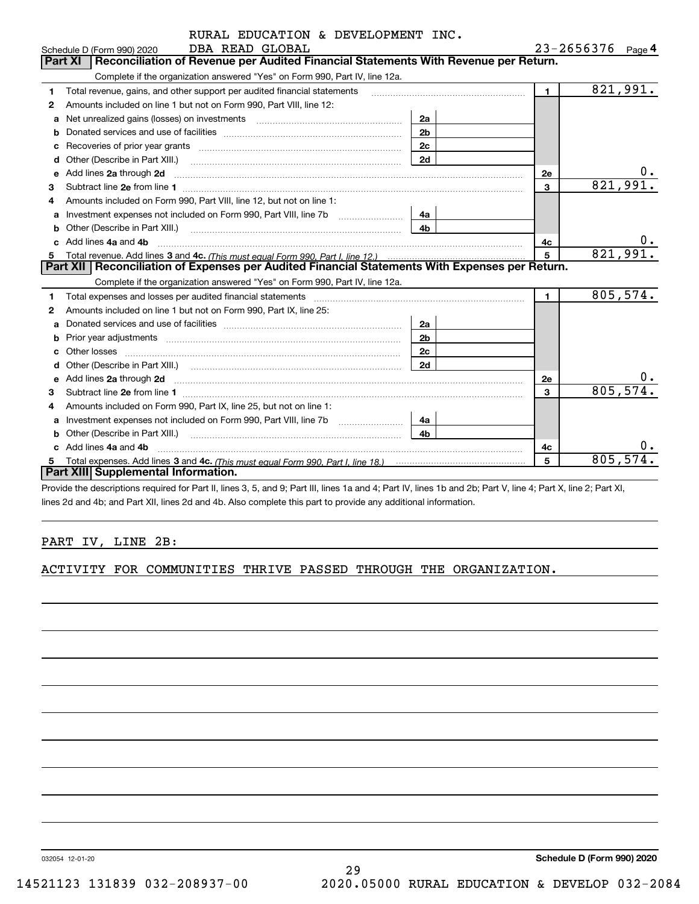|    | RURAL EDUCATION & DEVELOPMENT INC.                                                                                                                            |                |                         |                       |
|----|---------------------------------------------------------------------------------------------------------------------------------------------------------------|----------------|-------------------------|-----------------------|
|    | DBA READ GLOBAL<br>Schedule D (Form 990) 2020                                                                                                                 |                |                         | $23 - 2656376$ Page 4 |
|    | Reconciliation of Revenue per Audited Financial Statements With Revenue per Return.<br>Part XI                                                                |                |                         |                       |
|    | Complete if the organization answered "Yes" on Form 990, Part IV, line 12a.                                                                                   |                |                         |                       |
| 1  | Total revenue, gains, and other support per audited financial statements                                                                                      |                | $\blacksquare$          | 821,991.              |
| 2  | Amounts included on line 1 but not on Form 990, Part VIII, line 12:                                                                                           |                |                         |                       |
| a  | Net unrealized gains (losses) on investments [11] matter contracts and the unrealized gains (losses) on investments                                           | 2a             |                         |                       |
| b  |                                                                                                                                                               | 2 <sub>b</sub> |                         |                       |
|    |                                                                                                                                                               | 2c             |                         |                       |
| d  |                                                                                                                                                               | 2d             |                         |                       |
| е  | Add lines 2a through 2d                                                                                                                                       |                | <b>2e</b>               | 0.                    |
| 3  |                                                                                                                                                               |                | 3                       | 821,991.              |
| 4  | Amounts included on Form 990, Part VIII, line 12, but not on line 1:                                                                                          |                |                         |                       |
| а  |                                                                                                                                                               | 4a             |                         |                       |
| b  | Other (Describe in Part XIII.) <b>Construction Contract Construction</b> Chemistry Chemistry Chemistry Chemistry Chemistry                                    | 4 <sub>b</sub> |                         |                       |
| C. | Add lines 4a and 4b                                                                                                                                           |                | 4c                      | υ.                    |
|    |                                                                                                                                                               |                | 5                       | 821,991.              |
|    | Part XII   Reconciliation of Expenses per Audited Financial Statements With Expenses per Return.                                                              |                |                         |                       |
|    | Complete if the organization answered "Yes" on Form 990, Part IV, line 12a.                                                                                   |                |                         |                       |
| 1  |                                                                                                                                                               |                | $\blacksquare$          | 805,574.              |
| 2  | Amounts included on line 1 but not on Form 990, Part IX, line 25:                                                                                             |                |                         |                       |
| a  |                                                                                                                                                               | 2a             |                         |                       |
| b  |                                                                                                                                                               | 2 <sub>b</sub> |                         |                       |
| c  |                                                                                                                                                               | 2c             |                         |                       |
| d  |                                                                                                                                                               | 2d             |                         |                       |
| е  | Add lines 2a through 2d                                                                                                                                       |                | 2e                      | 0.                    |
| 3  |                                                                                                                                                               |                | $\overline{\mathbf{3}}$ | 805, 574.             |
| 4  | Amounts included on Form 990, Part IX, line 25, but not on line 1:                                                                                            |                |                         |                       |
| a  |                                                                                                                                                               | 4a             |                         |                       |
| b  | Other (Describe in Part XIII.) <b>Construction Contract Construction</b> Chemistry Chemistry Chemistry Chemistry Chemistry                                    | 4 <sub>b</sub> |                         |                       |
|    | Add lines 4a and 4b                                                                                                                                           |                | 4c                      | 0.                    |
| 5. |                                                                                                                                                               |                | 5                       | 805,574.              |
|    | Part XIII Supplemental Information.                                                                                                                           |                |                         |                       |
|    | Provide the descriptions required for Part II, lines 3, 5, and Q: Part III, lines 10 and 4: Part IV, lines 1b and 2b: Part V, line 4: Part Y, line 2: Part YI |                |                         |                       |

Provide the descriptions required for Part II, lines 3, 5, and 9; Part III, lines 1a and 4; Part IV, lines 1b and 2b; Part V, line 4; Part X, line 2; Part XI, lines 2d and 4b; and Part XII, lines 2d and 4b. Also complete this part to provide any additional information.

## PART IV, LINE 2B:

ACTIVITY FOR COMMUNITIES THRIVE PASSED THROUGH THE ORGANIZATION.

032054 12-01-20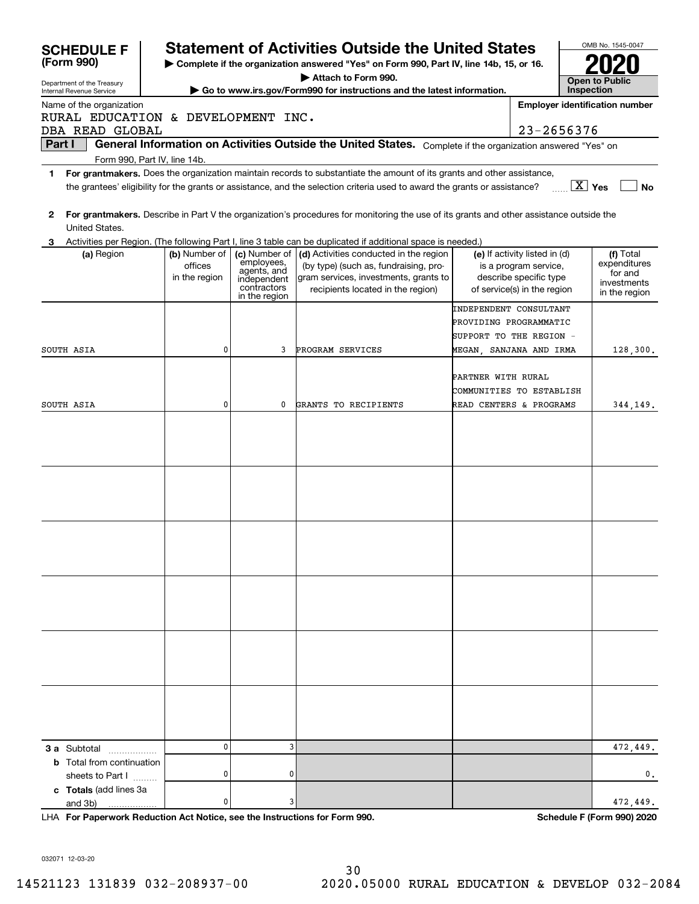| <b>SCHEDULE F</b>                                                           |                                                                                        |                            | <b>Statement of Activities Outside the United States</b>                                                                                                                                                                                             |                                                     |                                                 |                        | OMB No. 1545-0047            |  |  |
|-----------------------------------------------------------------------------|----------------------------------------------------------------------------------------|----------------------------|------------------------------------------------------------------------------------------------------------------------------------------------------------------------------------------------------------------------------------------------------|-----------------------------------------------------|-------------------------------------------------|------------------------|------------------------------|--|--|
| (Form 990)                                                                  | Complete if the organization answered "Yes" on Form 990, Part IV, line 14b, 15, or 16. |                            |                                                                                                                                                                                                                                                      |                                                     |                                                 |                        |                              |  |  |
| Department of the Treasury                                                  |                                                                                        |                            | Attach to Form 990.                                                                                                                                                                                                                                  |                                                     |                                                 |                        | <b>Open to Public</b>        |  |  |
| Internal Revenue Service<br>Name of the organization                        |                                                                                        |                            | Go to www.irs.gov/Form990 for instructions and the latest information.                                                                                                                                                                               |                                                     |                                                 | Inspection             |                              |  |  |
| <b>Employer identification number</b><br>RURAL EDUCATION & DEVELOPMENT INC. |                                                                                        |                            |                                                                                                                                                                                                                                                      |                                                     |                                                 |                        |                              |  |  |
| DBA READ GLOBAL                                                             |                                                                                        |                            |                                                                                                                                                                                                                                                      |                                                     | 23-2656376                                      |                        |                              |  |  |
| Part I                                                                      |                                                                                        |                            | General Information on Activities Outside the United States. Complete if the organization answered "Yes" on                                                                                                                                          |                                                     |                                                 |                        |                              |  |  |
| Form 990, Part IV, line 14b.                                                |                                                                                        |                            |                                                                                                                                                                                                                                                      |                                                     |                                                 |                        |                              |  |  |
| 1                                                                           |                                                                                        |                            | For grantmakers. Does the organization maintain records to substantiate the amount of its grants and other assistance,<br>the grantees' eligibility for the grants or assistance, and the selection criteria used to award the grants or assistance? |                                                     |                                                 | $\boxed{\text{X}}$ Yes | <b>No</b>                    |  |  |
| 2<br>United States.                                                         |                                                                                        |                            | For grantmakers. Describe in Part V the organization's procedures for monitoring the use of its grants and other assistance outside the                                                                                                              |                                                     |                                                 |                        |                              |  |  |
| 3                                                                           |                                                                                        |                            | Activities per Region. (The following Part I, line 3 table can be duplicated if additional space is needed.)                                                                                                                                         |                                                     |                                                 |                        |                              |  |  |
| (a) Region                                                                  | (b) Number of                                                                          | (c) Number of              | (d) Activities conducted in the region                                                                                                                                                                                                               |                                                     | (e) If activity listed in (d)                   |                        | (f) Total                    |  |  |
|                                                                             | offices<br>in the region                                                               | employees,<br>agents, and  | (by type) (such as, fundraising, pro-<br>gram services, investments, grants to                                                                                                                                                                       |                                                     | is a program service,<br>describe specific type |                        | expenditures<br>for and      |  |  |
|                                                                             |                                                                                        | independent<br>contractors | recipients located in the region)                                                                                                                                                                                                                    |                                                     | of service(s) in the region                     |                        | investments<br>in the region |  |  |
|                                                                             |                                                                                        | in the region              |                                                                                                                                                                                                                                                      | INDEPENDENT CONSULTANT                              |                                                 |                        |                              |  |  |
|                                                                             |                                                                                        |                            |                                                                                                                                                                                                                                                      | PROVIDING PROGRAMMATIC                              |                                                 |                        |                              |  |  |
|                                                                             |                                                                                        |                            |                                                                                                                                                                                                                                                      | SUPPORT TO THE REGION -                             |                                                 |                        |                              |  |  |
| SOUTH ASIA                                                                  | 0                                                                                      | 3                          | PROGRAM SERVICES                                                                                                                                                                                                                                     | MEGAN, SANJANA AND IRMA                             |                                                 |                        | 128,300.                     |  |  |
|                                                                             |                                                                                        |                            |                                                                                                                                                                                                                                                      |                                                     |                                                 |                        |                              |  |  |
|                                                                             |                                                                                        |                            |                                                                                                                                                                                                                                                      | PARTNER WITH RURAL                                  |                                                 |                        |                              |  |  |
| SOUTH ASIA                                                                  | 0                                                                                      | 0                          | GRANTS TO RECIPIENTS                                                                                                                                                                                                                                 | COMMUNITIES TO ESTABLISH<br>READ CENTERS & PROGRAMS |                                                 |                        | 344,149.                     |  |  |
|                                                                             |                                                                                        |                            |                                                                                                                                                                                                                                                      |                                                     |                                                 |                        |                              |  |  |
|                                                                             |                                                                                        |                            |                                                                                                                                                                                                                                                      |                                                     |                                                 |                        |                              |  |  |
|                                                                             |                                                                                        |                            |                                                                                                                                                                                                                                                      |                                                     |                                                 |                        |                              |  |  |
|                                                                             |                                                                                        |                            |                                                                                                                                                                                                                                                      |                                                     |                                                 |                        |                              |  |  |
|                                                                             |                                                                                        |                            |                                                                                                                                                                                                                                                      |                                                     |                                                 |                        |                              |  |  |
|                                                                             |                                                                                        |                            |                                                                                                                                                                                                                                                      |                                                     |                                                 |                        |                              |  |  |
|                                                                             |                                                                                        |                            |                                                                                                                                                                                                                                                      |                                                     |                                                 |                        |                              |  |  |
|                                                                             |                                                                                        |                            |                                                                                                                                                                                                                                                      |                                                     |                                                 |                        |                              |  |  |
|                                                                             |                                                                                        |                            |                                                                                                                                                                                                                                                      |                                                     |                                                 |                        |                              |  |  |
|                                                                             |                                                                                        |                            |                                                                                                                                                                                                                                                      |                                                     |                                                 |                        |                              |  |  |
|                                                                             |                                                                                        |                            |                                                                                                                                                                                                                                                      |                                                     |                                                 |                        |                              |  |  |
|                                                                             |                                                                                        |                            |                                                                                                                                                                                                                                                      |                                                     |                                                 |                        |                              |  |  |
|                                                                             |                                                                                        |                            |                                                                                                                                                                                                                                                      |                                                     |                                                 |                        |                              |  |  |
|                                                                             |                                                                                        |                            |                                                                                                                                                                                                                                                      |                                                     |                                                 |                        |                              |  |  |
|                                                                             |                                                                                        |                            |                                                                                                                                                                                                                                                      |                                                     |                                                 |                        |                              |  |  |
|                                                                             |                                                                                        |                            |                                                                                                                                                                                                                                                      |                                                     |                                                 |                        |                              |  |  |
|                                                                             |                                                                                        |                            |                                                                                                                                                                                                                                                      |                                                     |                                                 |                        |                              |  |  |
|                                                                             |                                                                                        |                            |                                                                                                                                                                                                                                                      |                                                     |                                                 |                        |                              |  |  |
|                                                                             |                                                                                        |                            |                                                                                                                                                                                                                                                      |                                                     |                                                 |                        |                              |  |  |
|                                                                             |                                                                                        |                            |                                                                                                                                                                                                                                                      |                                                     |                                                 |                        |                              |  |  |
|                                                                             |                                                                                        |                            |                                                                                                                                                                                                                                                      |                                                     |                                                 |                        |                              |  |  |
| <b>3 a</b> Subtotal                                                         | 0                                                                                      | 3                          |                                                                                                                                                                                                                                                      |                                                     |                                                 |                        | 472,449.                     |  |  |
| .<br><b>b</b> Total from continuation                                       |                                                                                        |                            |                                                                                                                                                                                                                                                      |                                                     |                                                 |                        |                              |  |  |
| sheets to Part I                                                            | 0                                                                                      | 0                          |                                                                                                                                                                                                                                                      |                                                     |                                                 |                        | 0.                           |  |  |
| c Totals (add lines 3a                                                      |                                                                                        |                            |                                                                                                                                                                                                                                                      |                                                     |                                                 |                        |                              |  |  |
| and 3b)                                                                     | 0                                                                                      | 3                          |                                                                                                                                                                                                                                                      |                                                     |                                                 |                        | 472,449.                     |  |  |

**For Paperwork Reduction Act Notice, see the Instructions for Form 990. Schedule F (Form 990) 2020** LHA

032071 12-03-20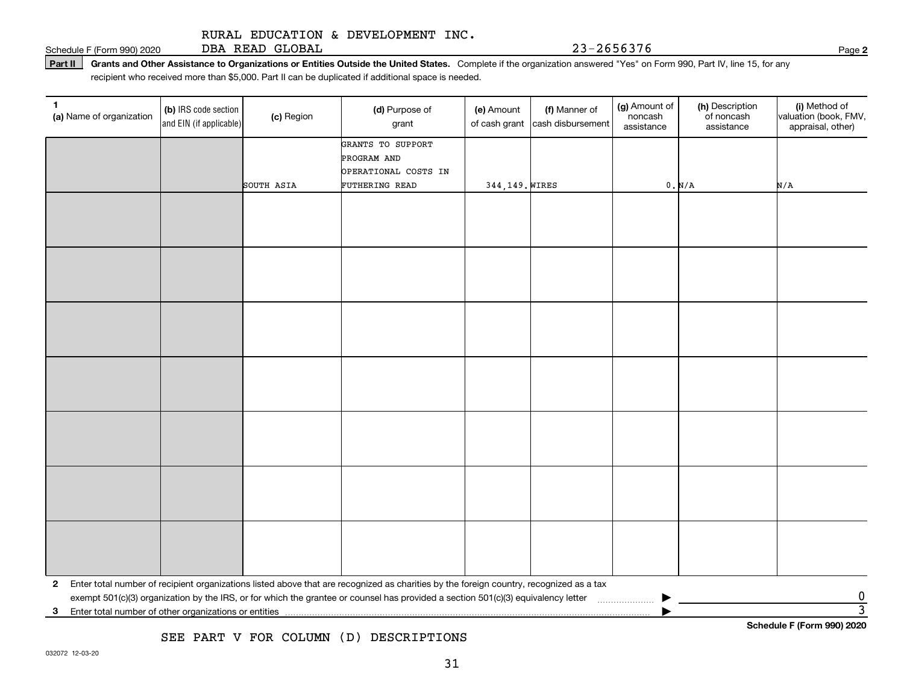Schedule F (Form 990) 2020 Page DBA READ GLOBAL 23-2656376

Part II | Grants and Other Assistance to Organizations or Entities Outside the United States. Complete if the organization answered "Yes" on Form 990, Part IV, line 15, for any recipient who received more than \$5,000. Part II can be duplicated if additional space is needed.

| $\mathbf{1}$<br>(a) Name of organization | (b) IRS code section<br>and EIN (if applicable) | (c) Region | (d) Purpose of<br>grant                                                                                                                 | (e) Amount<br>of cash grant | (f) Manner of<br>cash disbursement | (g) Amount of<br>noncash<br>assistance | (h) Description<br>of noncash<br>assistance | (i) Method of<br>valuation (book, FMV,<br>appraisal, other)    |
|------------------------------------------|-------------------------------------------------|------------|-----------------------------------------------------------------------------------------------------------------------------------------|-----------------------------|------------------------------------|----------------------------------------|---------------------------------------------|----------------------------------------------------------------|
|                                          |                                                 | SOUTH ASIA | GRANTS TO SUPPORT<br>PROGRAM AND<br>OPERATIONAL COSTS IN<br>FUTHERING READ                                                              | 344, 149. WIRES             |                                    |                                        | 0. N/A                                      | N/A                                                            |
|                                          |                                                 |            |                                                                                                                                         |                             |                                    |                                        |                                             |                                                                |
|                                          |                                                 |            |                                                                                                                                         |                             |                                    |                                        |                                             |                                                                |
|                                          |                                                 |            |                                                                                                                                         |                             |                                    |                                        |                                             |                                                                |
|                                          |                                                 |            |                                                                                                                                         |                             |                                    |                                        |                                             |                                                                |
|                                          |                                                 |            |                                                                                                                                         |                             |                                    |                                        |                                             |                                                                |
|                                          |                                                 |            |                                                                                                                                         |                             |                                    |                                        |                                             |                                                                |
|                                          |                                                 |            |                                                                                                                                         |                             |                                    |                                        |                                             |                                                                |
| $\mathbf{2}$<br>3                        |                                                 |            | Enter total number of recipient organizations listed above that are recognized as charities by the foreign country, recognized as a tax |                             |                                    |                                        |                                             | $\overline{0}$<br>$\overline{3}$<br>Schedule F (Form 990) 2020 |

## SEE PART V FOR COLUMN (D) DESCRIPTIONS

**2**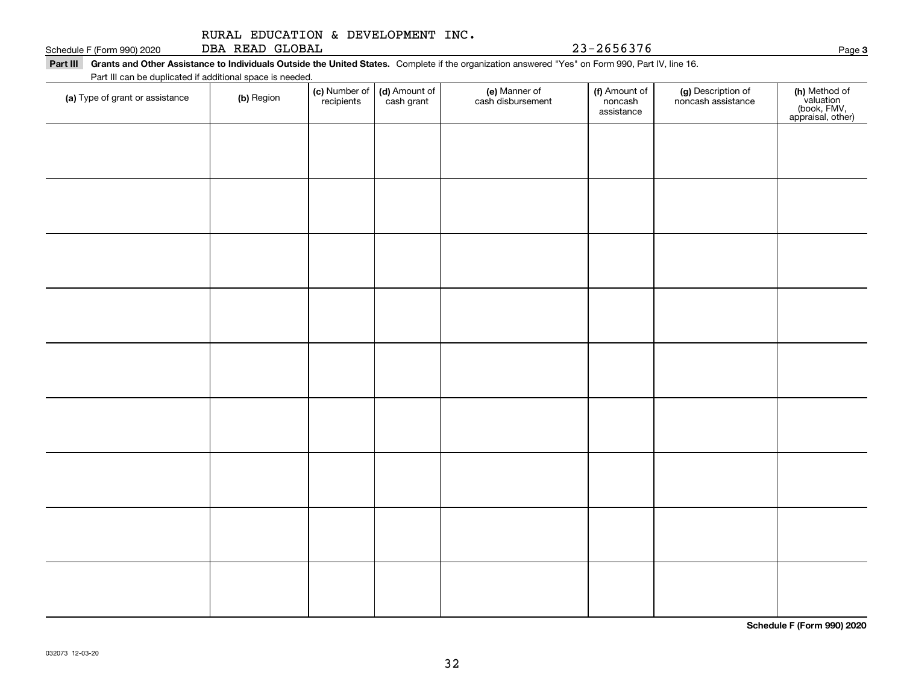#### 032073 12-03-20

32

RURAL EDUCATION & DEVELOPMENT INC.

(c) Number of recipients

Schedule F (Form 990) 2020 Page DBA READ GLOBAL 23-2656376

(f) Amount of noncashassistance

noncash assistance

**(c)** Number of **| (d)** Amount of **| (e)** Manner of **| (f)** Amount of **| (g)** Description of **| (h)** 

(e) Manner of cash disbursement

Part III Grants and Other Assistance to Individuals Outside the United States. Complete if the organization answered "Yes" on Form 990, Part IV, line 16. Part III can be duplicated if additional space is needed.

> (d) Amount of cash grant

**(a)** Type of grant or assistance  $\qquad$  **(b)** Region

Page 3

**(h)** Method of<br>valuation<br>(book, FMV,<br>appraisal, other)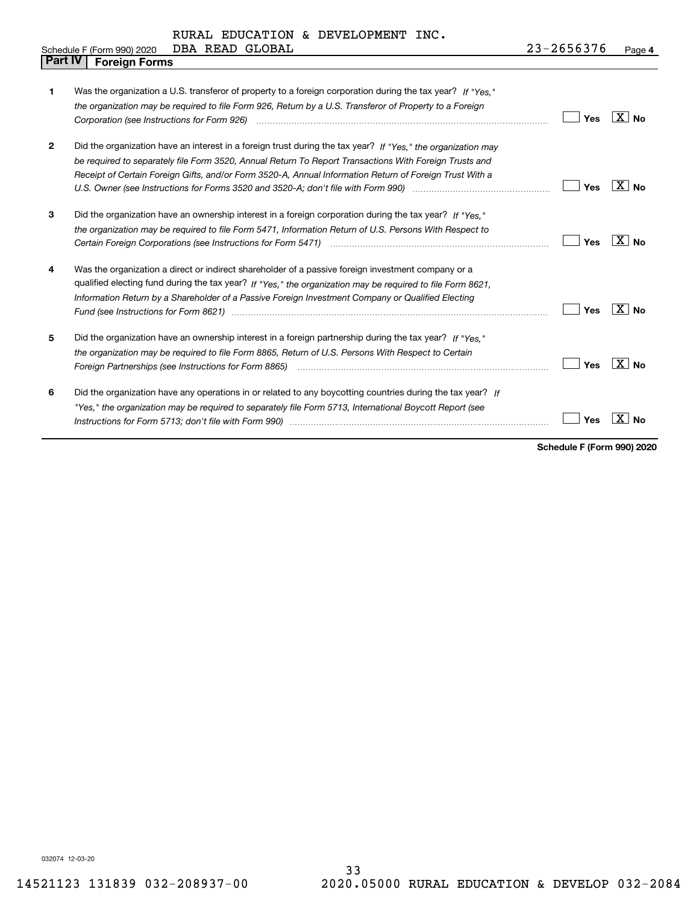| Part IV      | <b>Foreign Forms</b>                                                                                                                                                                                                                                                                                                              |            |                     |
|--------------|-----------------------------------------------------------------------------------------------------------------------------------------------------------------------------------------------------------------------------------------------------------------------------------------------------------------------------------|------------|---------------------|
| 1            | Was the organization a U.S. transferor of property to a foreign corporation during the tax year? If "Yes."<br>the organization may be required to file Form 926, Return by a U.S. Transferor of Property to a Foreign                                                                                                             |            |                     |
|              |                                                                                                                                                                                                                                                                                                                                   | <b>Yes</b> | ∣X∣no               |
| $\mathbf{2}$ | Did the organization have an interest in a foreign trust during the tax year? If "Yes." the organization may                                                                                                                                                                                                                      |            |                     |
|              | be required to separately file Form 3520, Annual Return To Report Transactions With Foreign Trusts and<br>Receipt of Certain Foreign Gifts, and/or Form 3520-A, Annual Information Return of Foreign Trust With a<br>U.S. Owner (see Instructions for Forms 3520 and 3520-A; don't file with Form 990) manufactured and the U.S.  | Yes        | $X \mid N_0$        |
| 3            | Did the organization have an ownership interest in a foreign corporation during the tax year? If "Yes."                                                                                                                                                                                                                           |            |                     |
|              | the organization may be required to file Form 5471, Information Return of U.S. Persons With Respect to                                                                                                                                                                                                                            | Yes        | $\overline{X}$ No   |
| 4            | Was the organization a direct or indirect shareholder of a passive foreign investment company or a                                                                                                                                                                                                                                |            |                     |
|              | qualified electing fund during the tax year? If "Yes," the organization may be required to file Form 8621,<br>Information Return by a Shareholder of a Passive Foreign Investment Company or Qualified Electing<br>Fund (see Instructions for Form 8621) manufactured control control and the latest state of the state of the st | Yes        | $X $ No             |
| 5            | Did the organization have an ownership interest in a foreign partnership during the tax year? If "Yes."                                                                                                                                                                                                                           |            |                     |
|              | the organization may be required to file Form 8865, Return of U.S. Persons With Respect to Certain                                                                                                                                                                                                                                | Yes        | $X \mid N_{\Omega}$ |
| 6            | Did the organization have any operations in or related to any boycotting countries during the tax year? If<br>"Yes," the organization may be required to separately file Form 5713, International Boycott Report (see                                                                                                             |            |                     |
|              | Instructions for Form 5713; don't file with Form 990) manufactured contained and contained and the local manufactured and the local manufactured and the local manufactured and the local manufactured and the local manufactu                                                                                                    | Yes        |                     |

**Schedule F (Form 990) 2020**

032074 12-03-20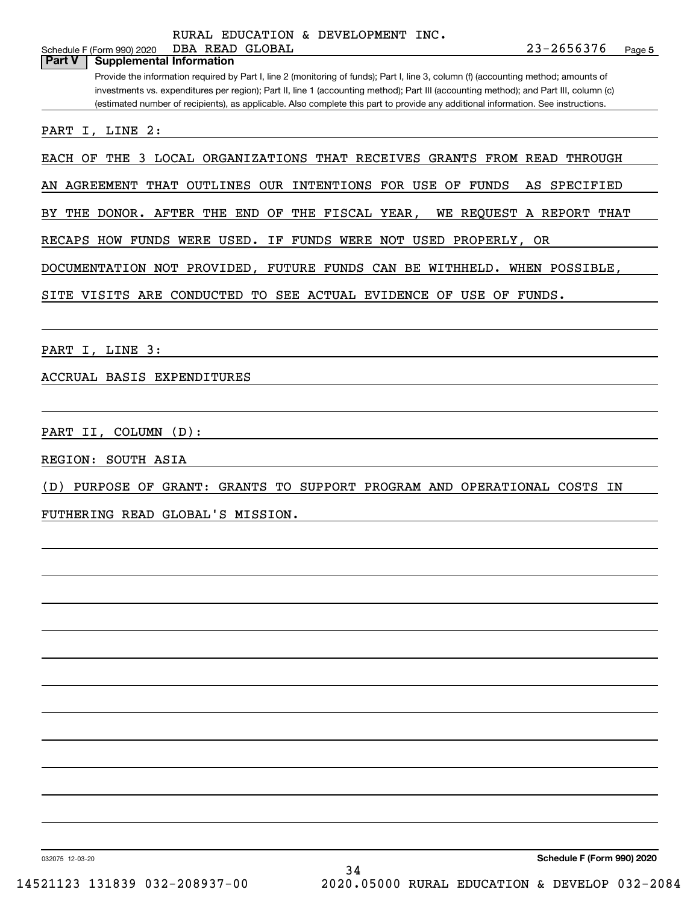| RURAL EDUCATION & DEVELOPMENT INC.<br>23-2656376<br>DBA READ GLOBAL<br>Schedule F (Form 990) 2020<br>Page 5<br><b>Part V</b><br><b>Supplemental Information</b>                                                                                                                                                                                                                                                   |
|-------------------------------------------------------------------------------------------------------------------------------------------------------------------------------------------------------------------------------------------------------------------------------------------------------------------------------------------------------------------------------------------------------------------|
| Provide the information required by Part I, line 2 (monitoring of funds); Part I, line 3, column (f) (accounting method; amounts of<br>investments vs. expenditures per region); Part II, line 1 (accounting method); Part III (accounting method); and Part III, column (c)<br>(estimated number of recipients), as applicable. Also complete this part to provide any additional information. See instructions. |
| I, LINE<br>PART<br>2:                                                                                                                                                                                                                                                                                                                                                                                             |
| 3 LOCAL ORGANIZATIONS THAT RECEIVES GRANTS FROM READ<br>THROUGH<br>EACH<br>THE<br>ОF                                                                                                                                                                                                                                                                                                                              |
| <b>AGREEMENT</b><br>THAT OUTLINES OUR INTENTIONS FOR USE OF<br>FUNDS<br>AS SPECIFIED<br>AN                                                                                                                                                                                                                                                                                                                        |
| THE DONOR. AFTER THE END<br>OF<br>THE FISCAL YEAR,<br>WE<br>REQUEST A REPORT THAT<br>BY.                                                                                                                                                                                                                                                                                                                          |
| RECAPS HOW FUNDS WERE USED.<br>IF<br>FUNDS WERE NOT USED<br>PROPERLY,<br>OR.                                                                                                                                                                                                                                                                                                                                      |
| DOCUMENTATION NOT PROVIDED,<br>FUTURE FUNDS CAN BE WITHHELD. WHEN POSSIBLE,                                                                                                                                                                                                                                                                                                                                       |
| SITE VISITS ARE CONDUCTED TO SEE ACTUAL EVIDENCE OF<br>USE OF FUNDS.                                                                                                                                                                                                                                                                                                                                              |
|                                                                                                                                                                                                                                                                                                                                                                                                                   |
| I, LINE<br>PART<br>3:                                                                                                                                                                                                                                                                                                                                                                                             |
| ACCRUAL BASIS EXPENDITURES                                                                                                                                                                                                                                                                                                                                                                                        |
|                                                                                                                                                                                                                                                                                                                                                                                                                   |
| <b>COLUMN</b><br>(D):<br>PART<br>II,                                                                                                                                                                                                                                                                                                                                                                              |
| REGION: SOUTH ASIA                                                                                                                                                                                                                                                                                                                                                                                                |
| PURPOSE<br><b>GRANT:</b><br>GRANTS<br>TO SUPPORT PROGRAM AND OPERATIONAL COSTS<br>OF<br>(D)<br>ΙN                                                                                                                                                                                                                                                                                                                 |
| FUTHERING READ GLOBAL'S MISSION.                                                                                                                                                                                                                                                                                                                                                                                  |
|                                                                                                                                                                                                                                                                                                                                                                                                                   |
|                                                                                                                                                                                                                                                                                                                                                                                                                   |
|                                                                                                                                                                                                                                                                                                                                                                                                                   |
|                                                                                                                                                                                                                                                                                                                                                                                                                   |
|                                                                                                                                                                                                                                                                                                                                                                                                                   |
|                                                                                                                                                                                                                                                                                                                                                                                                                   |
|                                                                                                                                                                                                                                                                                                                                                                                                                   |
|                                                                                                                                                                                                                                                                                                                                                                                                                   |

032075 12-03-20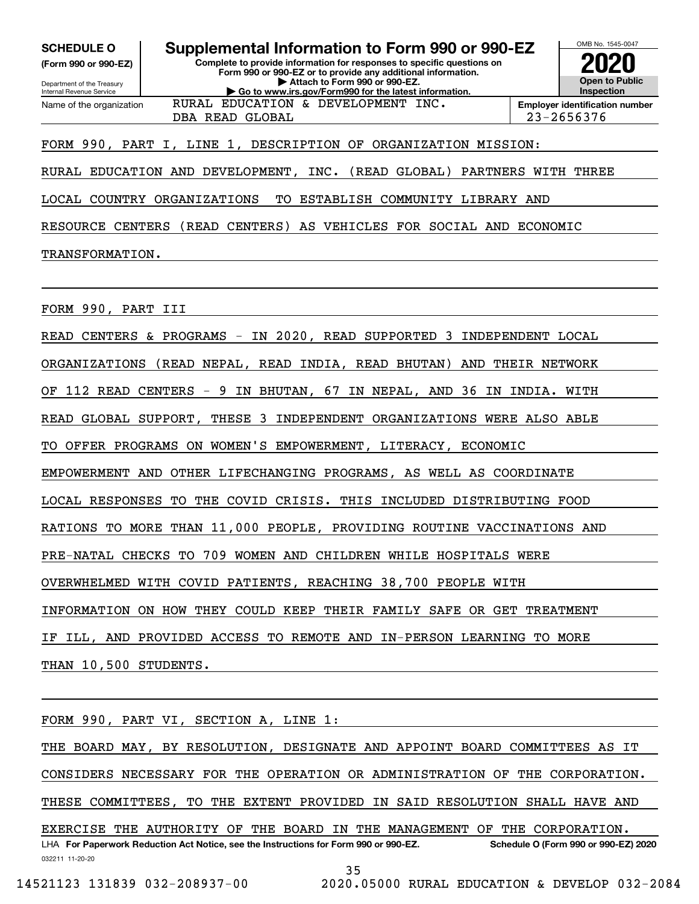**(Form 990 or 990-EZ)**

Department of the Treasury Internal Revenue Service Name of the organization

**Complete to provide information for responses to specific questions on Form 990 or 990-EZ or to provide any additional information. | Attach to Form 990 or 990-EZ. SCHEDULE O Supplemental Information to Form 990 or 990-EZ**

**| Go to www.irs.gov/Form990 for the latest information.**



DBA READ GLOBAL 23-2656376

FORM 990, PART I, LINE 1, DESCRIPTION OF ORGANIZATION MISSION:

RURAL EDUCATION & DEVELOPMENT INC.

RURAL EDUCATION AND DEVELOPMENT, INC. (READ GLOBAL) PARTNERS WITH THREE

LOCAL COUNTRY ORGANIZATIONS TO ESTABLISH COMMUNITY LIBRARY AND

RESOURCE CENTERS (READ CENTERS) AS VEHICLES FOR SOCIAL AND ECONOMIC

TRANSFORMATION.

FORM 990, PART III

READ CENTERS & PROGRAMS - IN 2020, READ SUPPORTED 3 INDEPENDENT LOCAL

ORGANIZATIONS (READ NEPAL, READ INDIA, READ BHUTAN) AND THEIR NETWORK

OF 112 READ CENTERS - 9 IN BHUTAN, 67 IN NEPAL, AND 36 IN INDIA. WITH

READ GLOBAL SUPPORT, THESE 3 INDEPENDENT ORGANIZATIONS WERE ALSO ABLE

TO OFFER PROGRAMS ON WOMEN'S EMPOWERMENT, LITERACY, ECONOMIC

EMPOWERMENT AND OTHER LIFECHANGING PROGRAMS, AS WELL AS COORDINATE

LOCAL RESPONSES TO THE COVID CRISIS. THIS INCLUDED DISTRIBUTING FOOD

RATIONS TO MORE THAN 11,000 PEOPLE, PROVIDING ROUTINE VACCINATIONS AND

PRE-NATAL CHECKS TO 709 WOMEN AND CHILDREN WHILE HOSPITALS WERE

OVERWHELMED WITH COVID PATIENTS, REACHING 38,700 PEOPLE WITH

INFORMATION ON HOW THEY COULD KEEP THEIR FAMILY SAFE OR GET TREATMENT

ILL, AND PROVIDED ACCESS TO REMOTE AND IN-PERSON LEARNING TO MORE

THAN 10,500 STUDENTS.

FORM 990, PART VI, SECTION A, LINE 1:

THE BOARD MAY, BY RESOLUTION, DESIGNATE AND APPOINT BOARD COMMITTEES AS IT CONSIDERS NECESSARY FOR THE OPERATION OR ADMINISTRATION OF THE CORPORATION. THESE COMMITTEES, TO THE EXTENT PROVIDED IN SAID RESOLUTION SHALL HAVE AND

032211 11-20-20 LHA For Paperwork Reduction Act Notice, see the Instructions for Form 990 or 990-EZ. Schedule O (Form 990 or 990-EZ) 2020 EXERCISE THE AUTHORITY OF THE BOARD IN THE MANAGEMENT OF THE CORPORATION.

35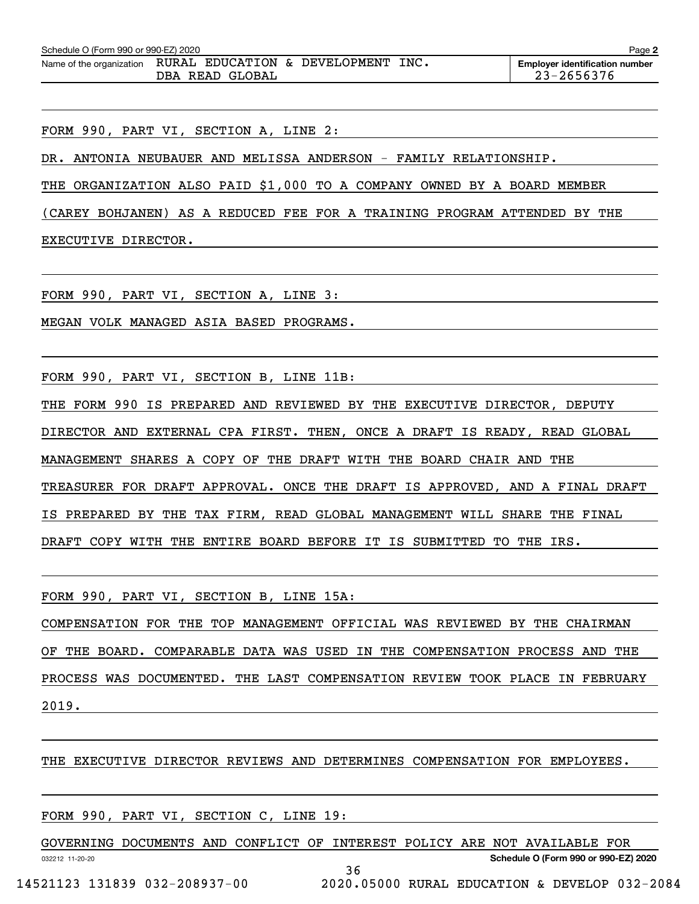| Schedule O (Form 990 or 990-EZ) 2020<br>Page 2 |                 |                                    |                                                     |  |  |  |  |  |  |
|------------------------------------------------|-----------------|------------------------------------|-----------------------------------------------------|--|--|--|--|--|--|
| Name of the organization                       | DBA READ GLOBAL | RURAL EDUCATION & DEVELOPMENT INC. | <b>Employer identification number</b><br>23-2656376 |  |  |  |  |  |  |

FORM 990, PART VI, SECTION A, LINE 2:

DR. ANTONIA NEUBAUER AND MELISSA ANDERSON - FAMILY RELATIONSHIP.

THE ORGANIZATION ALSO PAID \$1,000 TO A COMPANY OWNED BY A BOARD MEMBER

(CAREY BOHJANEN) AS A REDUCED FEE FOR A TRAINING PROGRAM ATTENDED BY THE

EXECUTIVE DIRECTOR.

FORM 990, PART VI, SECTION A, LINE 3:

MEGAN VOLK MANAGED ASIA BASED PROGRAMS.

FORM 990, PART VI, SECTION B, LINE 11B:

THE FORM 990 IS PREPARED AND REVIEWED BY THE EXECUTIVE DIRECTOR, DEPUTY

DIRECTOR AND EXTERNAL CPA FIRST. THEN, ONCE A DRAFT IS READY, READ GLOBAL

MANAGEMENT SHARES A COPY OF THE DRAFT WITH THE BOARD CHAIR AND THE

TREASURER FOR DRAFT APPROVAL. ONCE THE DRAFT IS APPROVED, AND A FINAL DRAFT

IS PREPARED BY THE TAX FIRM, READ GLOBAL MANAGEMENT WILL SHARE THE FINAL

DRAFT COPY WITH THE ENTIRE BOARD BEFORE IT IS SUBMITTED TO THE IRS.

FORM 990, PART VI, SECTION B, LINE 15A:

COMPENSATION FOR THE TOP MANAGEMENT OFFICIAL WAS REVIEWED BY THE CHAIRMAN OF THE BOARD. COMPARABLE DATA WAS USED IN THE COMPENSATION PROCESS AND THE PROCESS WAS DOCUMENTED. THE LAST COMPENSATION REVIEW TOOK PLACE IN FEBRUARY 2019.

THE EXECUTIVE DIRECTOR REVIEWS AND DETERMINES COMPENSATION FOR EMPLOYEES.

|                               | FORM 990, PART VI, SECTION C, LINE 19:                                    |  |                                               |  |                                      |  |
|-------------------------------|---------------------------------------------------------------------------|--|-----------------------------------------------|--|--------------------------------------|--|
|                               |                                                                           |  |                                               |  |                                      |  |
|                               | GOVERNING DOCUMENTS AND CONFLICT OF INTEREST POLICY ARE NOT AVAILABLE FOR |  |                                               |  |                                      |  |
| 032212 11-20-20               |                                                                           |  |                                               |  | Schedule O (Form 990 or 990-EZ) 2020 |  |
|                               |                                                                           |  | 36                                            |  |                                      |  |
| 14521123 131839 032-208937-00 |                                                                           |  | 2020.05000 RURAL EDUCATION & DEVELOP 032-2084 |  |                                      |  |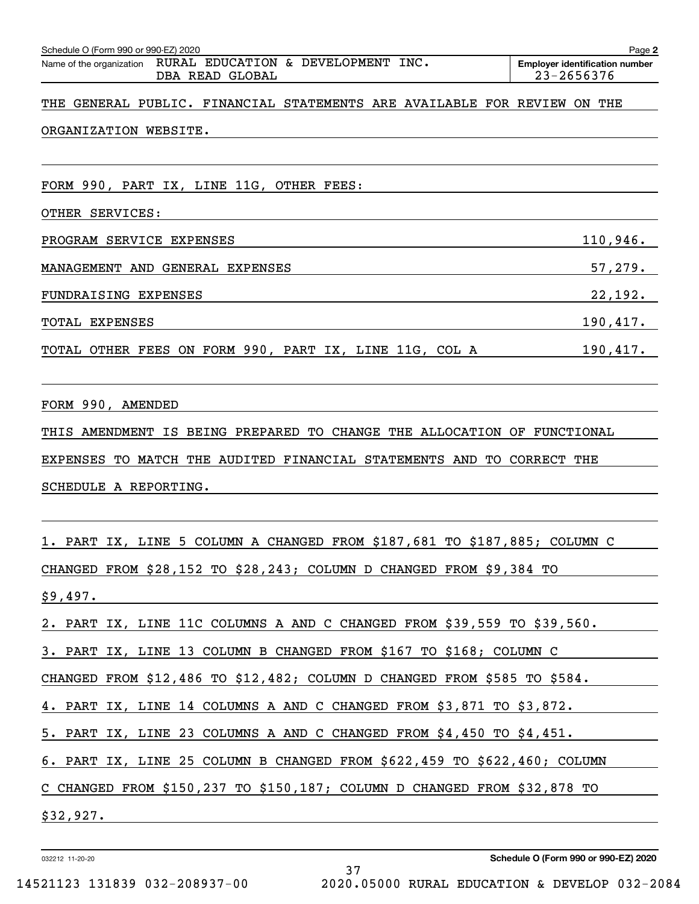| Schedule O (Form 990 or 990-EZ) 2020                                              | Page 2                                              |
|-----------------------------------------------------------------------------------|-----------------------------------------------------|
| RURAL EDUCATION & DEVELOPMENT INC.<br>Name of the organization<br>DBA READ GLOBAL | <b>Employer identification number</b><br>23-2656376 |
| THE GENERAL PUBLIC. FINANCIAL STATEMENTS ARE AVAILABLE FOR REVIEW ON THE          |                                                     |
| ORGANIZATION WEBSITE.                                                             |                                                     |
|                                                                                   |                                                     |
| FORM 990, PART IX, LINE 11G, OTHER FEES:                                          |                                                     |
| OTHER SERVICES:                                                                   |                                                     |
| PROGRAM SERVICE EXPENSES                                                          | 110,946.                                            |
| MANAGEMENT AND GENERAL EXPENSES                                                   | 57,279.                                             |
| FUNDRAISING EXPENSES                                                              | 22,192.                                             |
| TOTAL EXPENSES                                                                    | 190,417.                                            |
| TOTAL OTHER FEES ON FORM 990, PART IX, LINE 11G, COL A                            | 190,417.                                            |
|                                                                                   |                                                     |
| FORM 990, AMENDED                                                                 |                                                     |
| THIS AMENDMENT IS BEING PREPARED TO CHANGE THE ALLOCATION OF FUNCTIONAL           |                                                     |
| EXPENSES TO MATCH THE AUDITED FINANCIAL STATEMENTS AND TO CORRECT THE             |                                                     |
| SCHEDULE A REPORTING.                                                             |                                                     |
|                                                                                   |                                                     |
| 1. PART IX, LINE 5 COLUMN A CHANGED FROM \$187,681 TO \$187,885; COLUMN C         |                                                     |
| CHANGED FROM \$28,152 TO \$28,243; COLUMN D CHANGED FROM \$9,384 TO               |                                                     |
| \$9,497.                                                                          |                                                     |
| 2. PART IX, LINE 11C COLUMNS A AND C CHANGED FROM \$39,559 TO \$39,560.           |                                                     |
| 3. PART IX, LINE 13 COLUMN B CHANGED FROM \$167 TO \$168; COLUMN C                |                                                     |
| CHANGED FROM \$12,486 TO \$12,482; COLUMN D CHANGED FROM \$585 TO \$584.          |                                                     |
| 4. PART IX, LINE 14 COLUMNS A AND C CHANGED FROM \$3,871 TO \$3,872.              |                                                     |
| 5. PART IX, LINE 23 COLUMNS A AND C CHANGED FROM \$4,450 TO \$4,451.              |                                                     |
| 6. PART IX, LINE 25 COLUMN B CHANGED FROM \$622,459 TO \$622,460; COLUMN          |                                                     |
| C CHANGED FROM \$150,237 TO \$150,187; COLUMN D CHANGED FROM \$32,878 TO          |                                                     |
| \$32,927.                                                                         |                                                     |

37

032212 11-20-20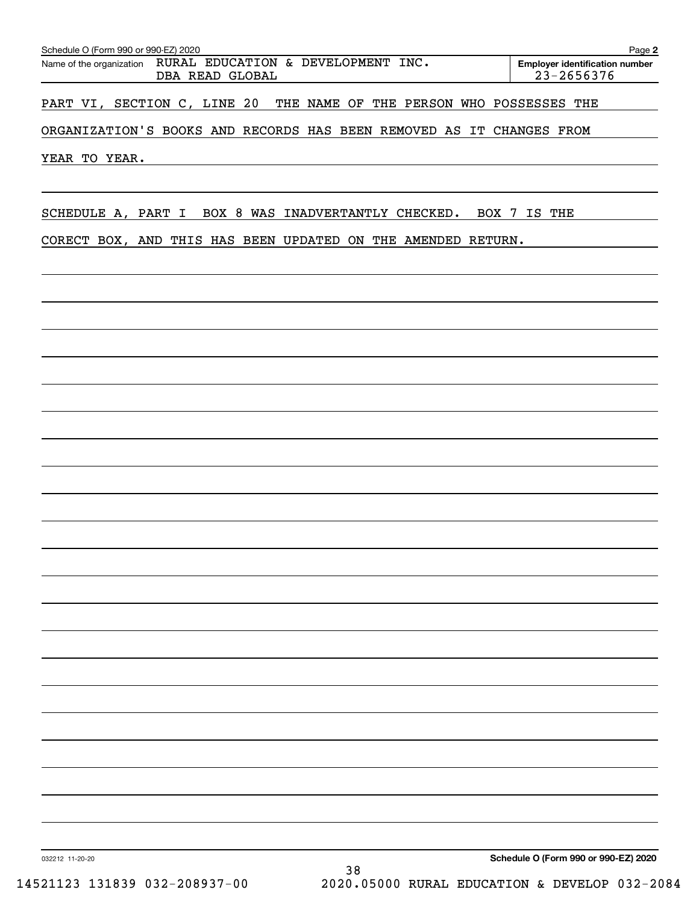| Schedule O (Form 990 or 990-EZ) 2020<br>Name of the organization RURAL EDUCATION & DEVELOPMENT INC.<br>DBA READ GLOBAL | Page 2<br><b>Employer identification number</b><br>23-2656376 |
|------------------------------------------------------------------------------------------------------------------------|---------------------------------------------------------------|
| PART VI, SECTION C, LINE 20 THE NAME OF THE PERSON WHO POSSESSES THE                                                   |                                                               |
| ORGANIZATION'S BOOKS AND RECORDS HAS BEEN REMOVED AS IT CHANGES FROM                                                   |                                                               |
| YEAR TO YEAR.                                                                                                          |                                                               |
|                                                                                                                        |                                                               |
| SCHEDULE A, PART I BOX 8 WAS INADVERTANTLY CHECKED. BOX 7 IS THE                                                       |                                                               |
| CORECT BOX, AND THIS HAS BEEN UPDATED ON THE AMENDED RETURN.                                                           |                                                               |
|                                                                                                                        |                                                               |
|                                                                                                                        |                                                               |
|                                                                                                                        |                                                               |
|                                                                                                                        |                                                               |
|                                                                                                                        |                                                               |
|                                                                                                                        |                                                               |
|                                                                                                                        |                                                               |
|                                                                                                                        |                                                               |
|                                                                                                                        |                                                               |
|                                                                                                                        |                                                               |
|                                                                                                                        |                                                               |
|                                                                                                                        |                                                               |
|                                                                                                                        |                                                               |
|                                                                                                                        |                                                               |
|                                                                                                                        |                                                               |
|                                                                                                                        |                                                               |
|                                                                                                                        |                                                               |
|                                                                                                                        |                                                               |
|                                                                                                                        |                                                               |
|                                                                                                                        |                                                               |
| 032212 11-20-20<br>38                                                                                                  | Schedule O (Form 990 or 990-EZ) 2020                          |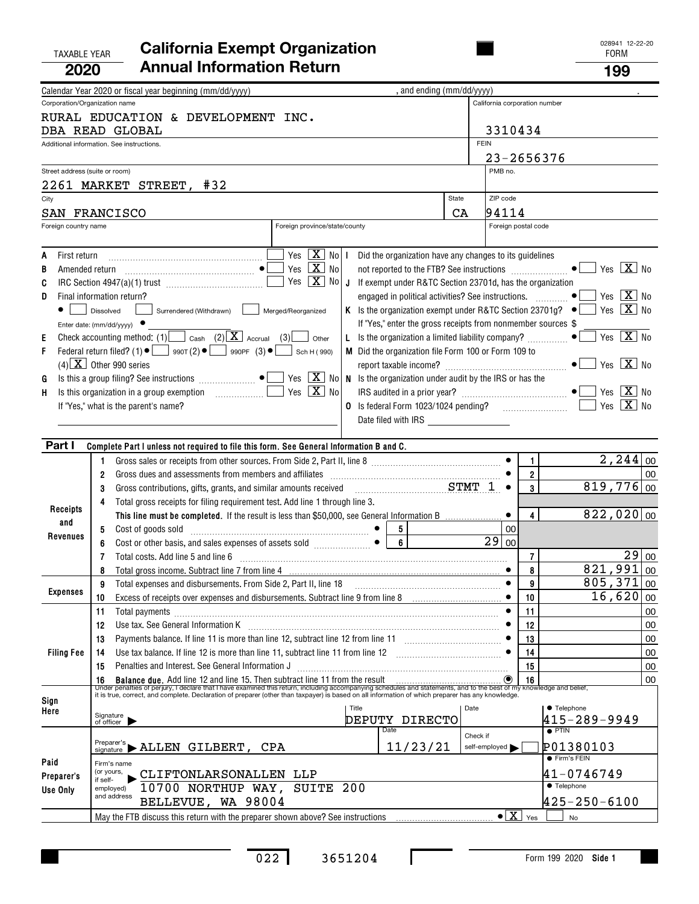|                                | 2020         |                           | <b>Annual Information Return</b>                                                                                                                                                                                                                                                                   |                                                                                                            |       |      |                                                                   |             |                               |                                                                   | <b>FORM</b><br>199                                 |          |
|--------------------------------|--------------|---------------------------|----------------------------------------------------------------------------------------------------------------------------------------------------------------------------------------------------------------------------------------------------------------------------------------------------|------------------------------------------------------------------------------------------------------------|-------|------|-------------------------------------------------------------------|-------------|-------------------------------|-------------------------------------------------------------------|----------------------------------------------------|----------|
|                                |              |                           | Calendar Year 2020 or fiscal year beginning (mm/dd/yyyy)                                                                                                                                                                                                                                           |                                                                                                            |       |      | , and ending (mm/dd/yyyy)                                         |             |                               |                                                                   |                                                    |          |
| Corporation/Organization name  |              |                           |                                                                                                                                                                                                                                                                                                    |                                                                                                            |       |      |                                                                   |             | California corporation number |                                                                   |                                                    |          |
|                                |              |                           | RURAL EDUCATION & DEVELOPMENT INC.<br>DBA READ GLOBAL                                                                                                                                                                                                                                              |                                                                                                            |       |      |                                                                   |             | 3310434                       |                                                                   |                                                    |          |
|                                |              |                           | Additional information. See instructions.                                                                                                                                                                                                                                                          |                                                                                                            |       |      |                                                                   | <b>FEIN</b> |                               |                                                                   |                                                    |          |
|                                |              |                           |                                                                                                                                                                                                                                                                                                    |                                                                                                            |       |      |                                                                   |             | 23-2656376                    |                                                                   |                                                    |          |
| Street address (suite or room) |              |                           |                                                                                                                                                                                                                                                                                                    |                                                                                                            |       |      |                                                                   |             | PMB no.                       |                                                                   |                                                    |          |
|                                |              |                           | 2261 MARKET STREET, #32                                                                                                                                                                                                                                                                            |                                                                                                            |       |      |                                                                   |             |                               |                                                                   |                                                    |          |
| City                           |              |                           |                                                                                                                                                                                                                                                                                                    |                                                                                                            |       |      |                                                                   | State       | ZIP code                      |                                                                   |                                                    |          |
| SAN FRANCISCO                  |              |                           |                                                                                                                                                                                                                                                                                                    |                                                                                                            |       |      |                                                                   | CA          | 94114                         |                                                                   |                                                    |          |
| Foreign country name           |              |                           |                                                                                                                                                                                                                                                                                                    | Foreign province/state/county                                                                              |       |      |                                                                   |             | Foreign postal code           |                                                                   |                                                    |          |
| A                              | First return |                           |                                                                                                                                                                                                                                                                                                    | Yes $\boxed{\mathbf{X}}$ No   I Did the organization have any changes to its guidelines                    |       |      |                                                                   |             |                               |                                                                   |                                                    |          |
| В                              |              | Amended return            |                                                                                                                                                                                                                                                                                                    | Yes $\boxed{\mathbf{X}}$ No                                                                                |       |      | not reported to the FTB? See instructions                         |             |                               |                                                                   | $\exists$ Yes $\boxed{\mathbf{X}}$ No<br>$\bullet$ |          |
| C                              |              |                           |                                                                                                                                                                                                                                                                                                    | Yes $\boxed{\mathbf{X}}$ No $\boxed{\mathbf{J}}$ If exempt under R&TC Section 23701d, has the organization |       |      |                                                                   |             |                               |                                                                   |                                                    |          |
| D                              |              |                           | Final information return?                                                                                                                                                                                                                                                                          |                                                                                                            |       |      | engaged in political activities? See instructions.                |             |                               |                                                                   | Yes $\boxed{\mathbf{X}}$ No                        |          |
|                                |              | Dissolved                 | Surrendered (Withdrawn)                                                                                                                                                                                                                                                                            | Merged/Reorganized                                                                                         |       |      | K Is the organization exempt under R&TC Section 23701g? $\bullet$ |             |                               |                                                                   | Yes $X \mid N_0$                                   |          |
|                                |              |                           | Enter date: (mm/dd/yyyy) ●                                                                                                                                                                                                                                                                         |                                                                                                            |       |      | If "Yes," enter the gross receipts from nonmember sources \$      |             |                               |                                                                   |                                                    |          |
| Е                              |              |                           | Check accounting method: (1) Cash $(2)$ $\overline{X}$ Accrual $(3)$ Other                                                                                                                                                                                                                         |                                                                                                            |       |      | L Is the organization a limited liability company?                |             |                               |                                                                   | Yes $\boxed{\mathbf{X}}$ No                        |          |
| F                              |              |                           | Federal return filed? (1) $\bullet$ $\Box$ 990T (2) $\bullet$ $\Box$ 990PF (3) $\bullet$ $\Box$ Sch H(990)                                                                                                                                                                                         |                                                                                                            |       |      | M Did the organization file Form 100 or Form 109 to               |             |                               |                                                                   | $\bullet$ $\blacksquare$ Yes $\boxed{X}$ No        |          |
| G                              |              |                           | $(4)$ X Other 990 series<br>Is this a group filing? See instructions $\ldots$ $\bullet$ $\Box$ Yes $\boxed{\mathbf{X}}$ No   N Is the organization under audit by the IRS or has the                                                                                                               |                                                                                                            |       |      |                                                                   |             |                               |                                                                   |                                                    |          |
| н                              |              |                           | Is this organization in a group exemption                                                                                                                                                                                                                                                          | $\exists$ Yes $\boxed{\mathbf{X}}$ No                                                                      |       |      |                                                                   |             |                               |                                                                   | $ Yes X $ No                                       |          |
|                                |              |                           | If "Yes," what is the parent's name?                                                                                                                                                                                                                                                               |                                                                                                            |       |      |                                                                   |             |                               |                                                                   | Yes $X$ No                                         |          |
|                                |              |                           |                                                                                                                                                                                                                                                                                                    |                                                                                                            |       |      |                                                                   |             |                               |                                                                   |                                                    |          |
|                                |              |                           |                                                                                                                                                                                                                                                                                                    |                                                                                                            |       |      |                                                                   |             |                               |                                                                   |                                                    |          |
| Part I                         |              |                           | Complete Part I unless not required to file this form. See General Information B and C.                                                                                                                                                                                                            |                                                                                                            |       |      |                                                                   |             |                               |                                                                   |                                                    |          |
|                                |              | 1                         |                                                                                                                                                                                                                                                                                                    |                                                                                                            |       |      |                                                                   |             |                               | 1                                                                 | 2, 244   00                                        |          |
|                                |              | $\overline{2}$<br>3       | Gross dues and assessments from members and affiliates [111] [11] contains and affiliates [11] contains and affiliates [11] contains and assessments from members and affiliates [11] contains and affiliate and affiliate and<br>Gross contributions, gifts, grants, and similar amounts received |                                                                                                            |       |      | $STMT$ 1 $\bullet$                                                |             |                               | $\overline{2}$<br>3                                               | $819,776$ 00                                       | 00       |
|                                |              | 4                         | Total gross receipts for filing requirement test. Add line 1 through line 3.                                                                                                                                                                                                                       |                                                                                                            |       |      |                                                                   |             |                               |                                                                   |                                                    |          |
| Receipts                       |              |                           | This line must be completed. If the result is less than \$50,000, see General Information B                                                                                                                                                                                                        |                                                                                                            |       |      |                                                                   |             |                               | $\overline{\mathbf{4}}$                                           | 822,020 00                                         |          |
| and                            |              | 5                         |                                                                                                                                                                                                                                                                                                    |                                                                                                            |       | 5    |                                                                   |             | 00                            |                                                                   |                                                    |          |
| Revenues                       |              |                           |                                                                                                                                                                                                                                                                                                    |                                                                                                            |       |      |                                                                   |             | 29 00                         |                                                                   |                                                    |          |
|                                |              |                           | Total costs. Add line 5 and line 6                                                                                                                                                                                                                                                                 |                                                                                                            |       |      |                                                                   |             |                               | $\overline{7}$                                                    |                                                    | $29$ 00  |
|                                |              | 8                         |                                                                                                                                                                                                                                                                                                    |                                                                                                            |       |      |                                                                   |             |                               | 8                                                                 | $821,991$ 00                                       |          |
| <b>Expenses</b>                |              | 9                         | Total expenses and disbursements. From Side 2, Part II, line 18                                                                                                                                                                                                                                    |                                                                                                            |       |      |                                                                   |             |                               | 9                                                                 | $805, 371 _{00}$                                   |          |
|                                |              | 10                        |                                                                                                                                                                                                                                                                                                    |                                                                                                            |       |      |                                                                   |             | $\bullet$                     | 10                                                                | $16,620 _{00}$                                     |          |
|                                |              | 11                        |                                                                                                                                                                                                                                                                                                    |                                                                                                            |       |      |                                                                   |             |                               | 11<br>12                                                          |                                                    | 00       |
|                                |              | 12<br>13                  |                                                                                                                                                                                                                                                                                                    |                                                                                                            |       |      |                                                                   |             |                               | 13                                                                |                                                    | 00<br>00 |
| <b>Filing Fee</b>              |              | 14                        | Use tax balance. If line 12 is more than line 11, subtract line 11 from line 12 [11] [12] [12] [13] [13] Use tax balance. If line 12                                                                                                                                                               |                                                                                                            |       |      |                                                                   |             |                               | 14                                                                |                                                    | 00       |
|                                |              | 15                        |                                                                                                                                                                                                                                                                                                    |                                                                                                            |       |      |                                                                   |             |                               | 15                                                                |                                                    | 00       |
|                                |              |                           |                                                                                                                                                                                                                                                                                                    |                                                                                                            |       |      |                                                                   |             |                               |                                                                   |                                                    | 00       |
|                                |              |                           | 16 Balance due. Add line 12 and line 15. Then subtract line 11 from the result<br>Under penalties of perjury, I declare that I have examined this return, including accompanying schedules and statements, and to the best of my                                                                   |                                                                                                            |       |      |                                                                   |             |                               |                                                                   |                                                    |          |
| Sign<br>Here                   |              |                           |                                                                                                                                                                                                                                                                                                    |                                                                                                            | Title |      |                                                                   | Date        |                               |                                                                   | ● Telephone                                        |          |
|                                |              | Signature<br>of officer   |                                                                                                                                                                                                                                                                                                    |                                                                                                            |       | Date | DEPUTY DIRECTO                                                    |             |                               |                                                                   | 415-289-9949<br>$\bullet$ PTIN                     |          |
|                                |              |                           |                                                                                                                                                                                                                                                                                                    |                                                                                                            |       |      |                                                                   | Check if    |                               |                                                                   |                                                    |          |
|                                |              |                           | $P_{\text{signature}}^{\text{Prepare's}}$ ALLEN GILBERT, CPA                                                                                                                                                                                                                                       |                                                                                                            |       |      | 11/23/21                                                          |             | self-employed                 |                                                                   | P01380103<br>● Firm's FEIN                         |          |
| Paid                           |              | Firm's name<br>(or yours, | CLIFTONLARSONALLEN LLP                                                                                                                                                                                                                                                                             |                                                                                                            |       |      |                                                                   |             |                               |                                                                   | 41-0746749                                         |          |
| Preparer's<br>Use Only         |              | if self-<br>employed)     | 10700 NORTHUP WAY, SUITE 200                                                                                                                                                                                                                                                                       |                                                                                                            |       |      |                                                                   |             |                               |                                                                   | <b>• Telephone</b>                                 |          |
|                                |              | and address               | BELLEVUE, WA 98004                                                                                                                                                                                                                                                                                 |                                                                                                            |       |      |                                                                   |             |                               |                                                                   | $425 - 250 - 6100$                                 |          |
|                                |              |                           |                                                                                                                                                                                                                                                                                                    |                                                                                                            |       |      |                                                                   |             |                               | $\overline{\bullet}$ $\overline{X}$ $\overline{Y}$ $\overline{Y}$ | <b>No</b>                                          |          |

 $\mathbf{I}$ 

028941 12-22-20

**The Company**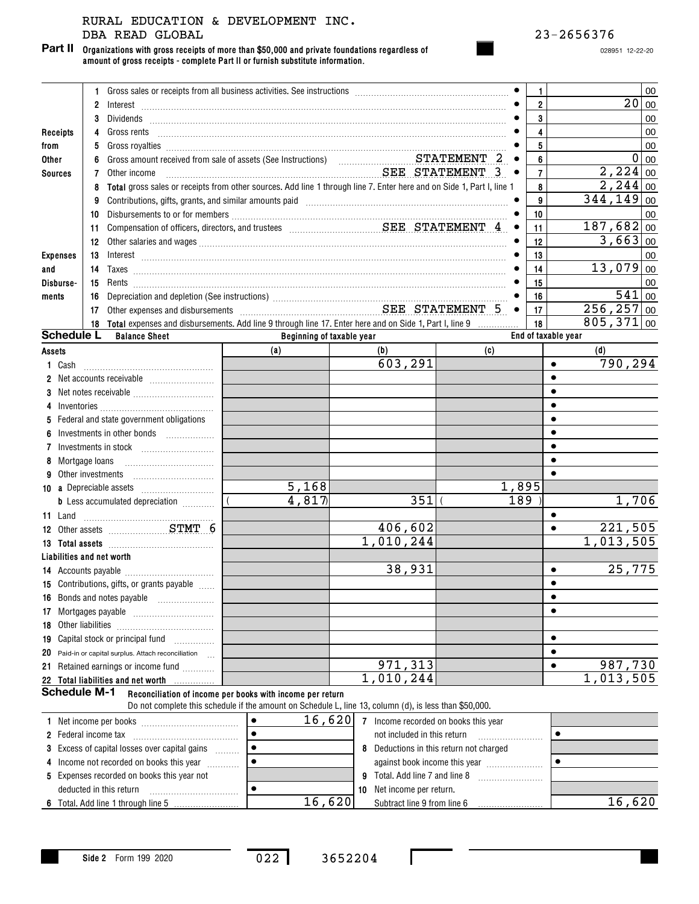#### DBA READ GLOBAL 23-2656376 RURAL EDUCATION & DEVELOPMENT INC.

**Organizations with gross receipts of more than \$50,000 and private foundations regardless of Part II amount of gross receipts - complete Part II or furnish substitute information.**

|                 |             | Gross sales or receipts from all business activities. See instructions [111] [12] content the sales or receipts from all business activities. See instructions [11] [12] [12] and the sales or receipts from all business acti                                                                                                                           |                           |         |     |                         |    |                     | 00    |
|-----------------|-------------|----------------------------------------------------------------------------------------------------------------------------------------------------------------------------------------------------------------------------------------------------------------------------------------------------------------------------------------------------------|---------------------------|---------|-----|-------------------------|----|---------------------|-------|
|                 | 2           | $Interest \begin{array}{c} \rule{2.5cm}{0.15cm} \rule{2.5cm}{0.15cm} \rule{2.5cm}{0.15cm} \rule{2.5cm}{0.15cm} \rule{2.5cm}{0.15cm} \rule{2.5cm}{0.15cm} \rule{2.5cm}{0.15cm} \rule{2.5cm}{0.15cm} \rule{2.5cm}{0.15cm} \rule{2.5cm}{0.15cm} \rule{2.5cm}{0.15cm} \rule{2.5cm}{0.15cm} \rule{2.5cm}{0.15cm} \rule{2.5cm}{0.15cm} \rule{2.5cm}{0.15cm} \$ |                           |         |     |                         |    |                     | 20 00 |
|                 |             |                                                                                                                                                                                                                                                                                                                                                          |                           |         |     |                         | 3  |                     | 00    |
| Receipts        |             | 4 Gross rents                                                                                                                                                                                                                                                                                                                                            |                           |         |     |                         |    |                     | 00    |
| from            | 5.          |                                                                                                                                                                                                                                                                                                                                                          |                           |         |     |                         |    |                     | 00    |
| <b>Other</b>    | 6.          |                                                                                                                                                                                                                                                                                                                                                          |                           |         |     |                         | 6  |                     | 00    |
| <b>Sources</b>  | $7^{\circ}$ | Other income                                                                                                                                                                                                                                                                                                                                             | SEE STATEMENT <b>SEE</b>  |         |     | $\overline{\mathbf{3}}$ |    | $2,224$ 00          |       |
|                 |             | Total gross sales or receipts from other sources. Add line 1 through line 7. Enter here and on Side 1, Part I, line 1                                                                                                                                                                                                                                    |                           |         |     |                         | 8  | $2, 244$ 00         |       |
|                 |             |                                                                                                                                                                                                                                                                                                                                                          |                           |         |     |                         | 9  | $344, 149$ 00       |       |
|                 | 10          |                                                                                                                                                                                                                                                                                                                                                          |                           |         |     |                         | 10 |                     | 00    |
|                 | 11          |                                                                                                                                                                                                                                                                                                                                                          |                           |         |     |                         | 11 | 187,682 00          |       |
|                 | 12          |                                                                                                                                                                                                                                                                                                                                                          |                           |         |     |                         | 12 | 3,663 00            |       |
| <b>Expenses</b> | 13          | $Interest \begin{array}{c} \rule{2.5cm}{0.15cm} \rule{2.5cm}{0.15cm} \rule{2.5cm}{0.15cm} \rule{2.5cm}{0.15cm} \rule{2.5cm}{0.15cm} \rule{2.5cm}{0.15cm} \rule{2.5cm}{0.15cm} \rule{2.5cm}{0.15cm} \rule{2.5cm}{0.15cm} \rule{2.5cm}{0.15cm} \rule{2.5cm}{0.15cm} \rule{2.5cm}{0.15cm} \rule{2.5cm}{0.15cm} \rule{2.5cm}{0.15cm} \rule{2.5cm}{0.15cm} \$ |                           |         |     |                         | 13 |                     | 00    |
| and             | 14          |                                                                                                                                                                                                                                                                                                                                                          |                           |         |     |                         | 14 | 13,079              | 00    |
| Disburse-       | 15          |                                                                                                                                                                                                                                                                                                                                                          |                           |         |     |                         | 15 |                     | 00    |
| ments           | 16          | Depreciation and depletion (See instructions) manufactured and contain and depletion (See instructions) manufactured and the Depreciation and depletion (See instructions)                                                                                                                                                                               |                           |         |     |                         | 16 | 541                 | 00    |
|                 | 17          | Other expenses and disbursements Material Material SEE STATEMENT 5                                                                                                                                                                                                                                                                                       |                           |         |     |                         | 17 | $256, 257$ 00       |       |
|                 | 18          | Total expenses and disbursements. Add line 9 through line 17. Enter here and on Side 1, Part I, line 9                                                                                                                                                                                                                                                   |                           |         |     |                         | 18 | $805, 371$ 00       |       |
| Schedule L      |             | <b>Balance Sheet</b>                                                                                                                                                                                                                                                                                                                                     | Beginning of taxable year |         |     |                         |    | End of taxable year |       |
| Assets          |             |                                                                                                                                                                                                                                                                                                                                                          | (a)                       | (b)     | (c) |                         |    | (d)                 |       |
| 1 Cash          |             |                                                                                                                                                                                                                                                                                                                                                          |                           | 603,291 |     |                         |    | 790,294             |       |
|                 |             | .                                                                                                                                                                                                                                                                                                                                                        |                           |         |     |                         |    |                     |       |

|                                                      |       | 603,291   |       |           | 790, 294  |
|------------------------------------------------------|-------|-----------|-------|-----------|-----------|
|                                                      |       |           |       |           |           |
|                                                      |       |           |       |           |           |
|                                                      |       |           |       |           |           |
| 5 Federal and state government obligations           |       |           |       |           |           |
| 6 Investments in other bonds                         |       |           |       |           |           |
|                                                      |       |           |       |           |           |
|                                                      |       |           |       |           |           |
|                                                      |       |           |       | $\bullet$ |           |
|                                                      | 5,168 |           | 1,895 |           |           |
| <b>b</b> Less accumulated depreciation <i></i>       | 4,817 | 351       | 189   |           | 1,706     |
|                                                      |       |           |       |           |           |
| 12 Other assets <b>STMT 6</b>                        |       | 406,602   |       |           | 221,505   |
|                                                      |       | 1,010,244 |       |           | 1,013,505 |
| Liabilities and net worth                            |       |           |       |           |           |
|                                                      |       | 38,931    |       |           | 25,775    |
| 15 Contributions, gifts, or grants payable           |       |           |       |           |           |
| 16 Bonds and notes payable                           |       |           |       |           |           |
|                                                      |       |           |       |           |           |
|                                                      |       |           |       |           |           |
| 19 Capital stock or principal fund                   |       |           |       |           |           |
| 20 Paid-in or capital surplus. Attach reconciliation |       |           |       |           |           |
| 21 Retained earnings or income fund                  |       | 971,313   |       | $\bullet$ | 987,730   |
| 22 Total liabilities and net worth                   |       | 1,010,244 |       |           | 1,013,505 |

**Reconciliation of income per books with income per return Schedule M-1**

Do not complete this schedule if the amount on Schedule L, line 13, column (d), is less than \$50,000.

| 1 Net income per books                               |  | 16,620 |    | Income recorded on books this year    |        |
|------------------------------------------------------|--|--------|----|---------------------------------------|--------|
| <b>2</b> Federal income tax                          |  |        |    | not included in this return           |        |
| <b>3</b> Excess of capital losses over capital gains |  |        |    | Deductions in this return not charged |        |
| 4 Income not recorded on books this year             |  |        |    | against book income this year         |        |
| 5 Expenses recorded on books this year not           |  |        |    | <b>9</b> Total. Add line 7 and line 8 |        |
| deducted in this return                              |  |        | 10 | Net income per return.                |        |
| 6 Total. Add line 1 through line 5                   |  | 16,620 |    | Subtract line 9 from line 6           | 16,620 |

Ι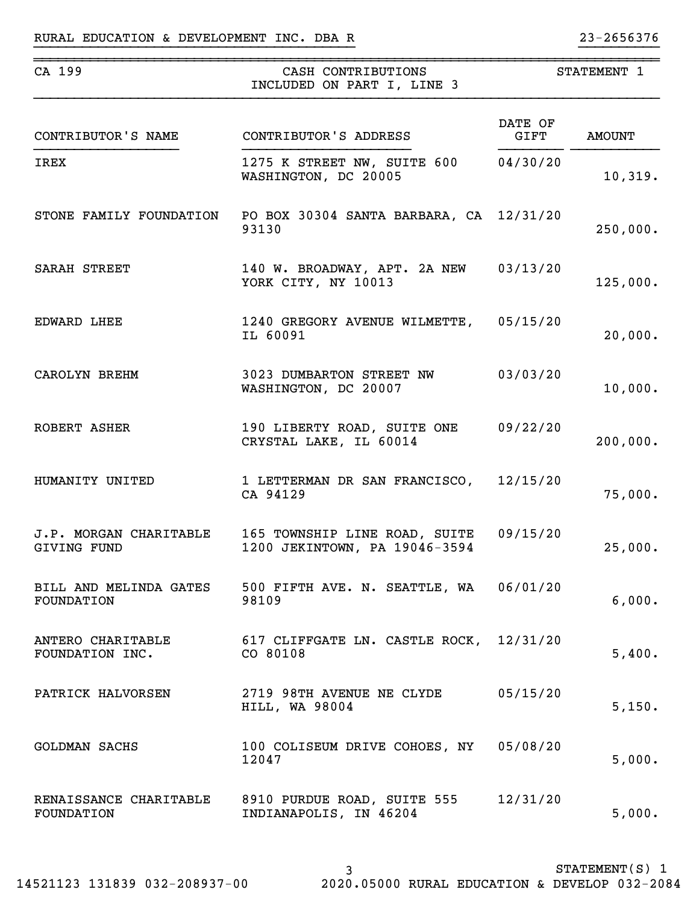~~~~~~~~~~~~~~~~~~~~~~~~~~~~~~~~~~~~~~~~~~~~~~~~~~~~~~~~~~~~~~~~~~~~~~~~~~~~~~

| CA 199                                      | CASH CONTRIBUTIONS<br>INCLUDED ON PART I, LINE 3                             | STATEMENT 1     |               |  |
|---------------------------------------------|------------------------------------------------------------------------------|-----------------|---------------|--|
| CONTRIBUTOR'S NAME                          | CONTRIBUTOR'S ADDRESS                                                        | DATE OF<br>GIFT | <b>AMOUNT</b> |  |
| IREX                                        | 1275 K STREET NW, SUITE 600<br>WASHINGTON, DC 20005                          | 04/30/20        | 10,319.       |  |
| STONE FAMILY FOUNDATION                     | PO BOX 30304 SANTA BARBARA, CA 12/31/20<br>93130                             |                 | 250,000.      |  |
| SARAH STREET                                | 140 W. BROADWAY, APT. 2A NEW 03/13/20<br>YORK CITY, NY 10013                 |                 | 125,000.      |  |
| EDWARD LHEE                                 | 1240 GREGORY AVENUE WILMETTE, 05/15/20<br>IL 60091                           |                 | 20,000.       |  |
| CAROLYN BREHM                               | 3023 DUMBARTON STREET NW<br>WASHINGTON, DC 20007                             | 03/03/20        | 10,000.       |  |
| ROBERT ASHER                                | 190 LIBERTY ROAD, SUITE ONE<br>CRYSTAL LAKE, IL 60014                        | 09/22/20        | 200,000.      |  |
| HUMANITY UNITED                             | 1 LETTERMAN DR SAN FRANCISCO, 12/15/20<br>CA 94129                           |                 | 75,000.       |  |
| J.P. MORGAN CHARITABLE<br>GIVING FUND       | 165 TOWNSHIP LINE ROAD, SUITE<br>1200 JEKINTOWN, PA 19046-3594               | 09/15/20        | 25,000.       |  |
| BILL AND MELINDA GATES<br><b>FOUNDATION</b> | 500 FIFTH AVE. N. SEATTLE, WA 06/01/20<br>98109                              |                 | 6,000.        |  |
| ANTERO CHARITABLE<br>FOUNDATION INC.        | 617 CLIFFGATE LN. CASTLE ROCK, 12/31/20<br>CO 80108                          |                 | 5,400.        |  |
| PATRICK HALVORSEN                           | 2719 98TH AVENUE NE CLYDE<br><b>HILL, WA 98004</b>                           | 05/15/20        | 5,150.        |  |
| <b>GOLDMAN SACHS</b>                        | 100 COLISEUM DRIVE COHOES, NY 05/08/20<br>12047                              |                 | 5,000.        |  |
| FOUNDATION                                  | RENAISSANCE CHARITABLE 8910 PURDUE ROAD, SUITE 555<br>INDIANAPOLIS, IN 46204 | 12/31/20        | 5,000.        |  |

}}}}}}}}}}}}}}}}}}}}}}}}}}}}}}}}}}}}}}}} }}}}}}}}}}

3 STATEMENT(S) 1 14521123 131839 032-208937-00 2020.05000 RURAL EDUCATION & DEVELOP 032-2084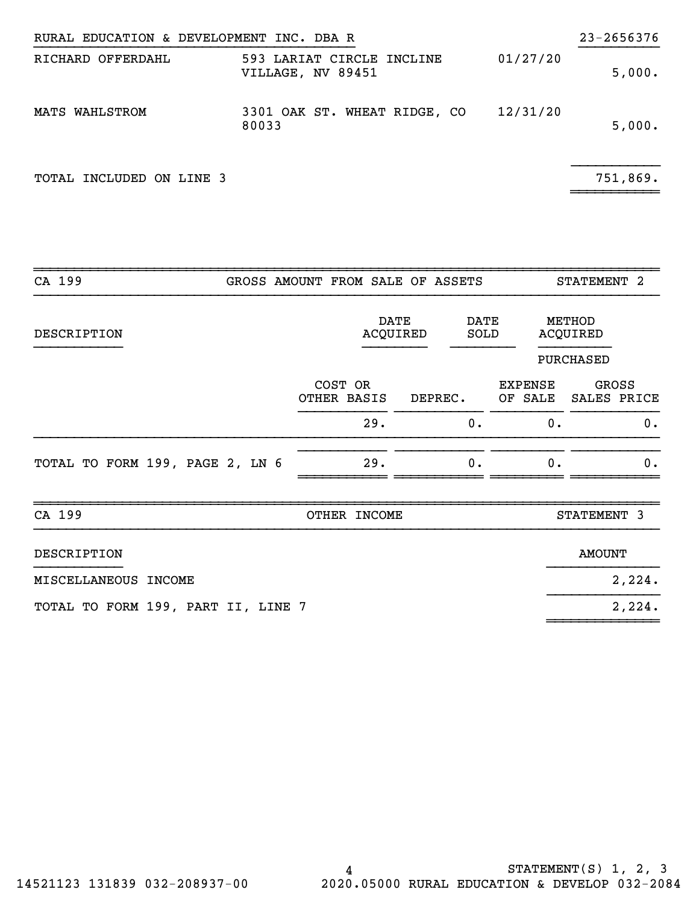| RURAL EDUCATION & DEVELOPMENT INC. DBA R |                                                |          | $23 - 2656376$ |
|------------------------------------------|------------------------------------------------|----------|----------------|
| RICHARD OFFERDAHL                        | 593 LARIAT CIRCLE INCLINE<br>VILLAGE, NV 89451 | 01/27/20 | 5,000.         |
| MATS WAHLSTROM                           | 3301 OAK ST. WHEAT RIDGE, CO<br>80033          | 12/31/20 | 5,000.         |

~~~~~~~~~~~

TOTAL INCLUDED ON LINE 3

751,869.

| CA 199                             | GROSS AMOUNT FROM SALE OF ASSETS |                                  |                           | STATEMENT 2                     |
|------------------------------------|----------------------------------|----------------------------------|---------------------------|---------------------------------|
| DESCRIPTION                        |                                  | DATE<br>DATE<br>ACQUIRED<br>SOLD |                           | METHOD<br>ACQUIRED<br>PURCHASED |
|                                    | COST OR<br>OTHER BASIS           | DEPREC.                          | <b>EXPENSE</b><br>OF SALE | GROSS<br>SALES PRICE            |
|                                    | 29.                              | 0.                               | 0.                        | 0.                              |
| TOTAL TO FORM 199, PAGE 2, LN 6    | 29.                              | 0.                               | 0.                        | $0$ .                           |
| CA 199                             | OTHER INCOME                     |                                  |                           | STATEMENT 3                     |
| DESCRIPTION                        |                                  |                                  |                           | <b>AMOUNT</b>                   |
| MISCELLANEOUS<br><b>INCOME</b>     |                                  |                                  |                           | 2,224.                          |
| TOTAL TO FORM 199, PART II, LINE 7 |                                  |                                  |                           | 2,224.                          |

~~~~~~~~~~~~~~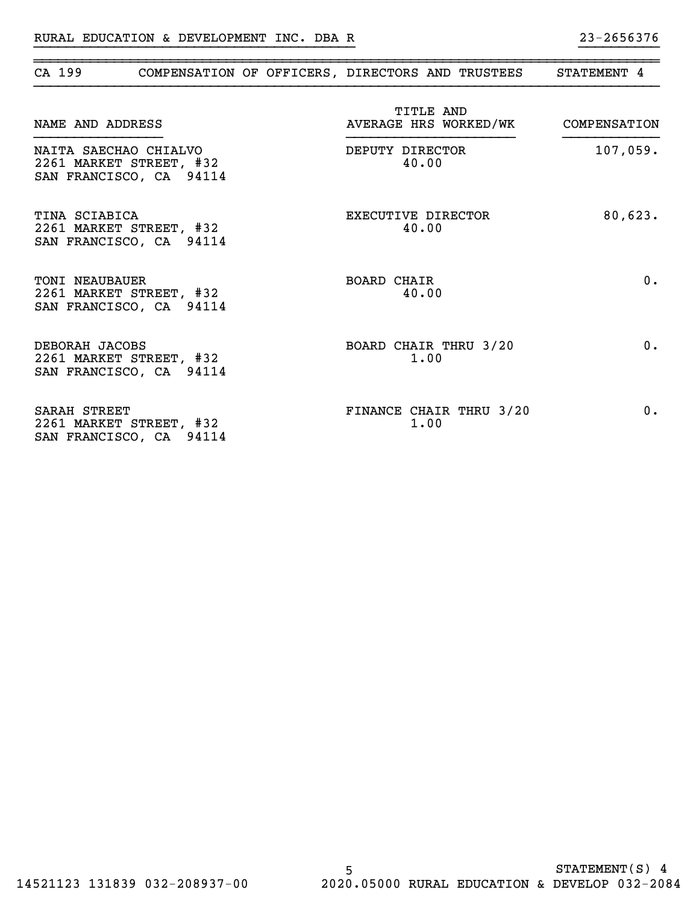|                                                  |                                                    | CA 199 COMPENSATION OF OFFICERS, DIRECTORS AND TRUSTEES STATEMENT 4 |          |
|--------------------------------------------------|----------------------------------------------------|---------------------------------------------------------------------|----------|
| NAME AND ADDRESS                                 |                                                    | TITLE AND<br>AVERAGE HRS WORKED/WK COMPENSATION                     |          |
| NAITA SAECHAO CHIALVO<br>2261 MARKET STREET, #32 | SAN FRANCISCO, CA 94114                            | DEPUTY DIRECTOR<br>40.00                                            | 107,059. |
| TINA SCIABICA                                    | 2261 MARKET STREET, #32<br>SAN FRANCISCO, CA 94114 | EXECUTIVE DIRECTOR<br>40.00                                         | 80,623.  |
| TONI NEAUBAUER                                   | 2261 MARKET STREET, #32<br>SAN FRANCISCO, CA 94114 | BOARD CHAIR<br>40.00                                                | 0.       |
| DEBORAH JACOBS<br>2261 MARKET STREET, #32        | SAN FRANCISCO, CA 94114                            | BOARD CHAIR THRU 3/20<br>1.00                                       | 0.       |
| SARAH STREET<br>2261 MARKET STREET, #32          | SAN FRANCISCO, CA 94114                            | FINANCE CHAIR THRU 3/20<br>1.00                                     | $0$ .    |

~~~~~~~~~~~~~~~~~~~~~~~~~~~~~~~~~~~~~~~~~~~~~~~~~~~~~~~~~~~~~~~~~~~~~~~~~~~~~~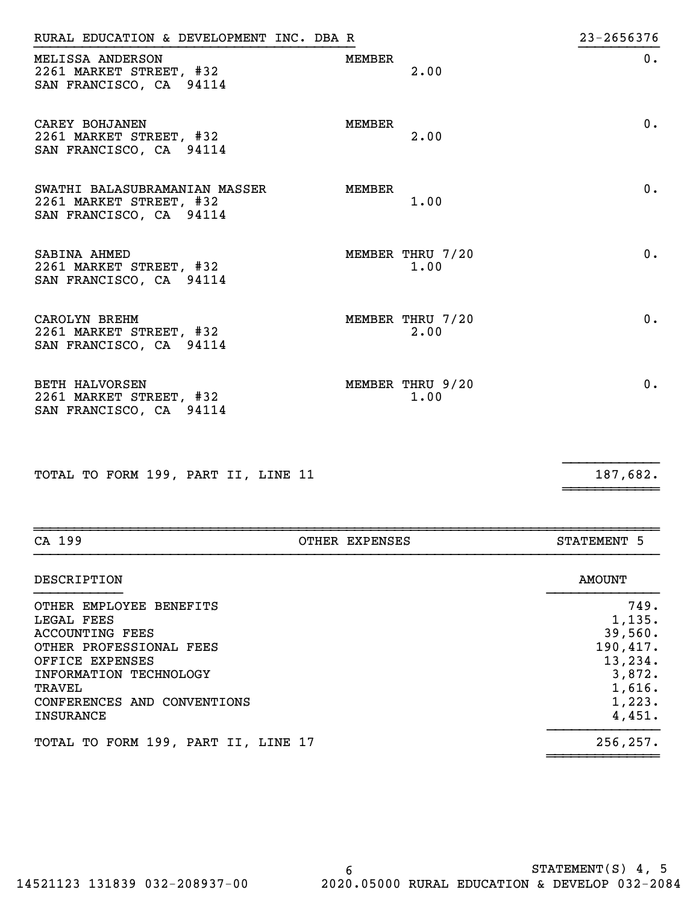| RURAL EDUCATION & DEVELOPMENT INC. DBA R                                            |                  |      | 23-2656376 |
|-------------------------------------------------------------------------------------|------------------|------|------------|
| MELISSA ANDERSON<br>2261 MARKET STREET, #32<br>SAN FRANCISCO, CA 94114              | MEMBER           | 2.00 | 0.         |
| CAREY BOHJANEN<br>2261 MARKET STREET, #32<br>SAN FRANCISCO, CA 94114                | MEMBER           | 2.00 | 0.         |
| SWATHI BALASUBRAMANIAN MASSER<br>2261 MARKET STREET, #32<br>SAN FRANCISCO, CA 94114 | MEMBER           | 1.00 | 0.         |
| SABINA AHMED<br>2261 MARKET STREET, #32<br>SAN FRANCISCO, CA 94114                  | MEMBER THRU 7/20 | 1.00 | 0.         |
| CAROLYN BREHM<br>2261 MARKET STREET, #32<br>SAN FRANCISCO, CA 94114                 | MEMBER THRU 7/20 | 2.00 | $0$ .      |
| <b>BETH HALVORSEN</b><br>2261 MARKET STREET, #32<br>SAN FRANCISCO, CA 94114         | MEMBER THRU 9/20 | 1.00 | $0$ .      |

TOTAL TO FORM 199, PART II, LINE 11 187,682.

| CA 199                                                                                                                                                                                 | OTHER EXPENSES | STATEMENT 5                                                                               |
|----------------------------------------------------------------------------------------------------------------------------------------------------------------------------------------|----------------|-------------------------------------------------------------------------------------------|
| DESCRIPTION                                                                                                                                                                            |                | <b>AMOUNT</b>                                                                             |
| OTHER EMPLOYEE BENEFITS<br>LEGAL FEES<br>ACCOUNTING FEES<br>OTHER PROFESSIONAL FEES<br>OFFICE EXPENSES<br>INFORMATION TECHNOLOGY<br>TRAVEL<br>CONFERENCES AND CONVENTIONS<br>INSURANCE |                | 749.<br>1,135.<br>39,560.<br>190,417.<br>13, 234.<br>3,872.<br>1,616.<br>1,223.<br>4,451. |
| TOTAL TO FORM 199, PART II, LINE 17                                                                                                                                                    |                | 256, 257.                                                                                 |

~~~~~~~~~~~~~~

}}}}}}}}}}}}

~~~~~~~~~~~~

~~~~~~~~~~~~~~~~~~~~~~~~~~~~~~~~~~~~~~~~~~~~~~~~~~~~~~~~~~~~~~~~~~~~~~~~~~~~~~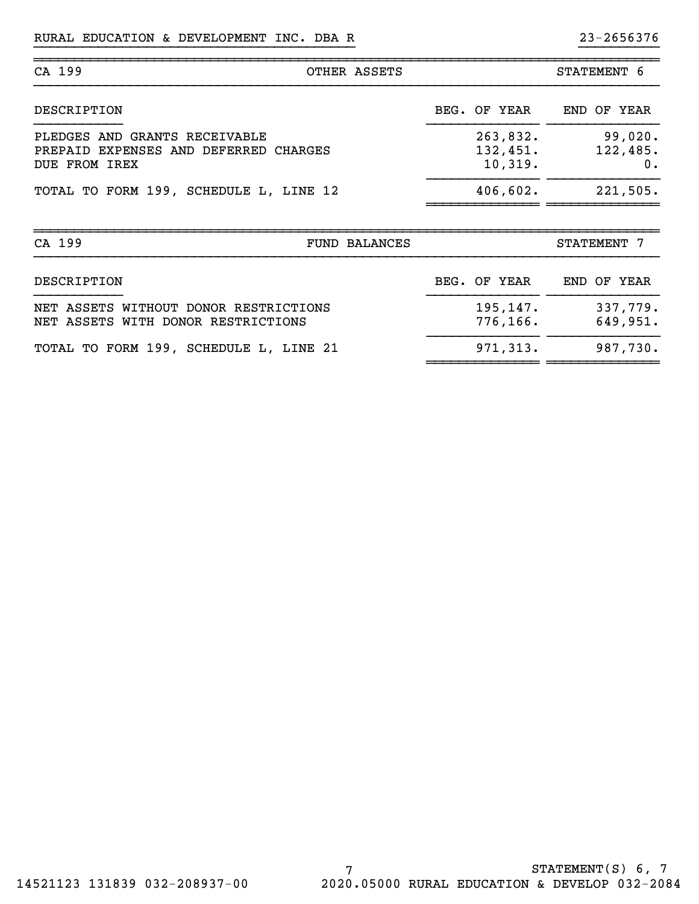| CA 199<br>OTHER ASSETS                                                                  |                                 | STATEMENT 6               |
|-----------------------------------------------------------------------------------------|---------------------------------|---------------------------|
| DESCRIPTION                                                                             | BEG. OF YEAR                    | END OF YEAR               |
| PLEDGES AND GRANTS RECEIVABLE<br>PREPAID EXPENSES AND DEFERRED CHARGES<br>DUE FROM IREX | 263,832.<br>132,451.<br>10,319. | 99,020.<br>122,485.<br>0. |
| TOTAL TO FORM 199, SCHEDULE L, LINE 12                                                  | 406,602.                        | 221,505.                  |

}}}}}}}}}}}}}}}}}}}}}}}}}}}}}}}}}}}}}}}} }}}}}}}}}}

| CA 199                                                                      | <b>FUND BALANCES</b> |                           | STATEMENT 7          |  |
|-----------------------------------------------------------------------------|----------------------|---------------------------|----------------------|--|
| DESCRIPTION                                                                 |                      | BEG. OF YEAR              | END OF YEAR          |  |
| NET ASSETS WITHOUT DONOR RESTRICTIONS<br>NET ASSETS WITH DONOR RESTRICTIONS |                      | 195, 147.<br>$776, 166$ . | 337,779.<br>649,951. |  |
| TOTAL TO FORM 199, SCHEDULE L, LINE 21                                      |                      | 971, 313.                 | 987,730.             |  |

~~~~~~~~~~~~~~ ~~~~~~~~~~~~~~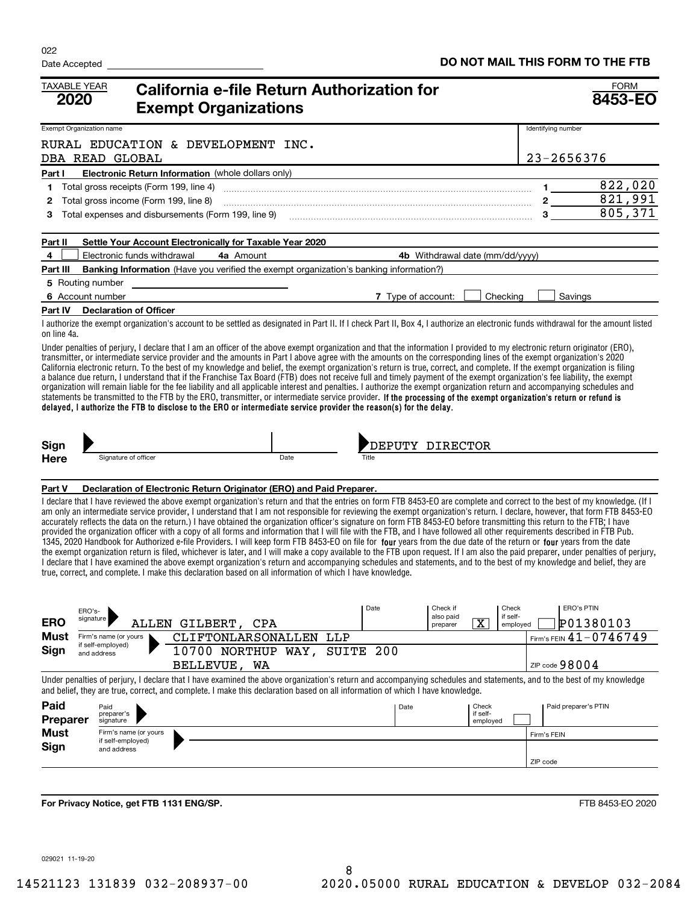| <b>TAXABLE YEAR</b><br>2020 |                                         | <b>California e-file Return Authorization for</b><br><b>Exempt Organizations</b>                                                                                                                                                                                                                                                                                                                                                                                                                                                                                                                                                                                                                                                                                                                                                                                                                                                                                                                                                                                                                                                                                                                                                                                                                                                                                      |      |                    |                                   |                   |                      | <b>FORM</b><br>8453-EO |
|-----------------------------|-----------------------------------------|-----------------------------------------------------------------------------------------------------------------------------------------------------------------------------------------------------------------------------------------------------------------------------------------------------------------------------------------------------------------------------------------------------------------------------------------------------------------------------------------------------------------------------------------------------------------------------------------------------------------------------------------------------------------------------------------------------------------------------------------------------------------------------------------------------------------------------------------------------------------------------------------------------------------------------------------------------------------------------------------------------------------------------------------------------------------------------------------------------------------------------------------------------------------------------------------------------------------------------------------------------------------------------------------------------------------------------------------------------------------------|------|--------------------|-----------------------------------|-------------------|----------------------|------------------------|
| Exempt Organization name    |                                         |                                                                                                                                                                                                                                                                                                                                                                                                                                                                                                                                                                                                                                                                                                                                                                                                                                                                                                                                                                                                                                                                                                                                                                                                                                                                                                                                                                       |      |                    |                                   |                   | Identifying number   |                        |
|                             |                                         | RURAL EDUCATION & DEVELOPMENT INC.                                                                                                                                                                                                                                                                                                                                                                                                                                                                                                                                                                                                                                                                                                                                                                                                                                                                                                                                                                                                                                                                                                                                                                                                                                                                                                                                    |      |                    |                                   |                   |                      |                        |
|                             | DBA READ GLOBAL                         |                                                                                                                                                                                                                                                                                                                                                                                                                                                                                                                                                                                                                                                                                                                                                                                                                                                                                                                                                                                                                                                                                                                                                                                                                                                                                                                                                                       |      |                    |                                   |                   | 23-2656376           |                        |
| Part I                      |                                         | Electronic Return Information (whole dollars only)                                                                                                                                                                                                                                                                                                                                                                                                                                                                                                                                                                                                                                                                                                                                                                                                                                                                                                                                                                                                                                                                                                                                                                                                                                                                                                                    |      |                    |                                   |                   |                      |                        |
| 1                           | Total gross receipts (Form 199, line 4) |                                                                                                                                                                                                                                                                                                                                                                                                                                                                                                                                                                                                                                                                                                                                                                                                                                                                                                                                                                                                                                                                                                                                                                                                                                                                                                                                                                       |      |                    |                                   |                   | 1.                   | 822,020                |
| 2                           | Total gross income (Form 199, line 8)   |                                                                                                                                                                                                                                                                                                                                                                                                                                                                                                                                                                                                                                                                                                                                                                                                                                                                                                                                                                                                                                                                                                                                                                                                                                                                                                                                                                       |      |                    |                                   |                   | $2\quad$             | 821,991                |
| з                           |                                         | Total expenses and disbursements (Form 199, line 9) <b>Face and Servey Accord Expenses and disbursements</b> (Form 199, line 9)                                                                                                                                                                                                                                                                                                                                                                                                                                                                                                                                                                                                                                                                                                                                                                                                                                                                                                                                                                                                                                                                                                                                                                                                                                       |      |                    |                                   |                   | 3                    | 805, 371               |
| Part II                     |                                         | Settle Your Account Electronically for Taxable Year 2020                                                                                                                                                                                                                                                                                                                                                                                                                                                                                                                                                                                                                                                                                                                                                                                                                                                                                                                                                                                                                                                                                                                                                                                                                                                                                                              |      |                    |                                   |                   |                      |                        |
| 4                           | Electronic funds withdrawal             | 4a Amount                                                                                                                                                                                                                                                                                                                                                                                                                                                                                                                                                                                                                                                                                                                                                                                                                                                                                                                                                                                                                                                                                                                                                                                                                                                                                                                                                             |      |                    | 4b Withdrawal date (mm/dd/yyyy)   |                   |                      |                        |
| Part III                    |                                         | Banking Information (Have you verified the exempt organization's banking information?)                                                                                                                                                                                                                                                                                                                                                                                                                                                                                                                                                                                                                                                                                                                                                                                                                                                                                                                                                                                                                                                                                                                                                                                                                                                                                |      |                    |                                   |                   |                      |                        |
| 5 Routing number            |                                         |                                                                                                                                                                                                                                                                                                                                                                                                                                                                                                                                                                                                                                                                                                                                                                                                                                                                                                                                                                                                                                                                                                                                                                                                                                                                                                                                                                       |      |                    |                                   |                   |                      |                        |
| 6 Account number            |                                         |                                                                                                                                                                                                                                                                                                                                                                                                                                                                                                                                                                                                                                                                                                                                                                                                                                                                                                                                                                                                                                                                                                                                                                                                                                                                                                                                                                       |      | 7 Type of account: |                                   | Checking          | Savings              |                        |
|                             | Part IV Declaration of Officer          |                                                                                                                                                                                                                                                                                                                                                                                                                                                                                                                                                                                                                                                                                                                                                                                                                                                                                                                                                                                                                                                                                                                                                                                                                                                                                                                                                                       |      |                    |                                   |                   |                      |                        |
| on line 4a.                 |                                         | I authorize the exempt organization's account to be settled as designated in Part II. If I check Part II, Box 4, I authorize an electronic funds withdrawal for the amount listed                                                                                                                                                                                                                                                                                                                                                                                                                                                                                                                                                                                                                                                                                                                                                                                                                                                                                                                                                                                                                                                                                                                                                                                     |      |                    |                                   |                   |                      |                        |
|                             |                                         | Under penalties of perjury, I declare that I am an officer of the above exempt organization and that the information I provided to my electronic return originator (ERO),<br>transmitter, or intermediate service provider and the amounts in Part I above agree with the amounts on the corresponding lines of the exempt organization's 2020<br>California electronic return. To the best of my knowledge and belief, the exempt organization's return is true, correct, and complete. If the exempt organization is filing<br>a balance due return, I understand that if the Franchise Tax Board (FTB) does not receive full and timely payment of the exempt organization's fee liability, the exempt<br>organization will remain liable for the fee liability and all applicable interest and penalties. I authorize the exempt organization return and accompanying schedules and<br>statements be transmitted to the FTB by the ERO, transmitter, or intermediate service provider. If the processing of the exempt organization's return or refund is<br>delayed, I authorize the FTB to disclose to the ERO or intermediate service provider the reason(s) for the delay.                                                                                                                                                                                    |      |                    |                                   |                   |                      |                        |
| Sign<br><b>Here</b>         | Signature of officer                    |                                                                                                                                                                                                                                                                                                                                                                                                                                                                                                                                                                                                                                                                                                                                                                                                                                                                                                                                                                                                                                                                                                                                                                                                                                                                                                                                                                       | Date | Title              | DEPUTY DIRECTOR                   |                   |                      |                        |
| Part V                      |                                         | Declaration of Electronic Return Originator (ERO) and Paid Preparer.                                                                                                                                                                                                                                                                                                                                                                                                                                                                                                                                                                                                                                                                                                                                                                                                                                                                                                                                                                                                                                                                                                                                                                                                                                                                                                  |      |                    |                                   |                   |                      |                        |
|                             |                                         | I declare that I have reviewed the above exempt organization's return and that the entries on form FTB 8453-EO are complete and correct to the best of my knowledge. (If I<br>am only an intermediate service provider, I understand that I am not responsible for reviewing the exempt organization's return. I declare, however, that form FTB 8453-EO<br>accurately reflects the data on the return.) I have obtained the organization officer's signature on form FTB 8453-EO before transmitting this return to the FTB; I have<br>provided the organization officer with a copy of all forms and information that I will file with the FTB, and I have followed all other requirements described in FTB Pub.<br>1345, 2020 Handbook for Authorized e-file Providers. I will keep form FTB 8453-EO on file for four years from the due date of the return or four years from the date<br>the exempt organization return is filed, whichever is later, and I will make a copy available to the FTB upon request. If I am also the paid preparer, under penalties of perjury,<br>I declare that I have examined the above exempt organization's return and accompanying schedules and statements, and to the best of my knowledge and belief, they are<br>true, correct, and complete. I make this declaration based on all information of which I have knowledge. |      |                    |                                   |                   |                      |                        |
| ERO's-                      |                                         |                                                                                                                                                                                                                                                                                                                                                                                                                                                                                                                                                                                                                                                                                                                                                                                                                                                                                                                                                                                                                                                                                                                                                                                                                                                                                                                                                                       |      | Date               | Check if<br>also paid             | Check<br>if self- | <b>ERO's PTIN</b>    |                        |
| <b>ERO</b>                  | signature                               | ALLEN GILBERT, CPA                                                                                                                                                                                                                                                                                                                                                                                                                                                                                                                                                                                                                                                                                                                                                                                                                                                                                                                                                                                                                                                                                                                                                                                                                                                                                                                                                    |      |                    | $\overline{\text{x}}$<br>preparer | employed          |                      | P01380103              |
| Must                        | Firm's name (or yours                   | CLIFTONLARSONALLEN                                                                                                                                                                                                                                                                                                                                                                                                                                                                                                                                                                                                                                                                                                                                                                                                                                                                                                                                                                                                                                                                                                                                                                                                                                                                                                                                                    | LLP  |                    |                                   |                   |                      | Firm's FEIN 41-0746749 |
| Sign                        | if self-employed)<br>and address        | 10700 NORTHUP WAY,                                                                                                                                                                                                                                                                                                                                                                                                                                                                                                                                                                                                                                                                                                                                                                                                                                                                                                                                                                                                                                                                                                                                                                                                                                                                                                                                                    |      | SUITE 200          |                                   |                   |                      |                        |
|                             |                                         | BELLEVUE, WA                                                                                                                                                                                                                                                                                                                                                                                                                                                                                                                                                                                                                                                                                                                                                                                                                                                                                                                                                                                                                                                                                                                                                                                                                                                                                                                                                          |      |                    |                                   |                   | ZIP code $98004$     |                        |
|                             |                                         | Under penalties of perjury, I declare that I have examined the above organization's return and accompanying schedules and statements, and to the best of my knowledge<br>and belief, they are true, correct, and complete. I make this declaration based on all information of which I have knowledge.                                                                                                                                                                                                                                                                                                                                                                                                                                                                                                                                                                                                                                                                                                                                                                                                                                                                                                                                                                                                                                                                |      |                    |                                   |                   |                      |                        |
| Paid                        | Paid                                    |                                                                                                                                                                                                                                                                                                                                                                                                                                                                                                                                                                                                                                                                                                                                                                                                                                                                                                                                                                                                                                                                                                                                                                                                                                                                                                                                                                       |      | Date               | Check                             |                   | Paid preparer's PTIN |                        |
| Preparer                    | preparer's<br>signature                 |                                                                                                                                                                                                                                                                                                                                                                                                                                                                                                                                                                                                                                                                                                                                                                                                                                                                                                                                                                                                                                                                                                                                                                                                                                                                                                                                                                       |      |                    | if self-                          | employed          |                      |                        |
| <b>Must</b>                 | Firm's name (or yours                   |                                                                                                                                                                                                                                                                                                                                                                                                                                                                                                                                                                                                                                                                                                                                                                                                                                                                                                                                                                                                                                                                                                                                                                                                                                                                                                                                                                       |      |                    |                                   |                   | Firm's FEIN          |                        |
| Sign                        | if self-employed)<br>and address        |                                                                                                                                                                                                                                                                                                                                                                                                                                                                                                                                                                                                                                                                                                                                                                                                                                                                                                                                                                                                                                                                                                                                                                                                                                                                                                                                                                       |      |                    |                                   |                   |                      |                        |
|                             |                                         |                                                                                                                                                                                                                                                                                                                                                                                                                                                                                                                                                                                                                                                                                                                                                                                                                                                                                                                                                                                                                                                                                                                                                                                                                                                                                                                                                                       |      |                    |                                   |                   | ZIP code             |                        |
|                             |                                         |                                                                                                                                                                                                                                                                                                                                                                                                                                                                                                                                                                                                                                                                                                                                                                                                                                                                                                                                                                                                                                                                                                                                                                                                                                                                                                                                                                       |      |                    |                                   |                   |                      |                        |
|                             |                                         |                                                                                                                                                                                                                                                                                                                                                                                                                                                                                                                                                                                                                                                                                                                                                                                                                                                                                                                                                                                                                                                                                                                                                                                                                                                                                                                                                                       |      |                    |                                   |                   |                      |                        |

**For Privacy Notice, get FTB 1131 ENG/SP.**

FTB 8453-EO 2020

029021 11-19-20